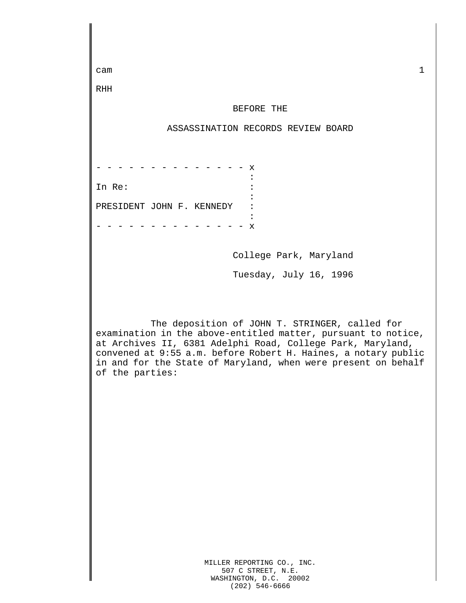| $\mathbf{1}$<br>cam                                                                                                                                                                                                                                                                                                                 |  |  |  |  |  |
|-------------------------------------------------------------------------------------------------------------------------------------------------------------------------------------------------------------------------------------------------------------------------------------------------------------------------------------|--|--|--|--|--|
| RHH                                                                                                                                                                                                                                                                                                                                 |  |  |  |  |  |
| BEFORE THE                                                                                                                                                                                                                                                                                                                          |  |  |  |  |  |
| ASSASSINATION RECORDS REVIEW BOARD                                                                                                                                                                                                                                                                                                  |  |  |  |  |  |
|                                                                                                                                                                                                                                                                                                                                     |  |  |  |  |  |
| х                                                                                                                                                                                                                                                                                                                                   |  |  |  |  |  |
| In Re:                                                                                                                                                                                                                                                                                                                              |  |  |  |  |  |
| PRESIDENT JOHN F. KENNEDY                                                                                                                                                                                                                                                                                                           |  |  |  |  |  |
| X                                                                                                                                                                                                                                                                                                                                   |  |  |  |  |  |
| College Park, Maryland                                                                                                                                                                                                                                                                                                              |  |  |  |  |  |
| Tuesday, July 16, 1996                                                                                                                                                                                                                                                                                                              |  |  |  |  |  |
|                                                                                                                                                                                                                                                                                                                                     |  |  |  |  |  |
| The deposition of JOHN T. STRINGER, called for<br>examination in the above-entitled matter, pursuant to notice,<br>at Archives II, 6381 Adelphi Road, College Park, Maryland,<br>convened at 9:55 a.m. before Robert H. Haines, a notary public<br>in and for the State of Maryland, when were present on behalf<br>of the parties: |  |  |  |  |  |
| MILLER REPORTING CO., INC.<br>507 C STREET, N.E.                                                                                                                                                                                                                                                                                    |  |  |  |  |  |

WASHINGTON, D.C. 20002 (202) 546-6666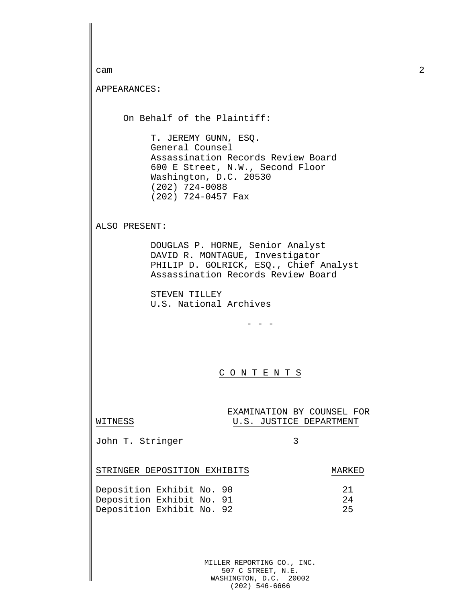| cam                                                                                                                                                 |                                                                                                                                                                                       |                                                       |          | 2 |
|-----------------------------------------------------------------------------------------------------------------------------------------------------|---------------------------------------------------------------------------------------------------------------------------------------------------------------------------------------|-------------------------------------------------------|----------|---|
| APPEARANCES:                                                                                                                                        |                                                                                                                                                                                       |                                                       |          |   |
|                                                                                                                                                     |                                                                                                                                                                                       |                                                       |          |   |
|                                                                                                                                                     | On Behalf of the Plaintiff:                                                                                                                                                           |                                                       |          |   |
|                                                                                                                                                     | T. JEREMY GUNN, ESQ.<br>General Counsel<br>Assassination Records Review Board<br>600 E Street, N.W., Second Floor<br>Washington, D.C. 20530<br>$(202)$ 724-0088<br>(202) 724-0457 Fax |                                                       |          |   |
| ALSO PRESENT:                                                                                                                                       |                                                                                                                                                                                       |                                                       |          |   |
| DOUGLAS P. HORNE, Senior Analyst<br>DAVID R. MONTAGUE, Investigator<br>PHILIP D. GOLRICK, ESQ., Chief Analyst<br>Assassination Records Review Board |                                                                                                                                                                                       |                                                       |          |   |
|                                                                                                                                                     | STEVEN TILLEY<br>U.S. National Archives                                                                                                                                               |                                                       |          |   |
|                                                                                                                                                     |                                                                                                                                                                                       |                                                       |          |   |
|                                                                                                                                                     |                                                                                                                                                                                       |                                                       |          |   |
|                                                                                                                                                     |                                                                                                                                                                                       | CONTENT<br>S                                          |          |   |
|                                                                                                                                                     |                                                                                                                                                                                       |                                                       |          |   |
| WITNESS                                                                                                                                             |                                                                                                                                                                                       | EXAMINATION BY COUNSEL FOR<br>U.S. JUSTICE DEPARTMENT |          |   |
| John T. Stringer                                                                                                                                    |                                                                                                                                                                                       | 3                                                     |          |   |
|                                                                                                                                                     | STRINGER DEPOSITION EXHIBITS                                                                                                                                                          |                                                       | MARKED   |   |
|                                                                                                                                                     | Deposition Exhibit No. 90<br>Deposition Exhibit No. 91                                                                                                                                |                                                       | 21<br>24 |   |
|                                                                                                                                                     | Deposition Exhibit No. 92                                                                                                                                                             |                                                       | 25       |   |
|                                                                                                                                                     |                                                                                                                                                                                       |                                                       |          |   |
|                                                                                                                                                     |                                                                                                                                                                                       |                                                       |          |   |
|                                                                                                                                                     |                                                                                                                                                                                       | MILLER REPORTING CO., INC.                            |          |   |

507 C STREET, N.E. WASHINGTON, D.C. 20002 (202) 546-6666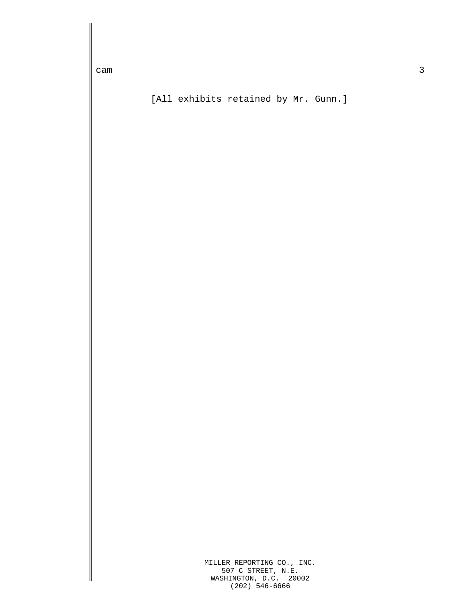[All exhibits retained by Mr. Gunn.]

MILLER REPORTING CO., INC. 507 C STREET, N.E. WASHINGTON, D.C. 20002 (202) 546-6666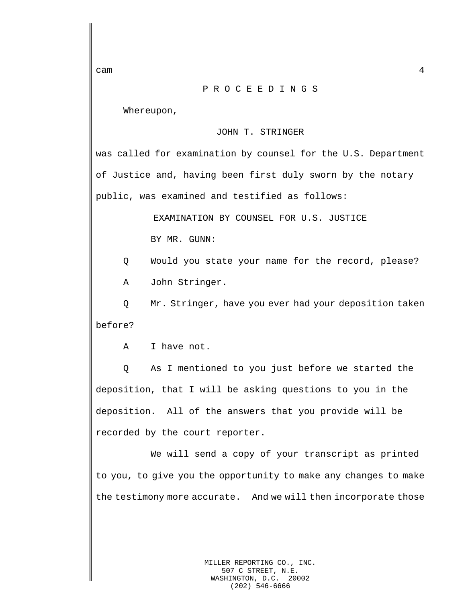## P R O C E E D I N G S

Whereupon,

## JOHN T. STRINGER

was called for examination by counsel for the U.S. Department of Justice and, having been first duly sworn by the notary public, was examined and testified as follows:

> EXAMINATION BY COUNSEL FOR U.S. JUSTICE BY MR. GUNN:

Q Would you state your name for the record, please?

A John Stringer.

Q Mr. Stringer, have you ever had your deposition taken before?

A I have not.

Q As I mentioned to you just before we started the deposition, that I will be asking questions to you in the deposition. All of the answers that you provide will be recorded by the court reporter.

We will send a copy of your transcript as printed to you, to give you the opportunity to make any changes to make the testimony more accurate. And we will then incorporate those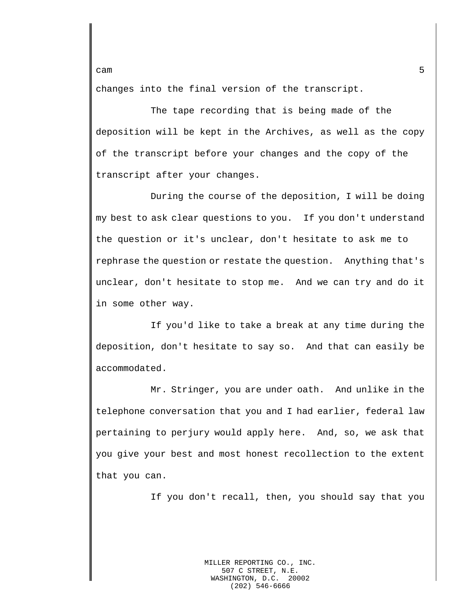changes into the final version of the transcript.

The tape recording that is being made of the deposition will be kept in the Archives, as well as the copy of the transcript before your changes and the copy of the transcript after your changes.

During the course of the deposition, I will be doing my best to ask clear questions to you. If you don't understand the question or it's unclear, don't hesitate to ask me to rephrase the question or restate the question. Anything that's unclear, don't hesitate to stop me. And we can try and do it in some other way.

If you'd like to take a break at any time during the deposition, don't hesitate to say so. And that can easily be accommodated.

Mr. Stringer, you are under oath. And unlike in the telephone conversation that you and I had earlier, federal law pertaining to perjury would apply here. And, so, we ask that you give your best and most honest recollection to the extent that you can.

If you don't recall, then, you should say that you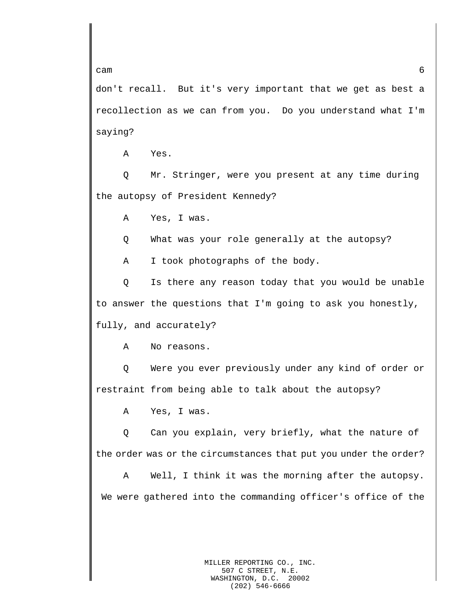don't recall. But it's very important that we get as best a recollection as we can from you. Do you understand what I'm saying?

A Yes.

Q Mr. Stringer, were you present at any time during the autopsy of President Kennedy?

A Yes, I was.

Q What was your role generally at the autopsy?

A I took photographs of the body.

Q Is there any reason today that you would be unable to answer the questions that I'm going to ask you honestly, fully, and accurately?

A No reasons.

Q Were you ever previously under any kind of order or restraint from being able to talk about the autopsy?

A Yes, I was.

Q Can you explain, very briefly, what the nature of the order was or the circumstances that put you under the order?

A Well, I think it was the morning after the autopsy. We were gathered into the commanding officer's office of the

 $c$ am 6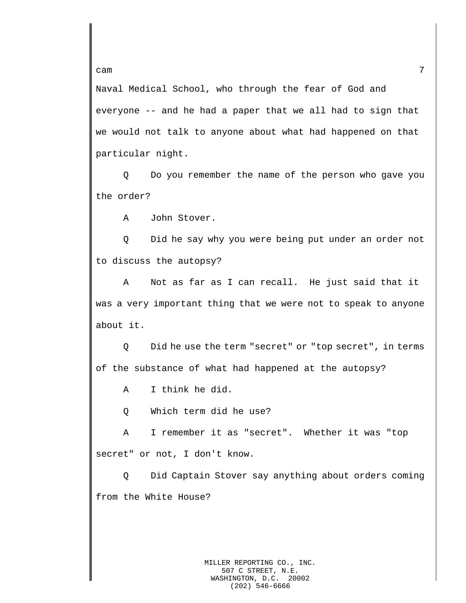Naval Medical School, who through the fear of God and everyone -- and he had a paper that we all had to sign that we would not talk to anyone about what had happened on that particular night.

Q Do you remember the name of the person who gave you the order?

A John Stover.

Q Did he say why you were being put under an order not to discuss the autopsy?

A Not as far as I can recall. He just said that it was a very important thing that we were not to speak to anyone about it.

Q Did he use the term "secret" or "top secret", in terms of the substance of what had happened at the autopsy?

A I think he did.

Q Which term did he use?

A I remember it as "secret". Whether it was "top secret" or not, I don't know.

Q Did Captain Stover say anything about orders coming from the White House?

cam  $\sim$  7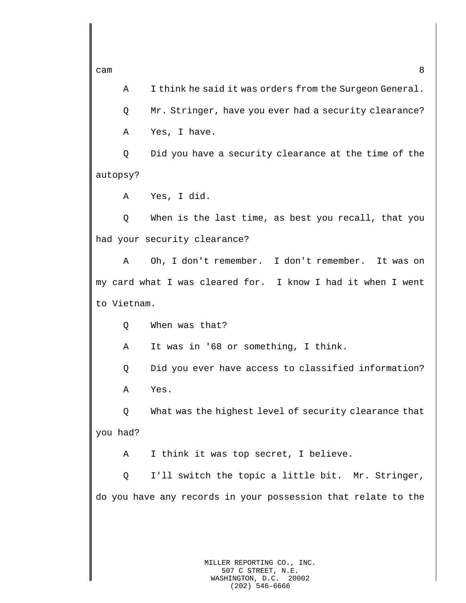A I think he said it was orders from the Surgeon General.

Q Mr. Stringer, have you ever had a security clearance? A Yes, I have.

Q Did you have a security clearance at the time of the autopsy?

A Yes, I did.

Q When is the last time, as best you recall, that you had your security clearance?

A Oh, I don't remember. I don't remember. It was on my card what I was cleared for. I know I had it when I went to Vietnam.

Q When was that?

A It was in '68 or something, I think.

Q Did you ever have access to classified information? A Yes.

Q What was the highest level of security clearance that you had?

A I think it was top secret, I believe.

Q I'll switch the topic a little bit. Mr. Stringer, do you have any records in your possession that relate to the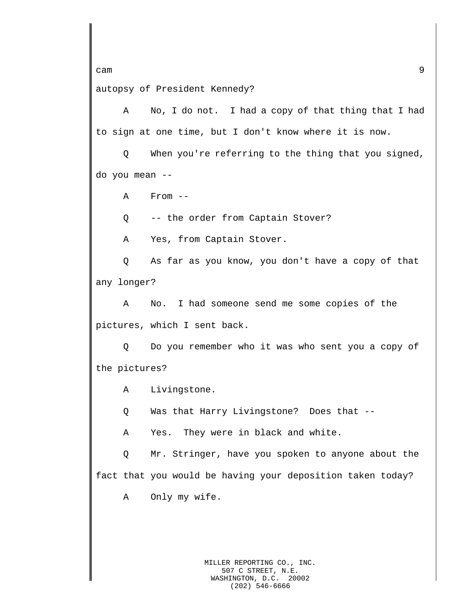cam 3 autopsy of President Kennedy?

A No, I do not. I had a copy of that thing that I had to sign at one time, but I don't know where it is now.

Q When you're referring to the thing that you signed, do you mean --

A From --

Q -- the order from Captain Stover?

A Yes, from Captain Stover.

Q As far as you know, you don't have a copy of that any longer?

A No. I had someone send me some copies of the pictures, which I sent back.

Q Do you remember who it was who sent you a copy of the pictures?

A Livingstone.

Q Was that Harry Livingstone? Does that --

A Yes. They were in black and white.

Q Mr. Stringer, have you spoken to anyone about the fact that you would be having your deposition taken today?

A Only my wife.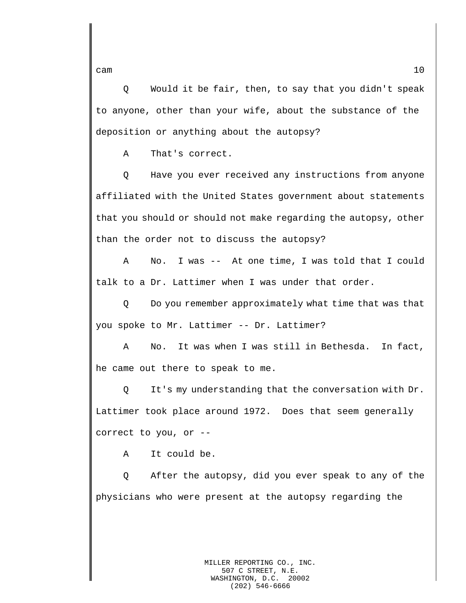Q Would it be fair, then, to say that you didn't speak to anyone, other than your wife, about the substance of the deposition or anything about the autopsy?

A That's correct.

Q Have you ever received any instructions from anyone affiliated with the United States government about statements that you should or should not make regarding the autopsy, other than the order not to discuss the autopsy?

A No. I was -- At one time, I was told that I could talk to a Dr. Lattimer when I was under that order.

Q Do you remember approximately what time that was that you spoke to Mr. Lattimer -- Dr. Lattimer?

A No. It was when I was still in Bethesda. In fact, he came out there to speak to me.

Q It's my understanding that the conversation with Dr. Lattimer took place around 1972. Does that seem generally correct to you, or --

A It could be.

Q After the autopsy, did you ever speak to any of the physicians who were present at the autopsy regarding the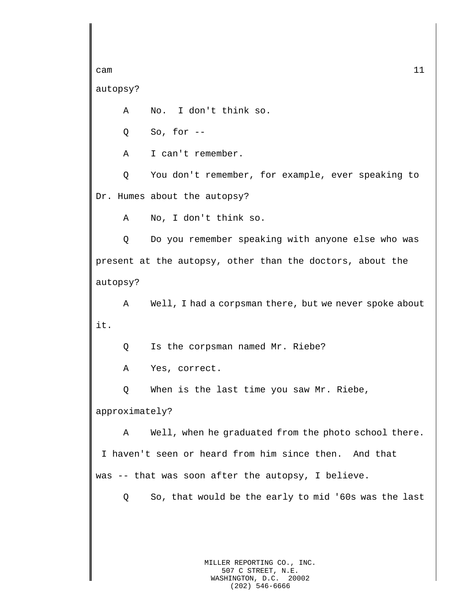cam  $11$ autopsy? A No. I don't think so. Q So, for -- A I can't remember. Q You don't remember, for example, ever speaking to Dr. Humes about the autopsy? A No, I don't think so. Q Do you remember speaking with anyone else who was present at the autopsy, other than the doctors, about the autopsy? A Well, I had a corpsman there, but we never spoke about it. Q Is the corpsman named Mr. Riebe? A Yes, correct. Q When is the last time you saw Mr. Riebe, approximately? A Well, when he graduated from the photo school there. I haven't seen or heard from him since then. And that was -- that was soon after the autopsy, I believe. Q So, that would be the early to mid '60s was the last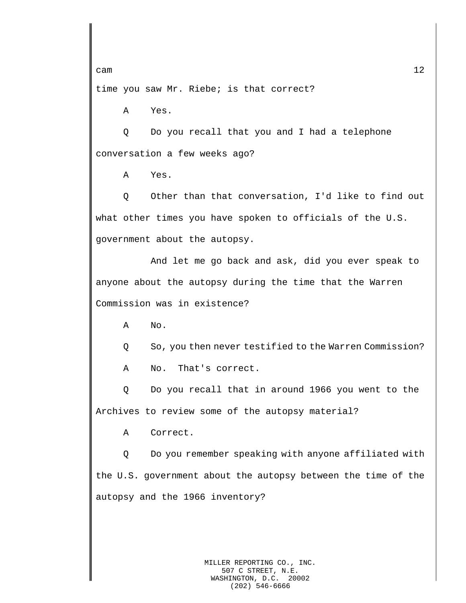time you saw Mr. Riebe; is that correct?

A Yes.

Q Do you recall that you and I had a telephone conversation a few weeks ago?

A Yes.

Q Other than that conversation, I'd like to find out what other times you have spoken to officials of the U.S. government about the autopsy.

And let me go back and ask, did you ever speak to anyone about the autopsy during the time that the Warren Commission was in existence?

A No.

Q So, you then never testified to the Warren Commission?

A No. That's correct.

Q Do you recall that in around 1966 you went to the Archives to review some of the autopsy material?

A Correct.

Q Do you remember speaking with anyone affiliated with the U.S. government about the autopsy between the time of the autopsy and the 1966 inventory?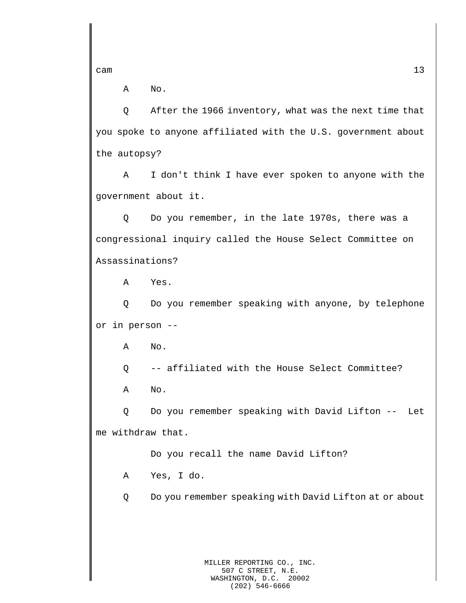A No.

Q After the 1966 inventory, what was the next time that you spoke to anyone affiliated with the U.S. government about the autopsy?

A I don't think I have ever spoken to anyone with the government about it.

Q Do you remember, in the late 1970s, there was a congressional inquiry called the House Select Committee on Assassinations?

A Yes.

Q Do you remember speaking with anyone, by telephone or in person --

A No.

Q -- affiliated with the House Select Committee?

A No.

Q Do you remember speaking with David Lifton -- Let me withdraw that.

Do you recall the name David Lifton?

A Yes, I do.

Q Do you remember speaking with David Lifton at or about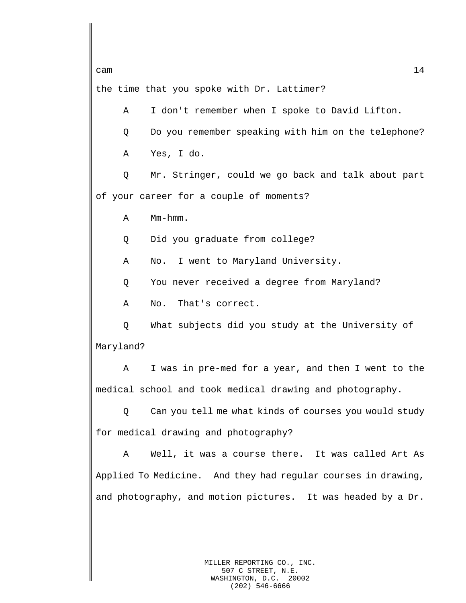the time that you spoke with Dr. Lattimer?

A I don't remember when I spoke to David Lifton.

Q Do you remember speaking with him on the telephone?

A Yes, I do.

Q Mr. Stringer, could we go back and talk about part of your career for a couple of moments?

A Mm-hmm.

Q Did you graduate from college?

A No. I went to Maryland University.

Q You never received a degree from Maryland?

A No. That's correct.

Q What subjects did you study at the University of Maryland?

A I was in pre-med for a year, and then I went to the medical school and took medical drawing and photography.

Q Can you tell me what kinds of courses you would study for medical drawing and photography?

A Well, it was a course there. It was called Art As Applied To Medicine. And they had regular courses in drawing, and photography, and motion pictures. It was headed by a Dr.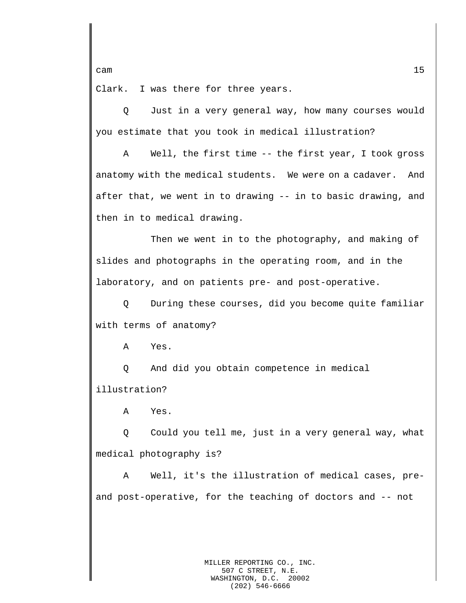Clark. I was there for three years.

Q Just in a very general way, how many courses would you estimate that you took in medical illustration?

A Well, the first time -- the first year, I took gross anatomy with the medical students. We were on a cadaver. And after that, we went in to drawing -- in to basic drawing, and then in to medical drawing.

Then we went in to the photography, and making of slides and photographs in the operating room, and in the laboratory, and on patients pre- and post-operative.

Q During these courses, did you become quite familiar with terms of anatomy?

A Yes.

Q And did you obtain competence in medical illustration?

A Yes.

Q Could you tell me, just in a very general way, what medical photography is?

A Well, it's the illustration of medical cases, preand post-operative, for the teaching of doctors and -- not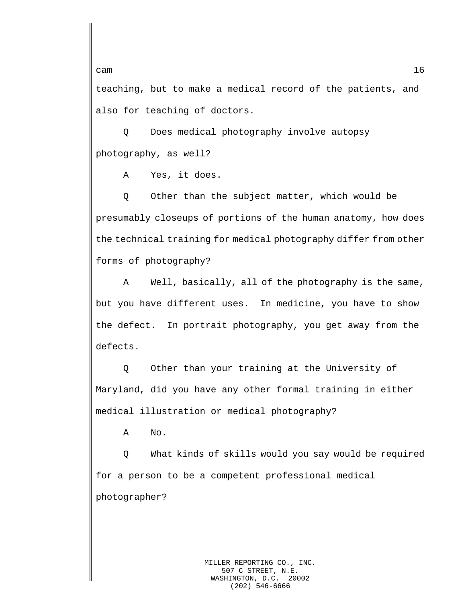teaching, but to make a medical record of the patients, and also for teaching of doctors.

Q Does medical photography involve autopsy photography, as well?

A Yes, it does.

Q Other than the subject matter, which would be presumably closeups of portions of the human anatomy, how does the technical training for medical photography differ from other forms of photography?

A Well, basically, all of the photography is the same, but you have different uses. In medicine, you have to show the defect. In portrait photography, you get away from the defects.

Q Other than your training at the University of Maryland, did you have any other formal training in either medical illustration or medical photography?

A No.

Q What kinds of skills would you say would be required for a person to be a competent professional medical photographer?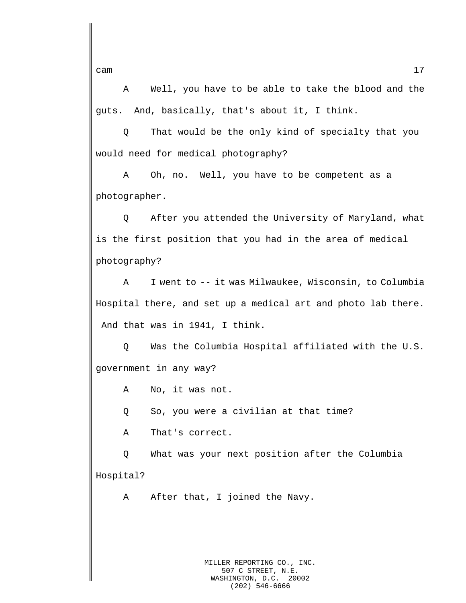A Well, you have to be able to take the blood and the guts. And, basically, that's about it, I think.

Q That would be the only kind of specialty that you would need for medical photography?

A Oh, no. Well, you have to be competent as a photographer.

Q After you attended the University of Maryland, what is the first position that you had in the area of medical photography?

A I went to -- it was Milwaukee, Wisconsin, to Columbia Hospital there, and set up a medical art and photo lab there. And that was in 1941, I think.

Q Was the Columbia Hospital affiliated with the U.S. government in any way?

A No, it was not.

Q So, you were a civilian at that time?

A That's correct.

Q What was your next position after the Columbia Hospital?

A After that, I joined the Navy.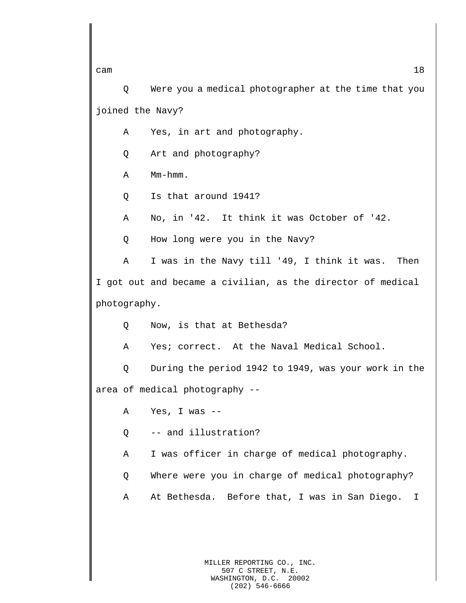cam  $18$ Q Were you a medical photographer at the time that you joined the Navy? A Yes, in art and photography. Q Art and photography? A Mm-hmm. Q Is that around 1941? A No, in '42. It think it was October of '42. Q How long were you in the Navy? A I was in the Navy till '49, I think it was. Then I got out and became a civilian, as the director of medical photography. Q Now, is that at Bethesda? A Yes; correct. At the Naval Medical School. Q During the period 1942 to 1949, was your work in the area of medical photography -- A Yes, I was -- Q -- and illustration? A I was officer in charge of medical photography. Q Where were you in charge of medical photography? A At Bethesda. Before that, I was in San Diego. I

> MILLER REPORTING CO., INC. 507 C STREET, N.E. WASHINGTON, D.C. 20002 (202) 546-6666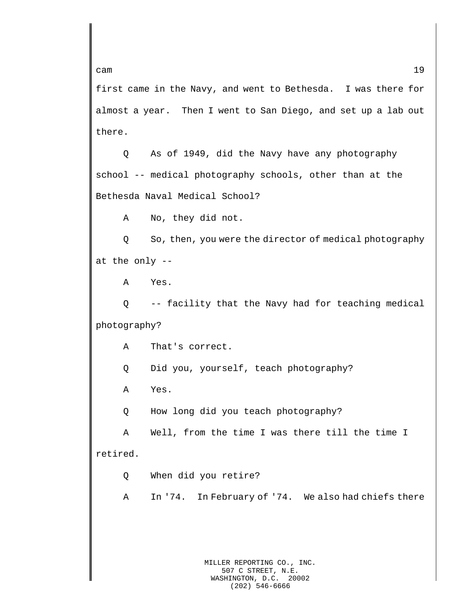first came in the Navy, and went to Bethesda. I was there for almost a year. Then I went to San Diego, and set up a lab out there.

Q As of 1949, did the Navy have any photography school -- medical photography schools, other than at the Bethesda Naval Medical School?

A No, they did not.

Q So, then, you were the director of medical photography at the only --

A Yes.

Q -- facility that the Navy had for teaching medical photography?

A That's correct.

Q Did you, yourself, teach photography?

A Yes.

Q How long did you teach photography?

A Well, from the time I was there till the time I retired.

Q When did you retire?

A In '74. In February of '74. We also had chiefs there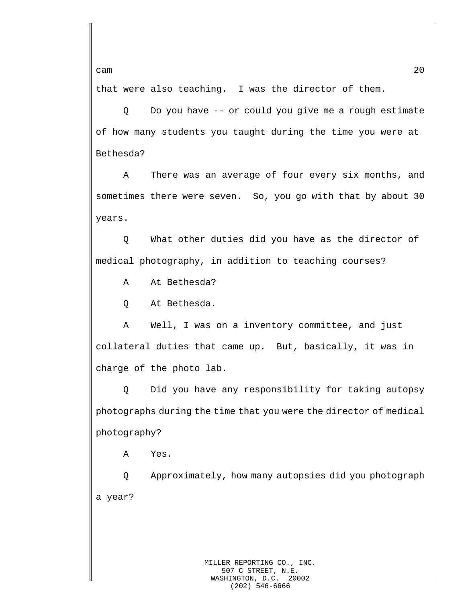that were also teaching. I was the director of them.

Q Do you have -- or could you give me a rough estimate of how many students you taught during the time you were at Bethesda?

A There was an average of four every six months, and sometimes there were seven. So, you go with that by about 30 years.

Q What other duties did you have as the director of medical photography, in addition to teaching courses?

A At Bethesda?

Q At Bethesda.

A Well, I was on a inventory committee, and just collateral duties that came up. But, basically, it was in charge of the photo lab.

Q Did you have any responsibility for taking autopsy photographs during the time that you were the director of medical photography?

A Yes.

Q Approximately, how many autopsies did you photograph a year?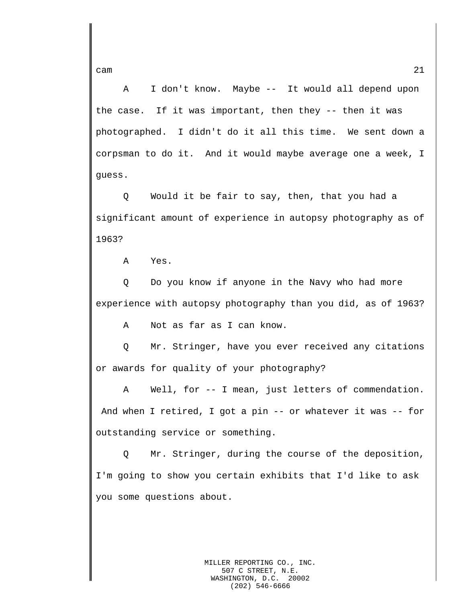A I don't know. Maybe -- It would all depend upon the case. If it was important, then they -- then it was photographed. I didn't do it all this time. We sent down a corpsman to do it. And it would maybe average one a week, I guess.

Q Would it be fair to say, then, that you had a significant amount of experience in autopsy photography as of 1963?

A Yes.

Q Do you know if anyone in the Navy who had more experience with autopsy photography than you did, as of 1963?

A Not as far as I can know.

Q Mr. Stringer, have you ever received any citations or awards for quality of your photography?

A Well, for -- I mean, just letters of commendation. And when I retired, I got a pin -- or whatever it was -- for outstanding service or something.

Q Mr. Stringer, during the course of the deposition, I'm going to show you certain exhibits that I'd like to ask you some questions about.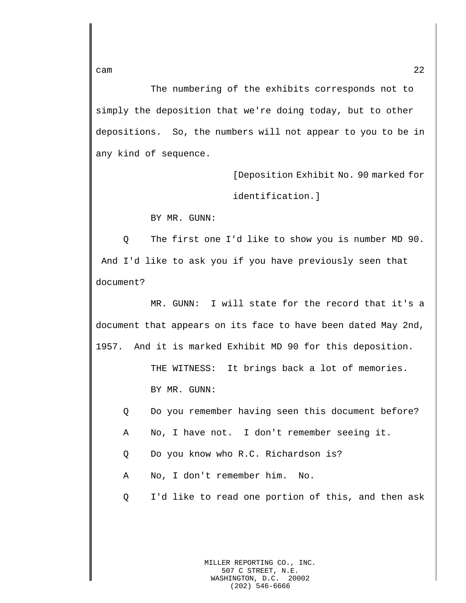The numbering of the exhibits corresponds not to simply the deposition that we're doing today, but to other depositions. So, the numbers will not appear to you to be in any kind of sequence.

> [Deposition Exhibit No. 90 marked for identification.]

BY MR. GUNN:

Q The first one I'd like to show you is number MD 90. And I'd like to ask you if you have previously seen that document?

MR. GUNN: I will state for the record that it's a document that appears on its face to have been dated May 2nd, 1957. And it is marked Exhibit MD 90 for this deposition.

> THE WITNESS: It brings back a lot of memories. BY MR. GUNN:

- Q Do you remember having seen this document before?
- A No, I have not. I don't remember seeing it.
- Q Do you know who R.C. Richardson is?
- A No, I don't remember him. No.
- Q I'd like to read one portion of this, and then ask

MILLER REPORTING CO., INC. 507 C STREET, N.E. WASHINGTON, D.C. 20002 (202) 546-6666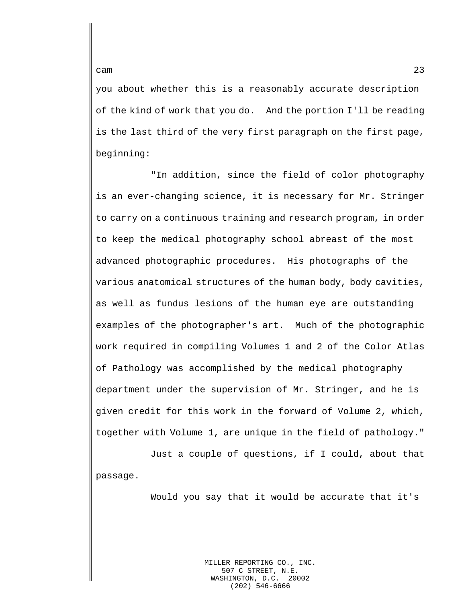you about whether this is a reasonably accurate description of the kind of work that you do. And the portion I'll be reading is the last third of the very first paragraph on the first page, beginning:

"In addition, since the field of color photography is an ever-changing science, it is necessary for Mr. Stringer to carry on a continuous training and research program, in order to keep the medical photography school abreast of the most advanced photographic procedures. His photographs of the various anatomical structures of the human body, body cavities, as well as fundus lesions of the human eye are outstanding examples of the photographer's art. Much of the photographic work required in compiling Volumes 1 and 2 of the Color Atlas of Pathology was accomplished by the medical photography department under the supervision of Mr. Stringer, and he is given credit for this work in the forward of Volume 2, which, together with Volume 1, are unique in the field of pathology."

Just a couple of questions, if I could, about that passage.

Would you say that it would be accurate that it's

MILLER REPORTING CO., INC. 507 C STREET, N.E.<br>SHINGTON, D.C. 20002 WASHINGTON, D.C. (202) 546-6666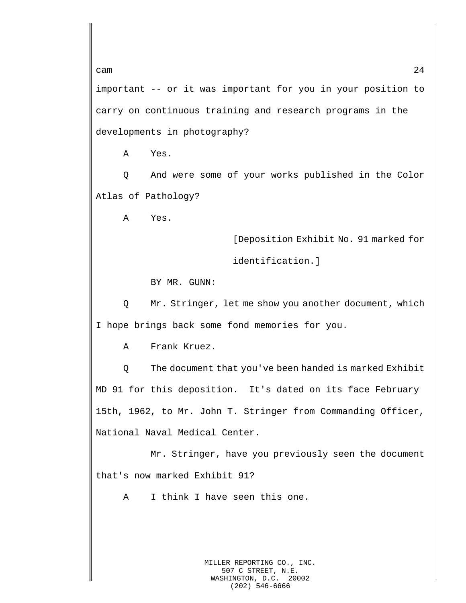important -- or it was important for you in your position to carry on continuous training and research programs in the developments in photography?

A Yes.

Q And were some of your works published in the Color Atlas of Pathology?

A Yes.

[Deposition Exhibit No. 91 marked for

identification.]

BY MR. GUNN:

Q Mr. Stringer, let me show you another document, which I hope brings back some fond memories for you.

A Frank Kruez.

Q The document that you've been handed is marked Exhibit MD 91 for this deposition. It's dated on its face February 15th, 1962, to Mr. John T. Stringer from Commanding Officer, National Naval Medical Center.

Mr. Stringer, have you previously seen the document that's now marked Exhibit 91?

A I think I have seen this one.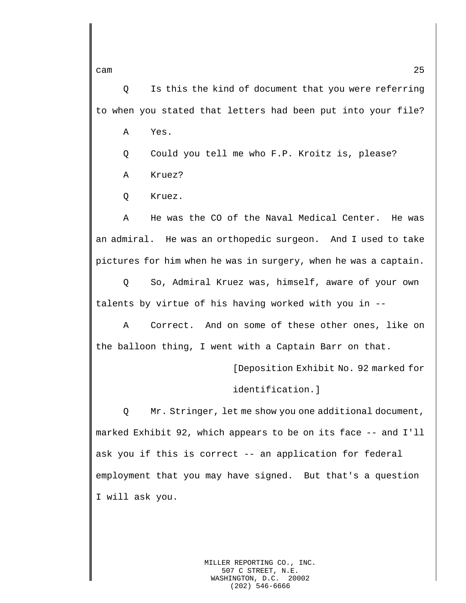Q Is this the kind of document that you were referring to when you stated that letters had been put into your file?

A Yes.

Q Could you tell me who F.P. Kroitz is, please?

A Kruez?

Q Kruez.

A He was the CO of the Naval Medical Center. He was an admiral. He was an orthopedic surgeon. And I used to take pictures for him when he was in surgery, when he was a captain.

Q So, Admiral Kruez was, himself, aware of your own talents by virtue of his having worked with you in --

A Correct. And on some of these other ones, like on the balloon thing, I went with a Captain Barr on that.

[Deposition Exhibit No. 92 marked for

identification.]

Q Mr. Stringer, let me show you one additional document, marked Exhibit 92, which appears to be on its face -- and I'll ask you if this is correct -- an application for federal employment that you may have signed. But that's a question I will ask you.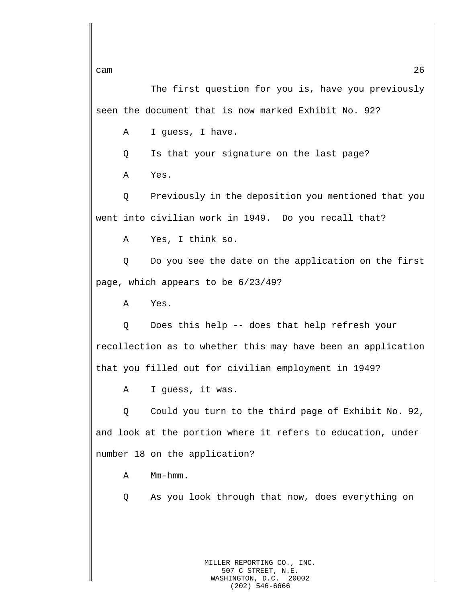The first question for you is, have you previously seen the document that is now marked Exhibit No. 92?

A I guess, I have.

Q Is that your signature on the last page?

A Yes.

Q Previously in the deposition you mentioned that you went into civilian work in 1949. Do you recall that?

A Yes, I think so.

Q Do you see the date on the application on the first page, which appears to be 6/23/49?

A Yes.

Q Does this help -- does that help refresh your recollection as to whether this may have been an application that you filled out for civilian employment in 1949?

A I guess, it was.

Q Could you turn to the third page of Exhibit No. 92, and look at the portion where it refers to education, under number 18 on the application?

A Mm-hmm.

Q As you look through that now, does everything on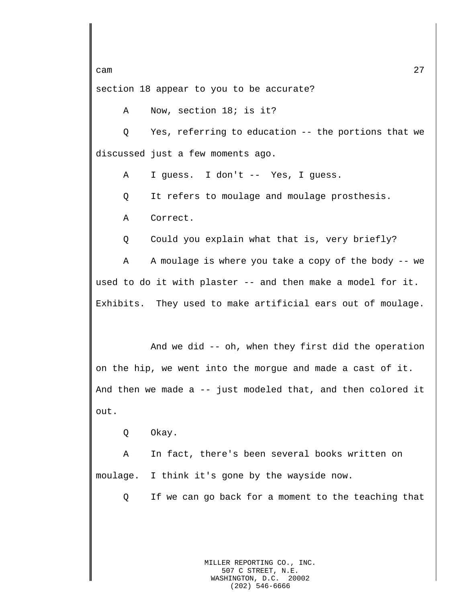section 18 appear to you to be accurate?

A Now, section 18; is it?

Q Yes, referring to education -- the portions that we discussed just a few moments ago.

A I guess. I don't -- Yes, I guess.

Q It refers to moulage and moulage prosthesis.

A Correct.

Q Could you explain what that is, very briefly?

A A moulage is where you take a copy of the body -- we used to do it with plaster -- and then make a model for it. Exhibits. They used to make artificial ears out of moulage.

And we did -- oh, when they first did the operation on the hip, we went into the morgue and made a cast of it. And then we made a -- just modeled that, and then colored it out.

Q Okay.

A In fact, there's been several books written on moulage. I think it's gone by the wayside now.

Q If we can go back for a moment to the teaching that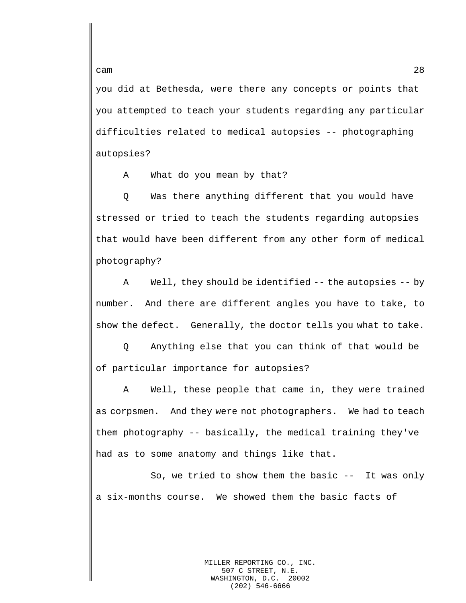you did at Bethesda, were there any concepts or points that you attempted to teach your students regarding any particular difficulties related to medical autopsies -- photographing autopsies?

A What do you mean by that?

Q Was there anything different that you would have stressed or tried to teach the students regarding autopsies that would have been different from any other form of medical photography?

A Well, they should be identified -- the autopsies -- by number. And there are different angles you have to take, to show the defect. Generally, the doctor tells you what to take.

Q Anything else that you can think of that would be of particular importance for autopsies?

A Well, these people that came in, they were trained as corpsmen. And they were not photographers. We had to teach them photography -- basically, the medical training they've had as to some anatomy and things like that.

So, we tried to show them the basic  $-$ - It was only a six-months course. We showed them the basic facts of

cam 28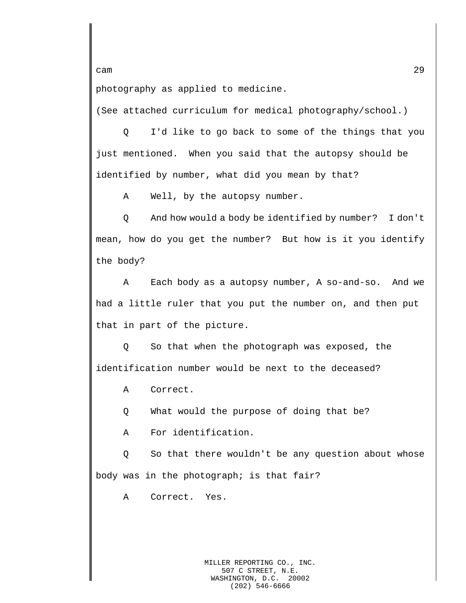photography as applied to medicine.

(See attached curriculum for medical photography/school.)

Q I'd like to go back to some of the things that you just mentioned. When you said that the autopsy should be identified by number, what did you mean by that?

A Well, by the autopsy number.

Q And how would a body be identified by number? I don't mean, how do you get the number? But how is it you identify the body?

A Each body as a autopsy number, A so-and-so. And we had a little ruler that you put the number on, and then put that in part of the picture.

Q So that when the photograph was exposed, the identification number would be next to the deceased?

A Correct.

Q What would the purpose of doing that be?

A For identification.

Q So that there wouldn't be any question about whose body was in the photograph; is that fair?

A Correct. Yes.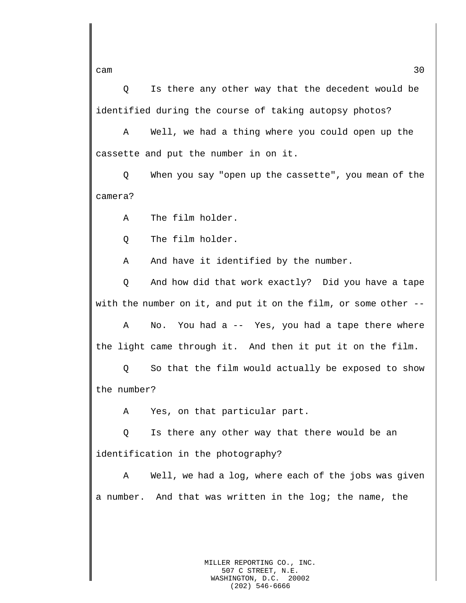Q Is there any other way that the decedent would be identified during the course of taking autopsy photos?

A Well, we had a thing where you could open up the cassette and put the number in on it.

Q When you say "open up the cassette", you mean of the camera?

A The film holder.

Q The film holder.

A And have it identified by the number.

Q And how did that work exactly? Did you have a tape with the number on it, and put it on the film, or some other --

A No. You had a -- Yes, you had a tape there where the light came through it. And then it put it on the film.

Q So that the film would actually be exposed to show the number?

A Yes, on that particular part.

Q Is there any other way that there would be an identification in the photography?

A Well, we had a log, where each of the jobs was given a number. And that was written in the log; the name, the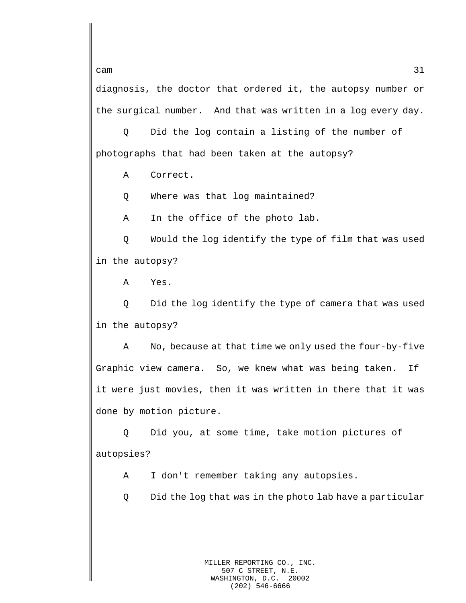diagnosis, the doctor that ordered it, the autopsy number or the surgical number. And that was written in a log every day.

Q Did the log contain a listing of the number of photographs that had been taken at the autopsy?

A Correct.

Q Where was that log maintained?

A In the office of the photo lab.

Q Would the log identify the type of film that was used in the autopsy?

A Yes.

Q Did the log identify the type of camera that was used in the autopsy?

A No, because at that time we only used the four-by-five Graphic view camera. So, we knew what was being taken. If it were just movies, then it was written in there that it was done by motion picture.

Q Did you, at some time, take motion pictures of autopsies?

A I don't remember taking any autopsies.

Q Did the log that was in the photo lab have a particular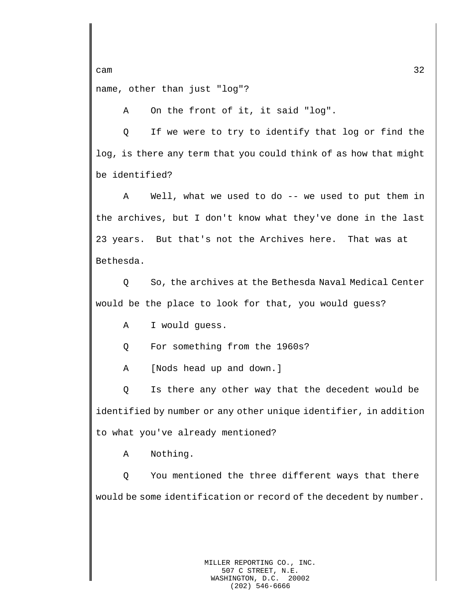cam  $32$ name, other than just "log"?

A On the front of it, it said "log".

Q If we were to try to identify that log or find the log, is there any term that you could think of as how that might be identified?

A Well, what we used to do -- we used to put them in the archives, but I don't know what they've done in the last 23 years. But that's not the Archives here. That was at Bethesda.

Q So, the archives at the Bethesda Naval Medical Center would be the place to look for that, you would guess?

A I would guess.

Q For something from the 1960s?

A [Nods head up and down.]

Q Is there any other way that the decedent would be identified by number or any other unique identifier, in addition to what you've already mentioned?

A Nothing.

Q You mentioned the three different ways that there would be some identification or record of the decedent by number.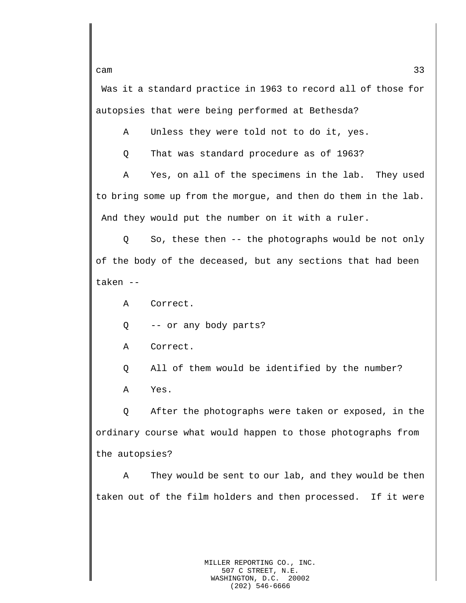Was it a standard practice in 1963 to record all of those for autopsies that were being performed at Bethesda?

A Unless they were told not to do it, yes.

Q That was standard procedure as of 1963?

A Yes, on all of the specimens in the lab. They used to bring some up from the morgue, and then do them in the lab. And they would put the number on it with a ruler.

Q So, these then -- the photographs would be not only of the body of the deceased, but any sections that had been taken --

A Correct.

Q -- or any body parts?

- A Correct.
- Q All of them would be identified by the number? A Yes.

Q After the photographs were taken or exposed, in the ordinary course what would happen to those photographs from the autopsies?

A They would be sent to our lab, and they would be then taken out of the film holders and then processed. If it were

cam  $33$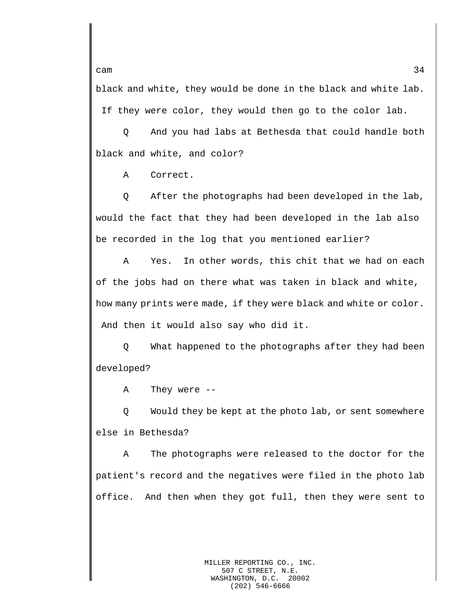black and white, they would be done in the black and white lab.

If they were color, they would then go to the color lab.

Q And you had labs at Bethesda that could handle both black and white, and color?

A Correct.

Q After the photographs had been developed in the lab, would the fact that they had been developed in the lab also be recorded in the log that you mentioned earlier?

A Yes. In other words, this chit that we had on each of the jobs had on there what was taken in black and white, how many prints were made, if they were black and white or color. And then it would also say who did it.

Q What happened to the photographs after they had been developed?

A They were --

Q Would they be kept at the photo lab, or sent somewhere else in Bethesda?

A The photographs were released to the doctor for the patient's record and the negatives were filed in the photo lab office. And then when they got full, then they were sent to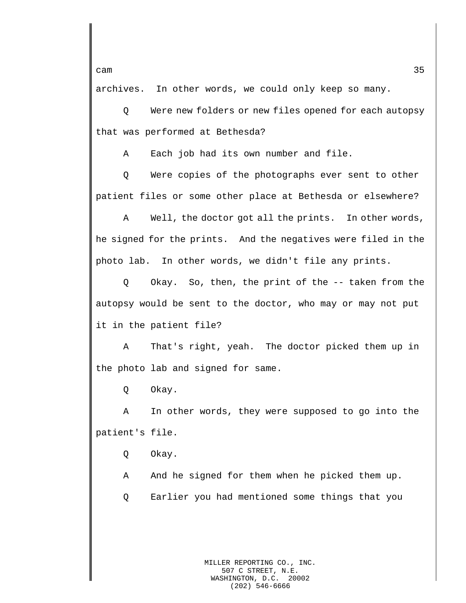archives. In other words, we could only keep so many.

Q Were new folders or new files opened for each autopsy that was performed at Bethesda?

A Each job had its own number and file.

Q Were copies of the photographs ever sent to other patient files or some other place at Bethesda or elsewhere?

A Well, the doctor got all the prints. In other words, he signed for the prints. And the negatives were filed in the photo lab. In other words, we didn't file any prints.

Q Okay. So, then, the print of the -- taken from the autopsy would be sent to the doctor, who may or may not put it in the patient file?

A That's right, yeah. The doctor picked them up in the photo lab and signed for same.

Q Okay.

A In other words, they were supposed to go into the patient's file.

Q Okay.

A And he signed for them when he picked them up.

Q Earlier you had mentioned some things that you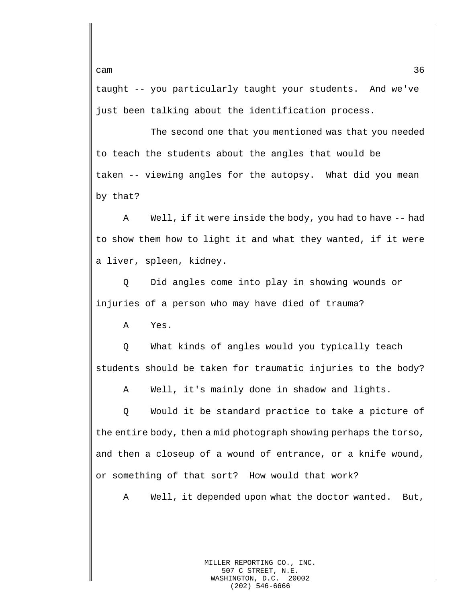taught -- you particularly taught your students. And we've just been talking about the identification process.

The second one that you mentioned was that you needed to teach the students about the angles that would be taken -- viewing angles for the autopsy. What did you mean by that?

A Well, if it were inside the body, you had to have -- had to show them how to light it and what they wanted, if it were a liver, spleen, kidney.

Q Did angles come into play in showing wounds or injuries of a person who may have died of trauma?

A Yes.

Q What kinds of angles would you typically teach students should be taken for traumatic injuries to the body?

A Well, it's mainly done in shadow and lights.

Q Would it be standard practice to take a picture of the entire body, then a mid photograph showing perhaps the torso, and then a closeup of a wound of entrance, or a knife wound, or something of that sort? How would that work?

A Well, it depended upon what the doctor wanted. But,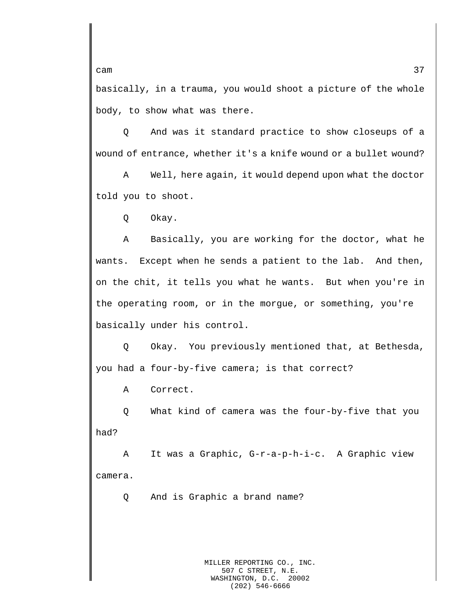basically, in a trauma, you would shoot a picture of the whole body, to show what was there.

Q And was it standard practice to show closeups of a wound of entrance, whether it's a knife wound or a bullet wound?

A Well, here again, it would depend upon what the doctor told you to shoot.

Q Okay.

A Basically, you are working for the doctor, what he wants. Except when he sends a patient to the lab. And then, on the chit, it tells you what he wants. But when you're in the operating room, or in the morgue, or something, you're basically under his control.

Q Okay. You previously mentioned that, at Bethesda, you had a four-by-five camera; is that correct?

A Correct.

Q What kind of camera was the four-by-five that you had?

A It was a Graphic, G-r-a-p-h-i-c. A Graphic view camera.

Q And is Graphic a brand name?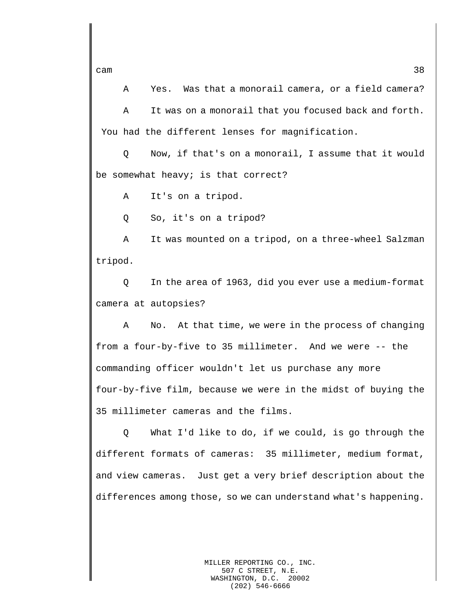A Yes. Was that a monorail camera, or a field camera? A It was on a monorail that you focused back and forth. You had the different lenses for magnification.

Q Now, if that's on a monorail, I assume that it would be somewhat heavy; is that correct?

A It's on a tripod.

Q So, it's on a tripod?

A It was mounted on a tripod, on a three-wheel Salzman tripod.

Q In the area of 1963, did you ever use a medium-format camera at autopsies?

A No. At that time, we were in the process of changing from a four-by-five to 35 millimeter. And we were -- the commanding officer wouldn't let us purchase any more four-by-five film, because we were in the midst of buying the 35 millimeter cameras and the films.

Q What I'd like to do, if we could, is go through the different formats of cameras: 35 millimeter, medium format, and view cameras. Just get a very brief description about the differences among those, so we can understand what's happening.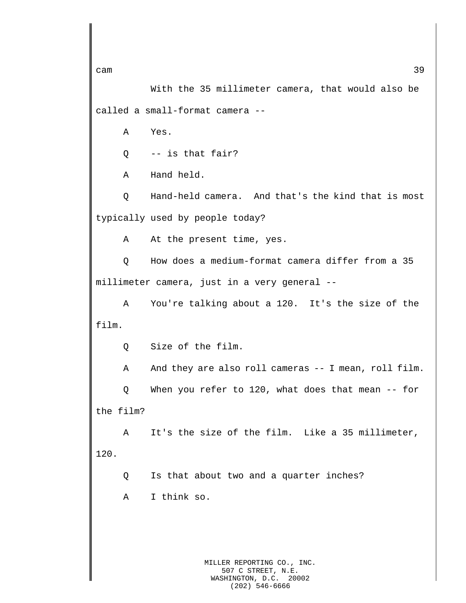With the 35 millimeter camera, that would also be called a small-format camera --

A Yes.

Q -- is that fair?

A Hand held.

Q Hand-held camera. And that's the kind that is most typically used by people today?

A At the present time, yes.

Q How does a medium-format camera differ from a 35 millimeter camera, just in a very general --

A You're talking about a 120. It's the size of the film.

Q Size of the film.

A And they are also roll cameras -- I mean, roll film.

Q When you refer to 120, what does that mean -- for the film?

A It's the size of the film. Like a 35 millimeter, 120.

Q Is that about two and a quarter inches?

A I think so.

MILLER REPORTING CO., INC. 507 C STREET, N.E. WASHINGTON, D.C. 20002 (202) 546-6666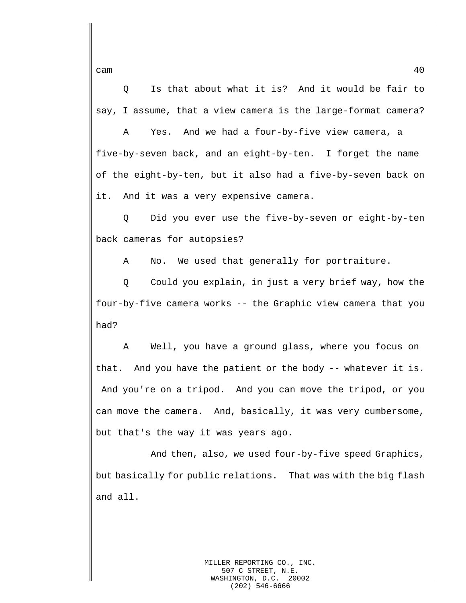Q Is that about what it is? And it would be fair to say, I assume, that a view camera is the large-format camera?

A Yes. And we had a four-by-five view camera, a five-by-seven back, and an eight-by-ten. I forget the name of the eight-by-ten, but it also had a five-by-seven back on it. And it was a very expensive camera.

Q Did you ever use the five-by-seven or eight-by-ten back cameras for autopsies?

A No. We used that generally for portraiture.

Q Could you explain, in just a very brief way, how the four-by-five camera works -- the Graphic view camera that you had?

A Well, you have a ground glass, where you focus on that. And you have the patient or the body -- whatever it is. And you're on a tripod. And you can move the tripod, or you can move the camera. And, basically, it was very cumbersome, but that's the way it was years ago.

And then, also, we used four-by-five speed Graphics, but basically for public relations. That was with the big flash and all.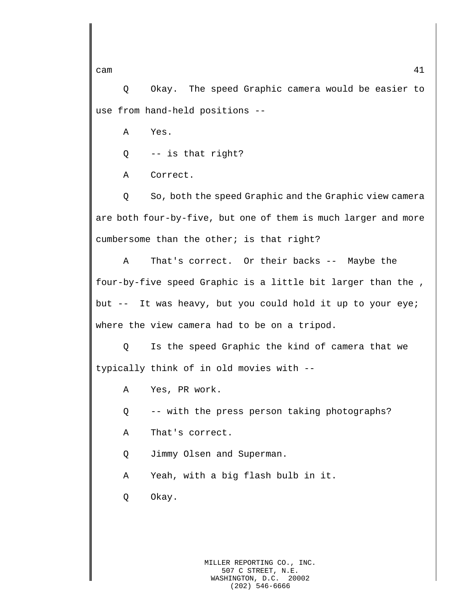Q Okay. The speed Graphic camera would be easier to use from hand-held positions --

A Yes.

Q -- is that right?

A Correct.

Q So, both the speed Graphic and the Graphic view camera are both four-by-five, but one of them is much larger and more cumbersome than the other; is that right?

A That's correct. Or their backs -- Maybe the four-by-five speed Graphic is a little bit larger than the , but -- It was heavy, but you could hold it up to your eye; where the view camera had to be on a tripod.

Q Is the speed Graphic the kind of camera that we typically think of in old movies with --

A Yes, PR work.

Q -- with the press person taking photographs?

A That's correct.

Q Jimmy Olsen and Superman.

A Yeah, with a big flash bulb in it.

Q Okay.

MILLER REPORTING CO., INC. 507 C STREET, N.E.<br>SHINGTON, D.C. 20002 WASHINGTON, D.C. (202) 546-6666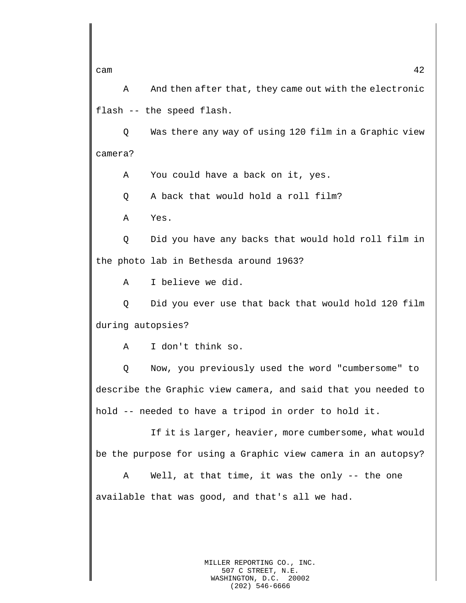A And then after that, they came out with the electronic flash -- the speed flash.

Q Was there any way of using 120 film in a Graphic view camera?

A You could have a back on it, yes.

Q A back that would hold a roll film?

A Yes.

Q Did you have any backs that would hold roll film in the photo lab in Bethesda around 1963?

A I believe we did.

Q Did you ever use that back that would hold 120 film during autopsies?

A I don't think so.

Q Now, you previously used the word "cumbersome" to describe the Graphic view camera, and said that you needed to hold -- needed to have a tripod in order to hold it.

If it is larger, heavier, more cumbersome, what would be the purpose for using a Graphic view camera in an autopsy?

A Well, at that time, it was the only -- the one available that was good, and that's all we had.

> MILLER REPORTING CO., INC. 507 C STREET, N.E. WASHINGTON, D.C. 20002 (202) 546-6666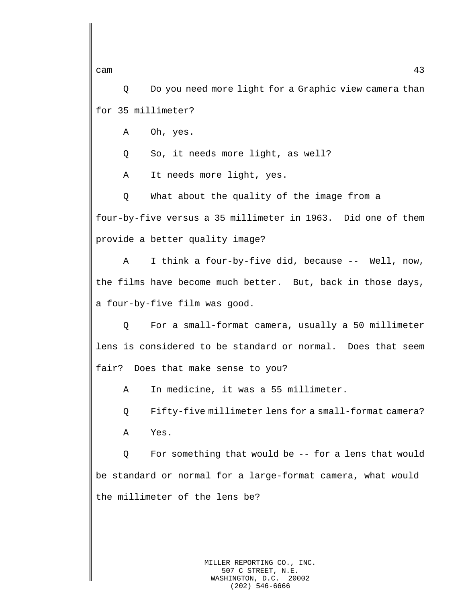Q Do you need more light for a Graphic view camera than for 35 millimeter?

A Oh, yes.

Q So, it needs more light, as well?

A It needs more light, yes.

Q What about the quality of the image from a four-by-five versus a 35 millimeter in 1963. Did one of them provide a better quality image?

A I think a four-by-five did, because -- Well, now, the films have become much better. But, back in those days, a four-by-five film was good.

Q For a small-format camera, usually a 50 millimeter lens is considered to be standard or normal. Does that seem fair? Does that make sense to you?

A In medicine, it was a 55 millimeter.

Q Fifty-five millimeter lens for a small-format camera?

A Yes.

Q For something that would be -- for a lens that would be standard or normal for a large-format camera, what would the millimeter of the lens be?

cam  $43$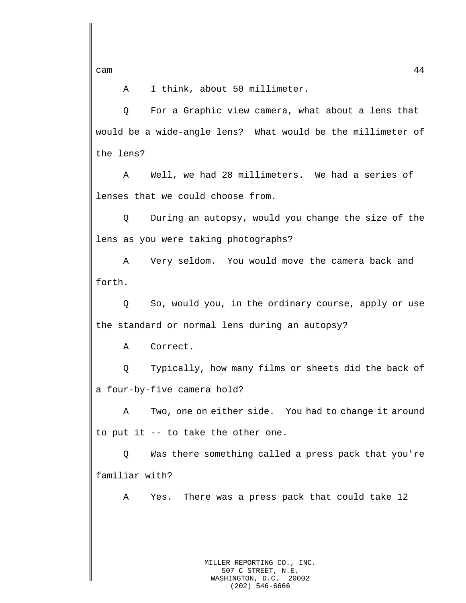A I think, about 50 millimeter.

Q For a Graphic view camera, what about a lens that would be a wide-angle lens? What would be the millimeter of the lens?

A Well, we had 28 millimeters. We had a series of lenses that we could choose from.

Q During an autopsy, would you change the size of the lens as you were taking photographs?

A Very seldom. You would move the camera back and forth.

Q So, would you, in the ordinary course, apply or use the standard or normal lens during an autopsy?

A Correct.

Q Typically, how many films or sheets did the back of a four-by-five camera hold?

A Two, one on either side. You had to change it around to put it -- to take the other one.

Q Was there something called a press pack that you're familiar with?

A Yes. There was a press pack that could take 12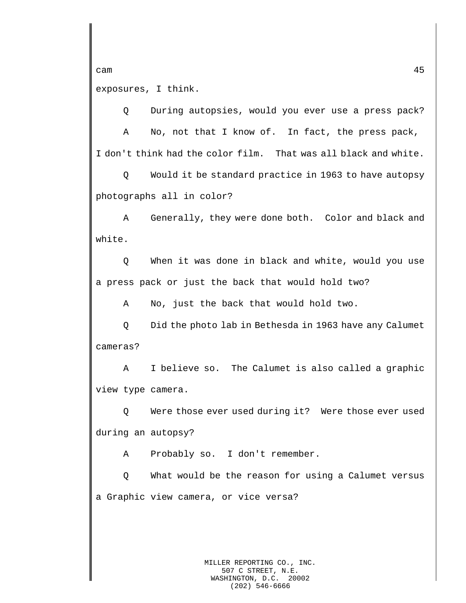exposures, I think.

Q During autopsies, would you ever use a press pack?

A No, not that I know of. In fact, the press pack, I don't think had the color film. That was all black and white.

Q Would it be standard practice in 1963 to have autopsy photographs all in color?

A Generally, they were done both. Color and black and white.

Q When it was done in black and white, would you use a press pack or just the back that would hold two?

A No, just the back that would hold two.

Q Did the photo lab in Bethesda in 1963 have any Calumet cameras?

A I believe so. The Calumet is also called a graphic view type camera.

Q Were those ever used during it? Were those ever used during an autopsy?

A Probably so. I don't remember.

Q What would be the reason for using a Calumet versus a Graphic view camera, or vice versa?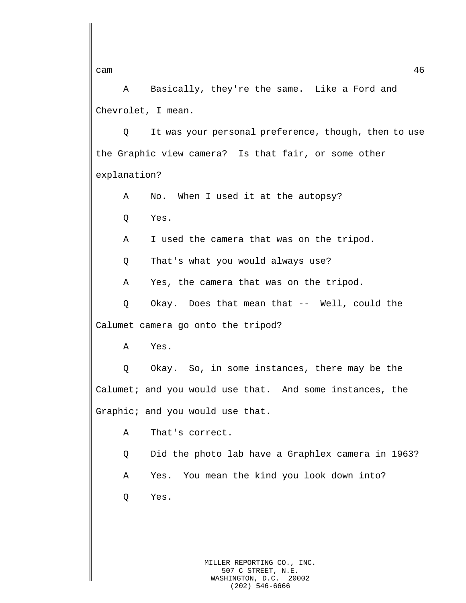A Basically, they're the same. Like a Ford and Chevrolet, I mean.

Q It was your personal preference, though, then to use the Graphic view camera? Is that fair, or some other explanation?

A No. When I used it at the autopsy?

Q Yes.

A I used the camera that was on the tripod.

Q That's what you would always use?

A Yes, the camera that was on the tripod.

Q Okay. Does that mean that -- Well, could the Calumet camera go onto the tripod?

A Yes.

Q Okay. So, in some instances, there may be the Calumet; and you would use that. And some instances, the Graphic; and you would use that.

A That's correct.

Q Did the photo lab have a Graphlex camera in 1963?

A Yes. You mean the kind you look down into?

Q Yes.

MILLER REPORTING CO., INC. 507 C STREET, N.E. WASHINGTON, D.C. 20002 (202) 546-6666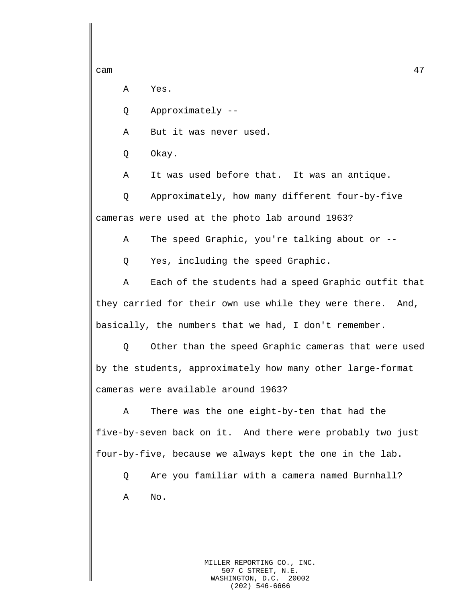A Yes.

Q Approximately --

A But it was never used.

Q Okay.

A It was used before that. It was an antique.

Q Approximately, how many different four-by-five cameras were used at the photo lab around 1963?

A The speed Graphic, you're talking about or --

Q Yes, including the speed Graphic.

A Each of the students had a speed Graphic outfit that they carried for their own use while they were there. And, basically, the numbers that we had, I don't remember.

Q Other than the speed Graphic cameras that were used by the students, approximately how many other large-format cameras were available around 1963?

A There was the one eight-by-ten that had the five-by-seven back on it. And there were probably two just four-by-five, because we always kept the one in the lab.

Q Are you familiar with a camera named Burnhall? A No.

> MILLER REPORTING CO., INC. 507 C STREET, N.E. WASHINGTON, D.C. 20002 (202) 546-6666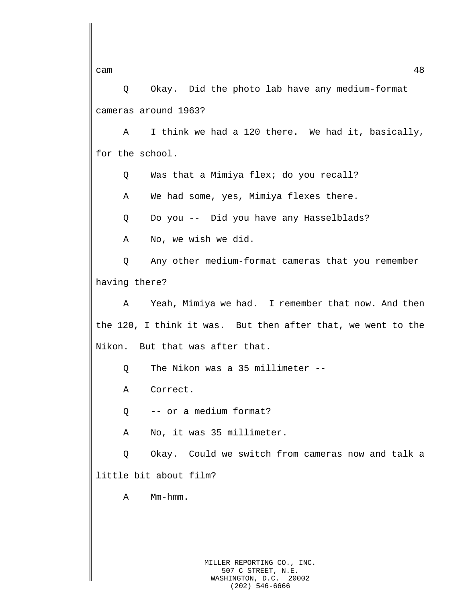Q Okay. Did the photo lab have any medium-format cameras around 1963?

A I think we had a 120 there. We had it, basically, for the school.

Q Was that a Mimiya flex; do you recall?

A We had some, yes, Mimiya flexes there.

Q Do you -- Did you have any Hasselblads?

A No, we wish we did.

Q Any other medium-format cameras that you remember having there?

A Yeah, Mimiya we had. I remember that now. And then the 120, I think it was. But then after that, we went to the Nikon. But that was after that.

Q The Nikon was a 35 millimeter --

A Correct.

Q -- or a medium format?

A No, it was 35 millimeter.

Q Okay. Could we switch from cameras now and talk a little bit about film?

A Mm-hmm.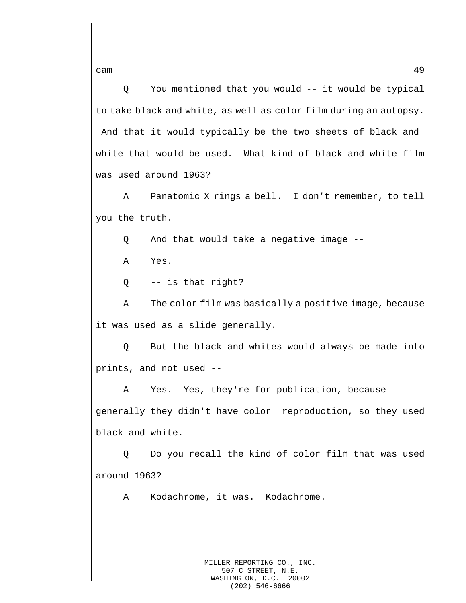cam and the contract of the contract of the contract of the contract of the contract of the contract of the contract of the contract of the contract of the contract of the contract of the contract of the contract of the co

Q You mentioned that you would -- it would be typical to take black and white, as well as color film during an autopsy. And that it would typically be the two sheets of black and white that would be used. What kind of black and white film was used around 1963?

A Panatomic X rings a bell. I don't remember, to tell you the truth.

Q And that would take a negative image --

A Yes.

Q -- is that right?

A The color film was basically a positive image, because it was used as a slide generally.

Q But the black and whites would always be made into prints, and not used --

A Yes. Yes, they're for publication, because generally they didn't have color reproduction, so they used black and white.

Q Do you recall the kind of color film that was used around 1963?

A Kodachrome, it was. Kodachrome.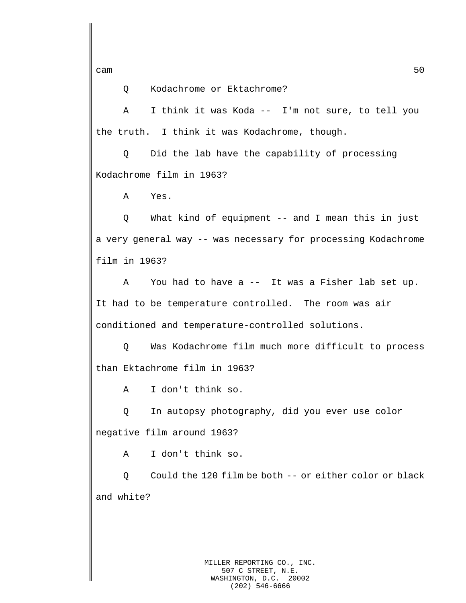Q Kodachrome or Ektachrome?

A I think it was Koda -- I'm not sure, to tell you the truth. I think it was Kodachrome, though.

Q Did the lab have the capability of processing Kodachrome film in 1963?

A Yes.

Q What kind of equipment -- and I mean this in just a very general way -- was necessary for processing Kodachrome film in 1963?

A You had to have a -- It was a Fisher lab set up. It had to be temperature controlled. The room was air conditioned and temperature-controlled solutions.

Q Was Kodachrome film much more difficult to process than Ektachrome film in 1963?

A I don't think so.

Q In autopsy photography, did you ever use color negative film around 1963?

A I don't think so.

Q Could the 120 film be both -- or either color or black and white?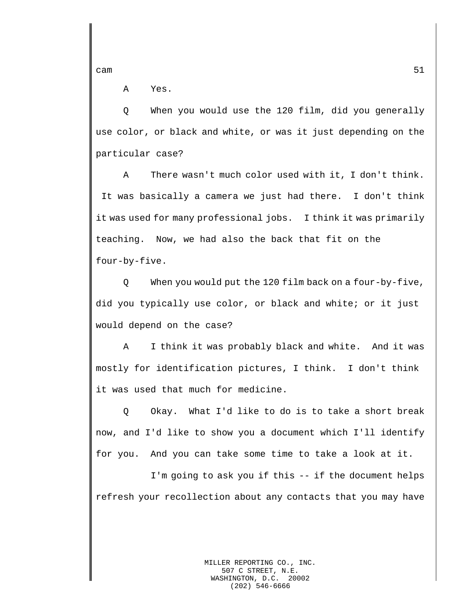A Yes.

Q When you would use the 120 film, did you generally use color, or black and white, or was it just depending on the particular case?

A There wasn't much color used with it, I don't think. It was basically a camera we just had there. I don't think it was used for many professional jobs. I think it was primarily teaching. Now, we had also the back that fit on the four-by-five.

Q When you would put the 120 film back on a four-by-five, did you typically use color, or black and white; or it just would depend on the case?

A I think it was probably black and white. And it was mostly for identification pictures, I think. I don't think it was used that much for medicine.

Q Okay. What I'd like to do is to take a short break now, and I'd like to show you a document which I'll identify for you. And you can take some time to take a look at it.

I'm going to ask you if this -- if the document helps refresh your recollection about any contacts that you may have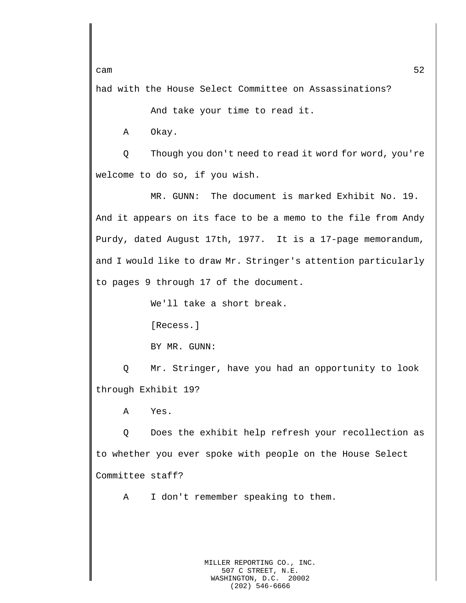had with the House Select Committee on Assassinations?

And take your time to read it.

A Okay.

Q Though you don't need to read it word for word, you're welcome to do so, if you wish.

MR. GUNN: The document is marked Exhibit No. 19. And it appears on its face to be a memo to the file from Andy Purdy, dated August 17th, 1977. It is a 17-page memorandum, and I would like to draw Mr. Stringer's attention particularly to pages 9 through 17 of the document.

We'll take a short break.

[Recess.]

BY MR. GUNN:

Q Mr. Stringer, have you had an opportunity to look through Exhibit 19?

A Yes.

Q Does the exhibit help refresh your recollection as to whether you ever spoke with people on the House Select Committee staff?

A I don't remember speaking to them.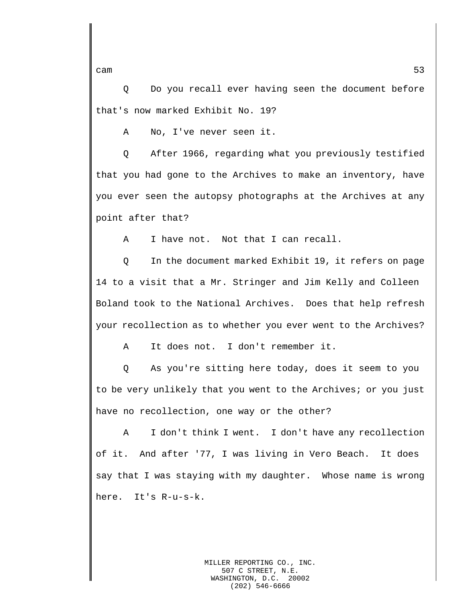Q Do you recall ever having seen the document before that's now marked Exhibit No. 19?

A No, I've never seen it.

Q After 1966, regarding what you previously testified that you had gone to the Archives to make an inventory, have you ever seen the autopsy photographs at the Archives at any point after that?

A I have not. Not that I can recall.

Q In the document marked Exhibit 19, it refers on page 14 to a visit that a Mr. Stringer and Jim Kelly and Colleen Boland took to the National Archives. Does that help refresh your recollection as to whether you ever went to the Archives?

A It does not. I don't remember it.

Q As you're sitting here today, does it seem to you to be very unlikely that you went to the Archives; or you just have no recollection, one way or the other?

A I don't think I went. I don't have any recollection of it. And after '77, I was living in Vero Beach. It does say that I was staying with my daughter. Whose name is wrong here. It's R-u-s-k.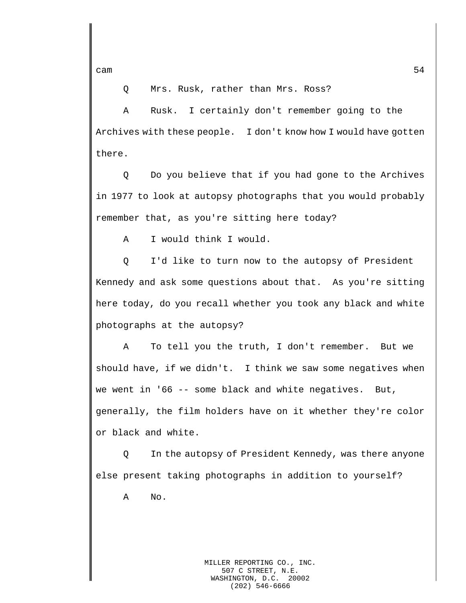Q Mrs. Rusk, rather than Mrs. Ross?

A Rusk. I certainly don't remember going to the Archives with these people. I don't know how I would have gotten there.

Q Do you believe that if you had gone to the Archives in 1977 to look at autopsy photographs that you would probably remember that, as you're sitting here today?

A I would think I would.

Q I'd like to turn now to the autopsy of President Kennedy and ask some questions about that. As you're sitting here today, do you recall whether you took any black and white photographs at the autopsy?

A To tell you the truth, I don't remember. But we should have, if we didn't. I think we saw some negatives when we went in '66 -- some black and white negatives. But, generally, the film holders have on it whether they're color or black and white.

Q In the autopsy of President Kennedy, was there anyone else present taking photographs in addition to yourself?

A No.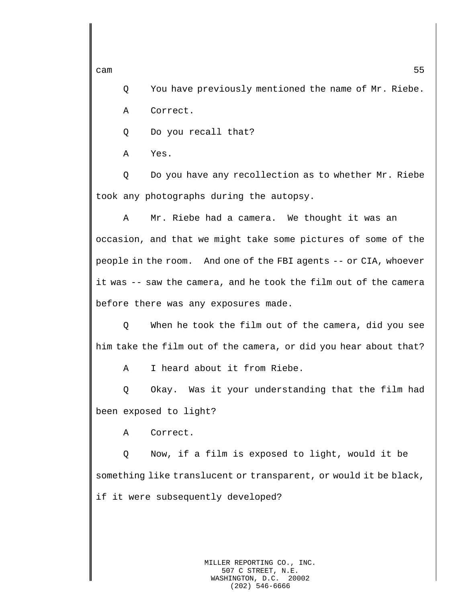Q You have previously mentioned the name of Mr. Riebe.

A Correct.

Q Do you recall that?

A Yes.

Q Do you have any recollection as to whether Mr. Riebe took any photographs during the autopsy.

A Mr. Riebe had a camera. We thought it was an occasion, and that we might take some pictures of some of the people in the room. And one of the FBI agents -- or CIA, whoever it was -- saw the camera, and he took the film out of the camera before there was any exposures made.

Q When he took the film out of the camera, did you see him take the film out of the camera, or did you hear about that?

A I heard about it from Riebe.

Q Okay. Was it your understanding that the film had been exposed to light?

A Correct.

Q Now, if a film is exposed to light, would it be something like translucent or transparent, or would it be black, if it were subsequently developed?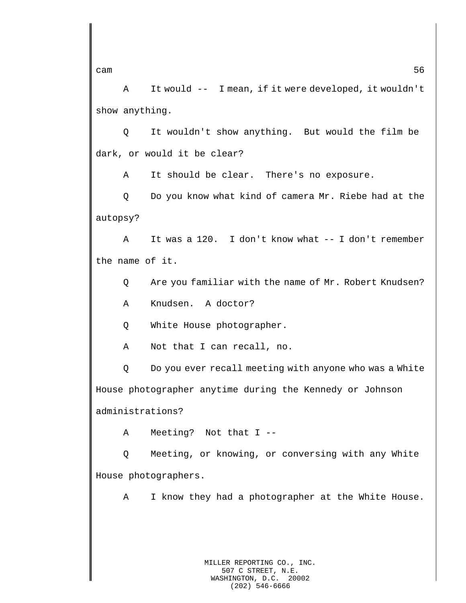A It would -- I mean, if it were developed, it wouldn't show anything.

Q It wouldn't show anything. But would the film be dark, or would it be clear?

A It should be clear. There's no exposure.

Q Do you know what kind of camera Mr. Riebe had at the autopsy?

A It was a 120. I don't know what -- I don't remember the name of it.

Q Are you familiar with the name of Mr. Robert Knudsen?

A Knudsen. A doctor?

Q White House photographer.

A Not that I can recall, no.

Q Do you ever recall meeting with anyone who was a White House photographer anytime during the Kennedy or Johnson administrations?

A Meeting? Not that I --

Q Meeting, or knowing, or conversing with any White House photographers.

A I know they had a photographer at the White House.

cam  $56$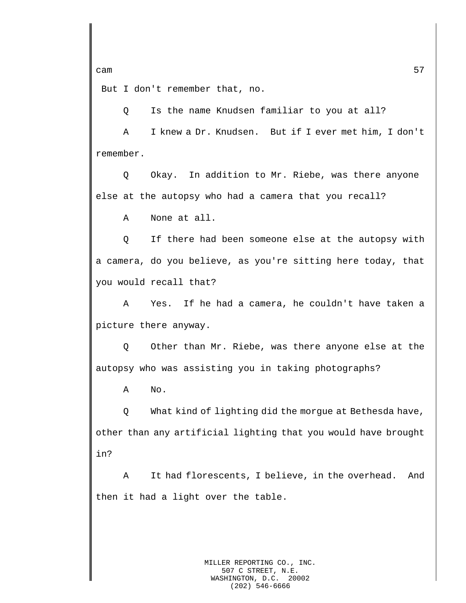But I don't remember that, no.

Q Is the name Knudsen familiar to you at all?

A I knew a Dr. Knudsen. But if I ever met him, I don't remember.

Q Okay. In addition to Mr. Riebe, was there anyone else at the autopsy who had a camera that you recall?

A None at all.

Q If there had been someone else at the autopsy with a camera, do you believe, as you're sitting here today, that you would recall that?

A Yes. If he had a camera, he couldn't have taken a picture there anyway.

Q Other than Mr. Riebe, was there anyone else at the autopsy who was assisting you in taking photographs?

A No.

Q What kind of lighting did the morgue at Bethesda have, other than any artificial lighting that you would have brought in?

A It had florescents, I believe, in the overhead. And then it had a light over the table.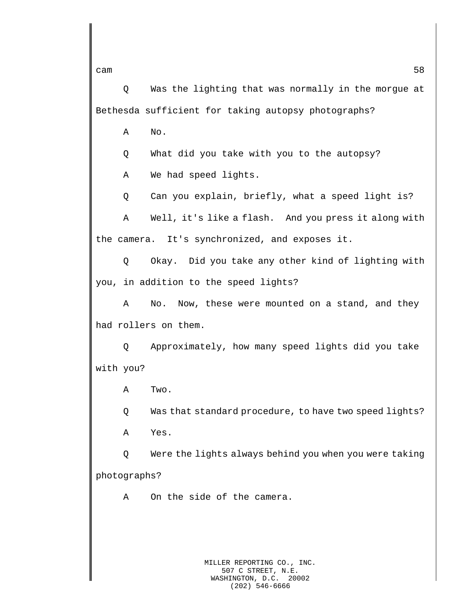Q Was the lighting that was normally in the morgue at Bethesda sufficient for taking autopsy photographs?

A No.

Q What did you take with you to the autopsy?

A We had speed lights.

Q Can you explain, briefly, what a speed light is?

A Well, it's like a flash. And you press it along with the camera. It's synchronized, and exposes it.

Q Okay. Did you take any other kind of lighting with you, in addition to the speed lights?

A No. Now, these were mounted on a stand, and they had rollers on them.

Q Approximately, how many speed lights did you take with you?

A Two.

Q Was that standard procedure, to have two speed lights?

A Yes.

Q Were the lights always behind you when you were taking photographs?

A On the side of the camera.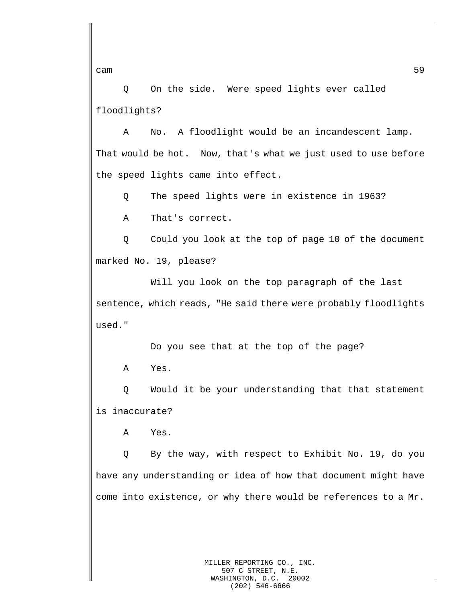Q On the side. Were speed lights ever called floodlights?

A No. A floodlight would be an incandescent lamp. That would be hot. Now, that's what we just used to use before the speed lights came into effect.

Q The speed lights were in existence in 1963?

A That's correct.

Q Could you look at the top of page 10 of the document marked No. 19, please?

Will you look on the top paragraph of the last sentence, which reads, "He said there were probably floodlights used."

Do you see that at the top of the page?

A Yes.

Q Would it be your understanding that that statement is inaccurate?

A Yes.

Q By the way, with respect to Exhibit No. 19, do you have any understanding or idea of how that document might have come into existence, or why there would be references to a Mr.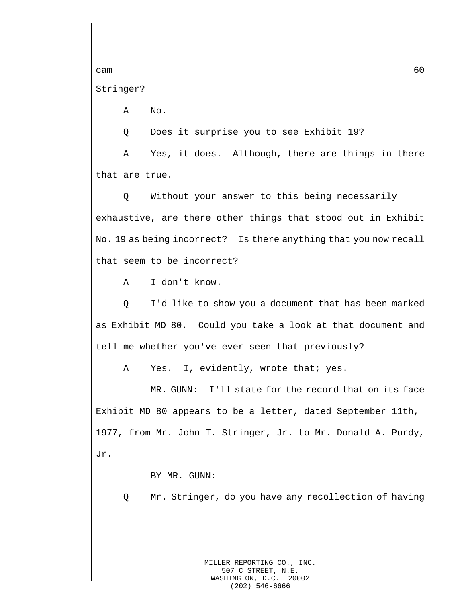Stringer?

A No.

Q Does it surprise you to see Exhibit 19?

A Yes, it does. Although, there are things in there that are true.

Q Without your answer to this being necessarily exhaustive, are there other things that stood out in Exhibit No. 19 as being incorrect? Is there anything that you now recall that seem to be incorrect?

A I don't know.

Q I'd like to show you a document that has been marked as Exhibit MD 80. Could you take a look at that document and tell me whether you've ever seen that previously?

A Yes. I, evidently, wrote that; yes.

MR. GUNN: I'll state for the record that on its face Exhibit MD 80 appears to be a letter, dated September 11th, 1977, from Mr. John T. Stringer, Jr. to Mr. Donald A. Purdy, Jr.

BY MR. GUNN:

Q Mr. Stringer, do you have any recollection of having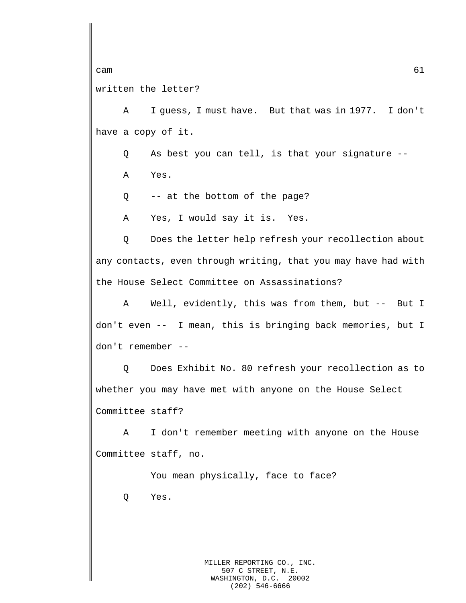## written the letter?

A I guess, I must have. But that was in 1977. I don't have a copy of it.

Q As best you can tell, is that your signature --

A Yes.

Q -- at the bottom of the page?

A Yes, I would say it is. Yes.

Q Does the letter help refresh your recollection about any contacts, even through writing, that you may have had with the House Select Committee on Assassinations?

A Well, evidently, this was from them, but -- But I don't even -- I mean, this is bringing back memories, but I don't remember --

Q Does Exhibit No. 80 refresh your recollection as to whether you may have met with anyone on the House Select Committee staff?

A I don't remember meeting with anyone on the House Committee staff, no.

You mean physically, face to face? Q Yes.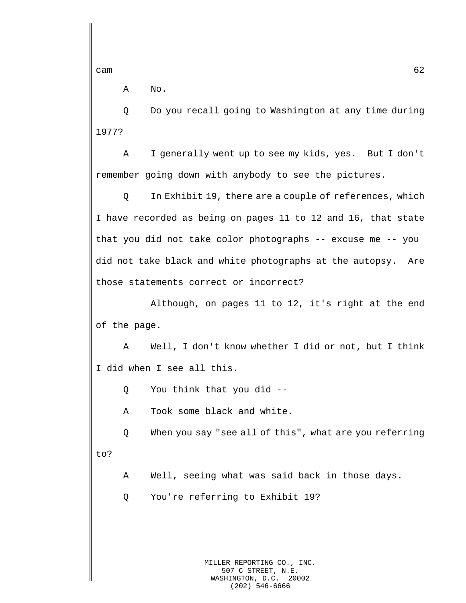A No.

Q Do you recall going to Washington at any time during 1977?

A I generally went up to see my kids, yes. But I don't remember going down with anybody to see the pictures.

Q In Exhibit 19, there are a couple of references, which I have recorded as being on pages 11 to 12 and 16, that state that you did not take color photographs -- excuse me -- you did not take black and white photographs at the autopsy. Are those statements correct or incorrect?

Although, on pages 11 to 12, it's right at the end of the page.

A Well, I don't know whether I did or not, but I think I did when I see all this.

Q You think that you did --

A Took some black and white.

Q When you say "see all of this", what are you referring to?

A Well, seeing what was said back in those days.

Q You're referring to Exhibit 19?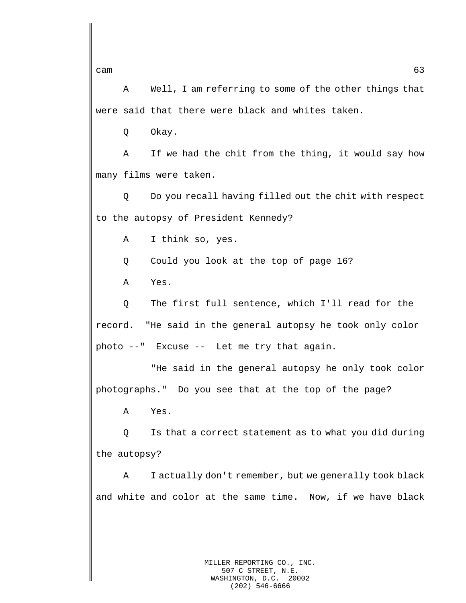A Well, I am referring to some of the other things that were said that there were black and whites taken.

Q Okay.

A If we had the chit from the thing, it would say how many films were taken.

Q Do you recall having filled out the chit with respect to the autopsy of President Kennedy?

A I think so, yes.

Q Could you look at the top of page 16?

A Yes.

Q The first full sentence, which I'll read for the record. "He said in the general autopsy he took only color photo --" Excuse -- Let me try that again.

"He said in the general autopsy he only took color photographs." Do you see that at the top of the page?

A Yes.

Q Is that a correct statement as to what you did during the autopsy?

A I actually don't remember, but we generally took black and white and color at the same time. Now, if we have black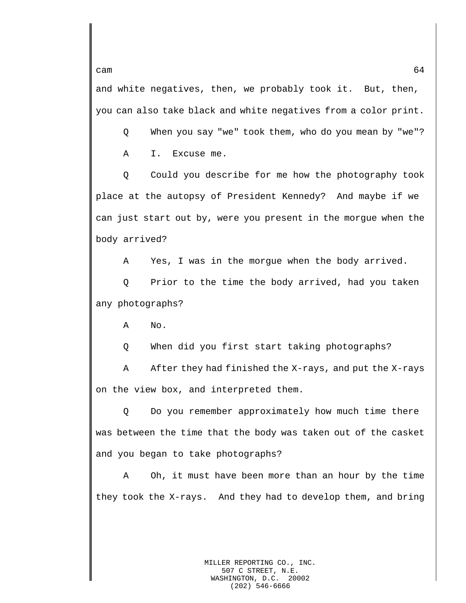and white negatives, then, we probably took it. But, then, you can also take black and white negatives from a color print.

Q When you say "we" took them, who do you mean by "we"?

A I. Excuse me.

Q Could you describe for me how the photography took place at the autopsy of President Kennedy? And maybe if we can just start out by, were you present in the morgue when the body arrived?

A Yes, I was in the morgue when the body arrived.

Q Prior to the time the body arrived, had you taken any photographs?

A No.

Q When did you first start taking photographs?

A After they had finished the X-rays, and put the X-rays on the view box, and interpreted them.

Q Do you remember approximately how much time there was between the time that the body was taken out of the casket and you began to take photographs?

A Oh, it must have been more than an hour by the time they took the X-rays. And they had to develop them, and bring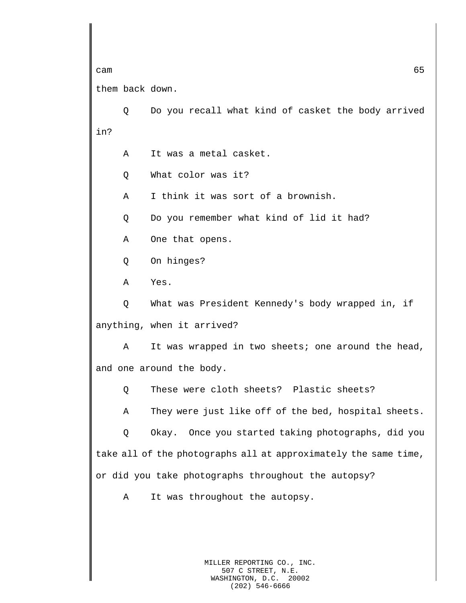cam  $65$ them back down. Q Do you recall what kind of casket the body arrived in? A It was a metal casket. Q What color was it? A I think it was sort of a brownish. Q Do you remember what kind of lid it had? A One that opens. Q On hinges? A Yes. Q What was President Kennedy's body wrapped in, if anything, when it arrived? A It was wrapped in two sheets; one around the head, and one around the body. Q These were cloth sheets? Plastic sheets? A They were just like off of the bed, hospital sheets. Q Okay. Once you started taking photographs, did you take all of the photographs all at approximately the same time, or did you take photographs throughout the autopsy? A It was throughout the autopsy.

> MILLER REPORTING CO., INC. 507 C STREET, N.E. WASHINGTON, D.C. 20002 (202) 546-6666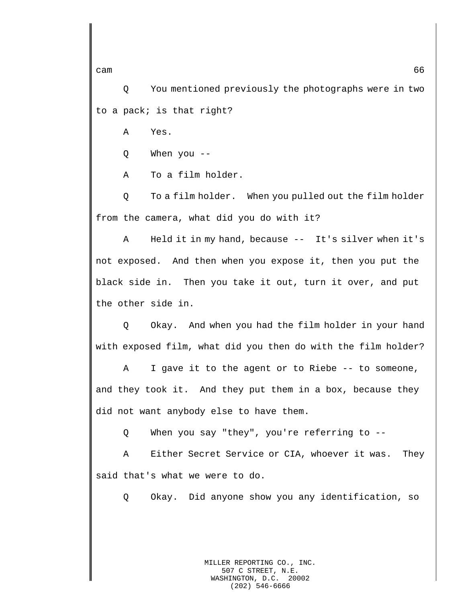Q You mentioned previously the photographs were in two to a pack; is that right?

A Yes.

Q When you --

A To a film holder.

Q To a film holder. When you pulled out the film holder from the camera, what did you do with it?

A Held it in my hand, because -- It's silver when it's not exposed. And then when you expose it, then you put the black side in. Then you take it out, turn it over, and put the other side in.

Q Okay. And when you had the film holder in your hand with exposed film, what did you then do with the film holder?

A I gave it to the agent or to Riebe -- to someone, and they took it. And they put them in a box, because they did not want anybody else to have them.

Q When you say "they", you're referring to --

A Either Secret Service or CIA, whoever it was. They said that's what we were to do.

Q Okay. Did anyone show you any identification, so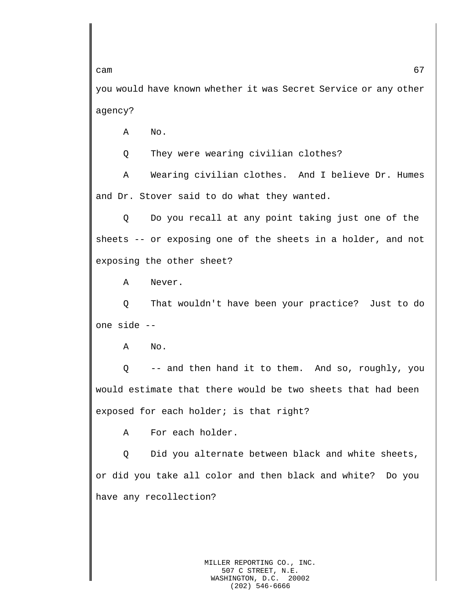you would have known whether it was Secret Service or any other agency?

A No.

Q They were wearing civilian clothes?

A Wearing civilian clothes. And I believe Dr. Humes and Dr. Stover said to do what they wanted.

Q Do you recall at any point taking just one of the sheets -- or exposing one of the sheets in a holder, and not exposing the other sheet?

A Never.

Q That wouldn't have been your practice? Just to do one side --

A No.

Q -- and then hand it to them. And so, roughly, you would estimate that there would be two sheets that had been exposed for each holder; is that right?

A For each holder.

Q Did you alternate between black and white sheets, or did you take all color and then black and white? Do you have any recollection?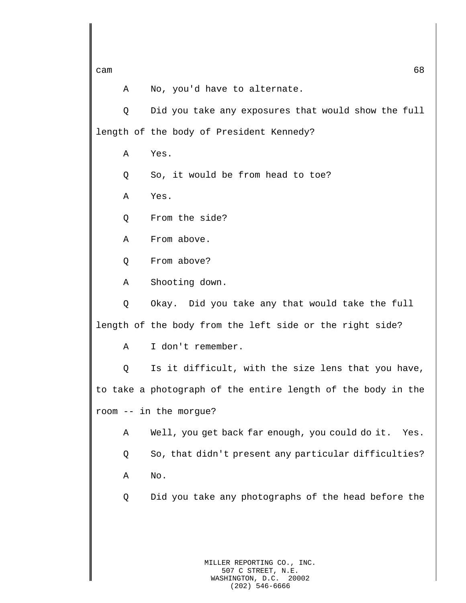A No, you'd have to alternate.

Q Did you take any exposures that would show the full length of the body of President Kennedy?

A Yes.

Q So, it would be from head to toe?

A Yes.

Q From the side?

A From above.

Q From above?

A Shooting down.

Q Okay. Did you take any that would take the full length of the body from the left side or the right side?

A I don't remember.

Q Is it difficult, with the size lens that you have, to take a photograph of the entire length of the body in the room -- in the morgue?

A Well, you get back far enough, you could do it. Yes.

Q So, that didn't present any particular difficulties? A No.

Q Did you take any photographs of the head before the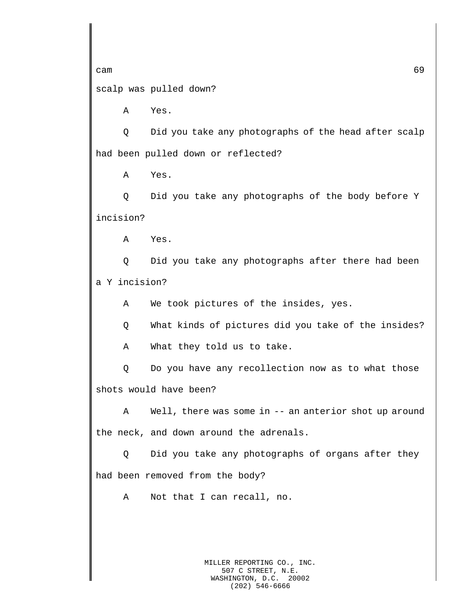scalp was pulled down?

A Yes.

Q Did you take any photographs of the head after scalp had been pulled down or reflected?

A Yes.

Q Did you take any photographs of the body before Y incision?

A Yes.

Q Did you take any photographs after there had been a Y incision?

A We took pictures of the insides, yes.

Q What kinds of pictures did you take of the insides?

A What they told us to take.

Q Do you have any recollection now as to what those shots would have been?

A Well, there was some in -- an anterior shot up around the neck, and down around the adrenals.

Q Did you take any photographs of organs after they had been removed from the body?

A Not that I can recall, no.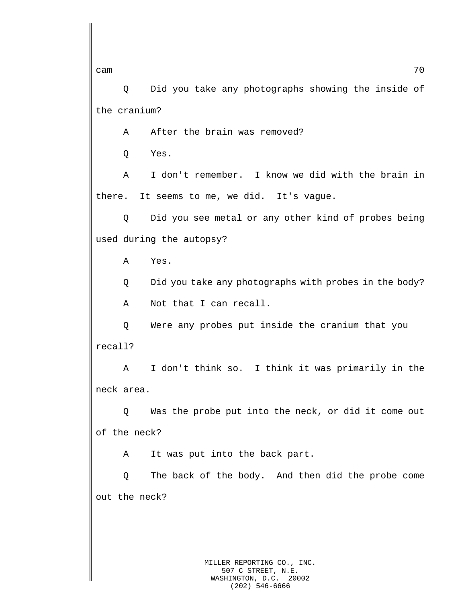cam  $\sim$  70

Q Did you take any photographs showing the inside of the cranium?

A After the brain was removed?

Q Yes.

A I don't remember. I know we did with the brain in there. It seems to me, we did. It's vague.

Q Did you see metal or any other kind of probes being used during the autopsy?

A Yes.

Q Did you take any photographs with probes in the body?

A Not that I can recall.

Q Were any probes put inside the cranium that you recall?

A I don't think so. I think it was primarily in the neck area.

Q Was the probe put into the neck, or did it come out of the neck?

A It was put into the back part.

Q The back of the body. And then did the probe come out the neck?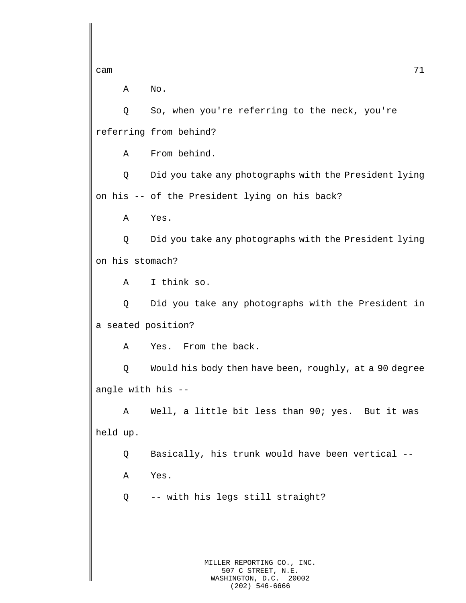A No.

Q So, when you're referring to the neck, you're referring from behind?

A From behind.

Q Did you take any photographs with the President lying on his -- of the President lying on his back?

A Yes.

Q Did you take any photographs with the President lying on his stomach?

A I think so.

Q Did you take any photographs with the President in a seated position?

A Yes. From the back.

Q Would his body then have been, roughly, at a 90 degree angle with his --

A Well, a little bit less than 90; yes. But it was held up.

Q Basically, his trunk would have been vertical --

A Yes.

Q -- with his legs still straight?

MILLER REPORTING CO., INC. 507 C STREET, N.E. WASHINGTON, D.C. 20002 (202) 546-6666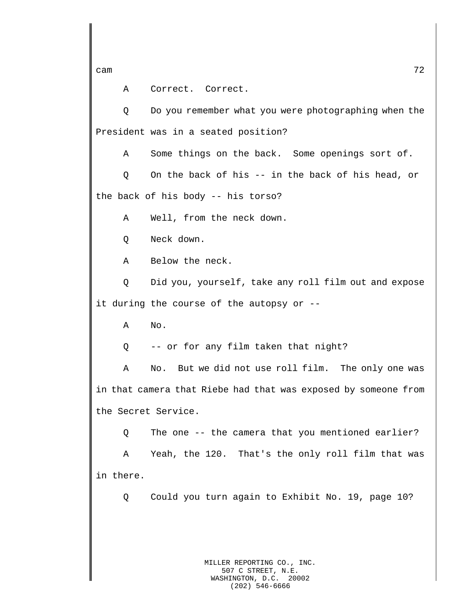A Correct. Correct.

Q Do you remember what you were photographing when the President was in a seated position?

A Some things on the back. Some openings sort of.

Q On the back of his -- in the back of his head, or the back of his body -- his torso?

A Well, from the neck down.

Q Neck down.

A Below the neck.

Q Did you, yourself, take any roll film out and expose it during the course of the autopsy or --

A No.

Q -- or for any film taken that night?

A No. But we did not use roll film. The only one was in that camera that Riebe had that was exposed by someone from the Secret Service.

Q The one -- the camera that you mentioned earlier?

A Yeah, the 120. That's the only roll film that was in there.

Q Could you turn again to Exhibit No. 19, page 10?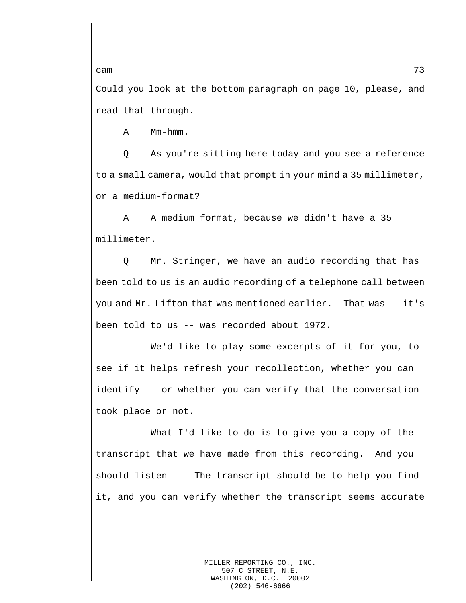Could you look at the bottom paragraph on page 10, please, and read that through.

A Mm-hmm.

Q As you're sitting here today and you see a reference to a small camera, would that prompt in your mind a 35 millimeter, or a medium-format?

A A medium format, because we didn't have a 35 millimeter.

Q Mr. Stringer, we have an audio recording that has been told to us is an audio recording of a telephone call between you and Mr. Lifton that was mentioned earlier. That was -- it's been told to us -- was recorded about 1972.

We'd like to play some excerpts of it for you, to see if it helps refresh your recollection, whether you can identify -- or whether you can verify that the conversation took place or not.

What I'd like to do is to give you a copy of the transcript that we have made from this recording. And you should listen -- The transcript should be to help you find it, and you can verify whether the transcript seems accurate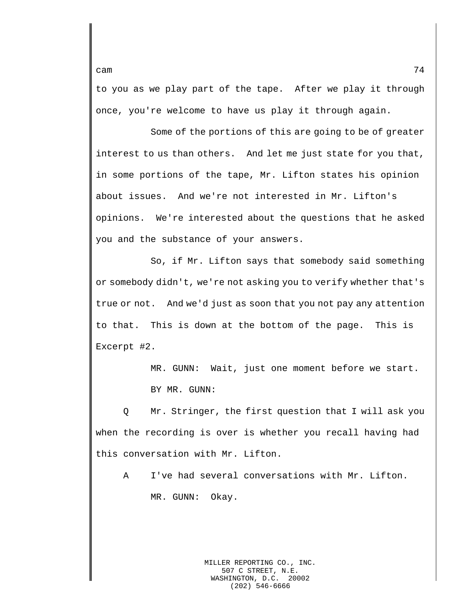to you as we play part of the tape. After we play it through once, you're welcome to have us play it through again.

Some of the portions of this are going to be of greater interest to us than others. And let me just state for you that, in some portions of the tape, Mr. Lifton states his opinion about issues. And we're not interested in Mr. Lifton's opinions. We're interested about the questions that he asked you and the substance of your answers.

So, if Mr. Lifton says that somebody said something or somebody didn't, we're not asking you to verify whether that's true or not. And we'd just as soon that you not pay any attention to that. This is down at the bottom of the page. This is Excerpt #2.

> MR. GUNN: Wait, just one moment before we start. BY MR. GUNN:

Q Mr. Stringer, the first question that I will ask you when the recording is over is whether you recall having had this conversation with Mr. Lifton.

A I've had several conversations with Mr. Lifton. MR. GUNN: Okay.

> MILLER REPORTING CO., INC. 507 C STREET, N.E.<br>SHINGTON, D.C. 20002 WASHINGTON, D.C. (202) 546-6666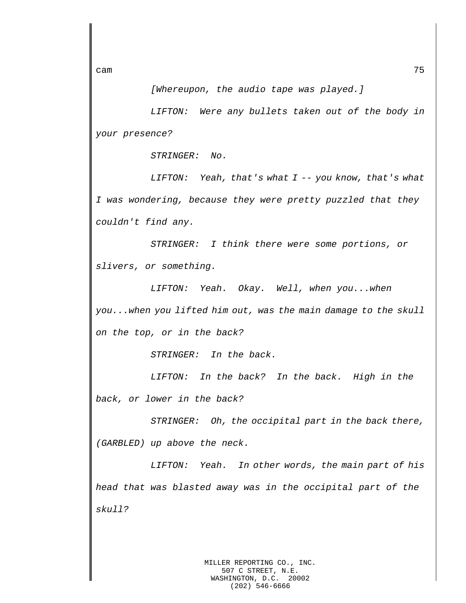*[Whereupon, the audio tape was played.]*

*LIFTON: Were any bullets taken out of the body in your presence?*

*STRINGER: No.*

*LIFTON: Yeah, that's what I -- you know, that's what I was wondering, because they were pretty puzzled that they couldn't find any.*

*STRINGER: I think there were some portions, or slivers, or something.*

*LIFTON: Yeah. Okay. Well, when you...when you...when you lifted him out, was the main damage to the skull on the top, or in the back?*

*STRINGER: In the back.*

*LIFTON: In the back? In the back. High in the back, or lower in the back?*

*STRINGER: Oh, the occipital part in the back there, (GARBLED) up above the neck.*

*LIFTON: Yeah. In other words, the main part of his head that was blasted away was in the occipital part of the skull?*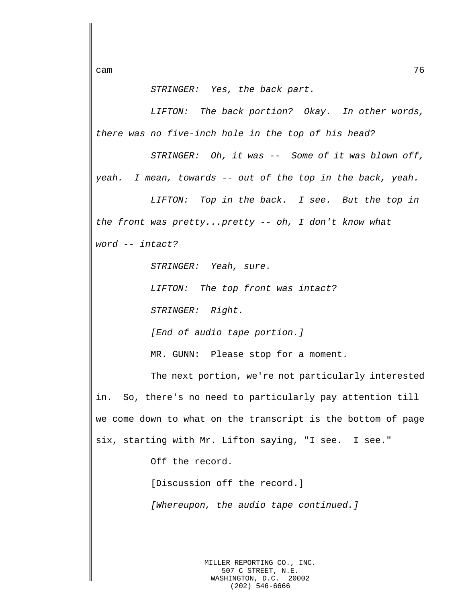cam  $\sim$  76

## *STRINGER: Yes, the back part.*

*LIFTON: The back portion? Okay. In other words, there was no five-inch hole in the top of his head?*

*STRINGER: Oh, it was -- Some of it was blown off, yeah. I mean, towards -- out of the top in the back, yeah.*

*LIFTON: Top in the back. I see. But the top in the front was pretty...pretty -- oh, I don't know what word -- intact?*

*STRINGER: Yeah, sure.*

*LIFTON: The top front was intact?*

*STRINGER: Right.*

*[End of audio tape portion.]*

MR. GUNN: Please stop for a moment.

The next portion, we're not particularly interested in. So, there's no need to particularly pay attention till we come down to what on the transcript is the bottom of page six, starting with Mr. Lifton saying, "I see. I see."

Off the record.

[Discussion off the record.]

*[Whereupon, the audio tape continued.]*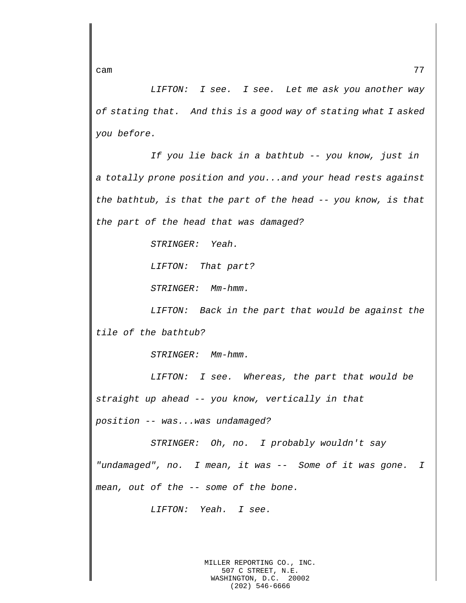*LIFTON: I see. I see. Let me ask you another way of stating that. And this is a good way of stating what I asked you before.* 

*If you lie back in a bathtub -- you know, just in a totally prone position and you...and your head rests against the bathtub, is that the part of the head -- you know, is that the part of the head that was damaged?*

*STRINGER: Yeah.*

*LIFTON: That part?*

*STRINGER: Mm-hmm.*

*LIFTON: Back in the part that would be against the tile of the bathtub?*

*STRINGER: Mm-hmm.*

*LIFTON: I see. Whereas, the part that would be straight up ahead -- you know, vertically in that position -- was...was undamaged?*

*STRINGER: Oh, no. I probably wouldn't say* 

*"undamaged", no. I mean, it was -- Some of it was gone. I mean, out of the -- some of the bone.*

*LIFTON: Yeah. I see.*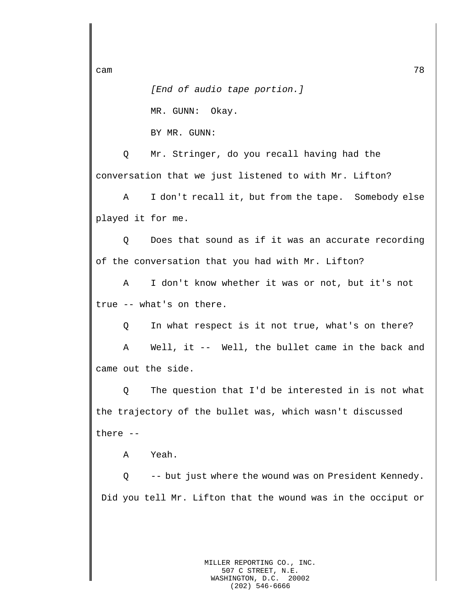*[End of audio tape portion.]*

MR. GUNN: Okay.

BY MR. GUNN:

Q Mr. Stringer, do you recall having had the conversation that we just listened to with Mr. Lifton?

A I don't recall it, but from the tape. Somebody else played it for me.

Q Does that sound as if it was an accurate recording of the conversation that you had with Mr. Lifton?

A I don't know whether it was or not, but it's not true -- what's on there.

Q In what respect is it not true, what's on there?

A Well, it -- Well, the bullet came in the back and came out the side.

Q The question that I'd be interested in is not what the trajectory of the bullet was, which wasn't discussed there --

A Yeah.

Q -- but just where the wound was on President Kennedy. Did you tell Mr. Lifton that the wound was in the occiput or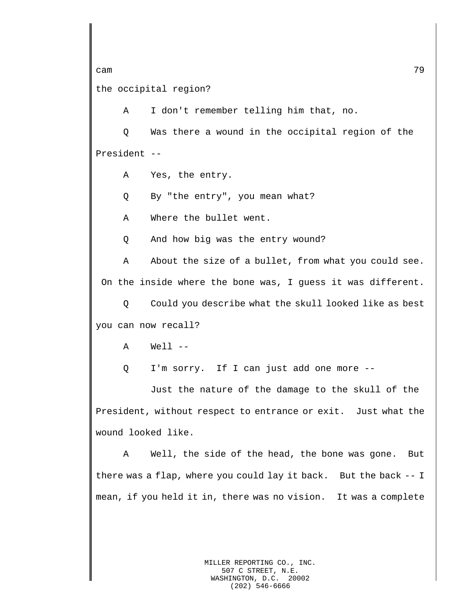the occipital region?

A I don't remember telling him that, no.

Q Was there a wound in the occipital region of the President --

A Yes, the entry.

Q By "the entry", you mean what?

A Where the bullet went.

Q And how big was the entry wound?

A About the size of a bullet, from what you could see. On the inside where the bone was, I guess it was different.

Q Could you describe what the skull looked like as best you can now recall?

 $A$  Well  $-$ 

Q I'm sorry. If I can just add one more --

Just the nature of the damage to the skull of the President, without respect to entrance or exit. Just what the wound looked like.

A Well, the side of the head, the bone was gone. But there was a flap, where you could lay it back. But the back -- I mean, if you held it in, there was no vision. It was a complete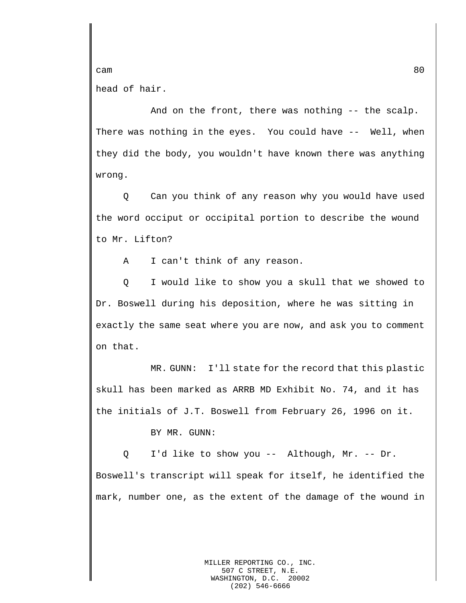cam 80 head of hair.

And on the front, there was nothing -- the scalp. There was nothing in the eyes. You could have -- Well, when they did the body, you wouldn't have known there was anything wrong.

Q Can you think of any reason why you would have used the word occiput or occipital portion to describe the wound to Mr. Lifton?

A I can't think of any reason.

Q I would like to show you a skull that we showed to Dr. Boswell during his deposition, where he was sitting in exactly the same seat where you are now, and ask you to comment on that.

MR. GUNN: I'll state for the record that this plastic skull has been marked as ARRB MD Exhibit No. 74, and it has the initials of J.T. Boswell from February 26, 1996 on it.

BY MR. GUNN:

Q I'd like to show you -- Although, Mr. -- Dr. Boswell's transcript will speak for itself, he identified the mark, number one, as the extent of the damage of the wound in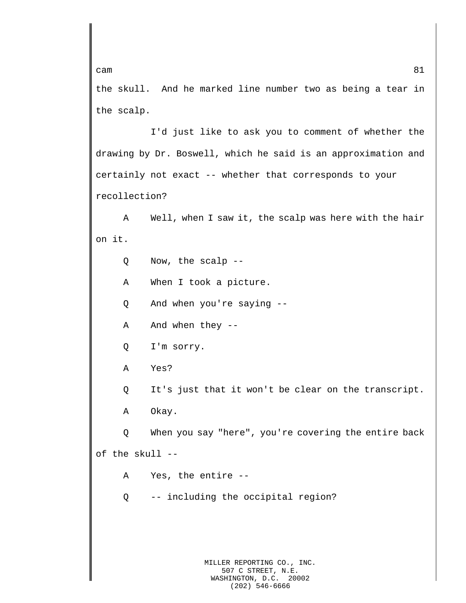the skull. And he marked line number two as being a tear in the scalp.

I'd just like to ask you to comment of whether the drawing by Dr. Boswell, which he said is an approximation and certainly not exact -- whether that corresponds to your recollection?

A Well, when I saw it, the scalp was here with the hair on it.

Q Now, the scalp --

A When I took a picture.

Q And when you're saying --

A And when they --

Q I'm sorry.

A Yes?

Q It's just that it won't be clear on the transcript.

A Okay.

Q When you say "here", you're covering the entire back of the skull --

A Yes, the entire --

Q -- including the occipital region?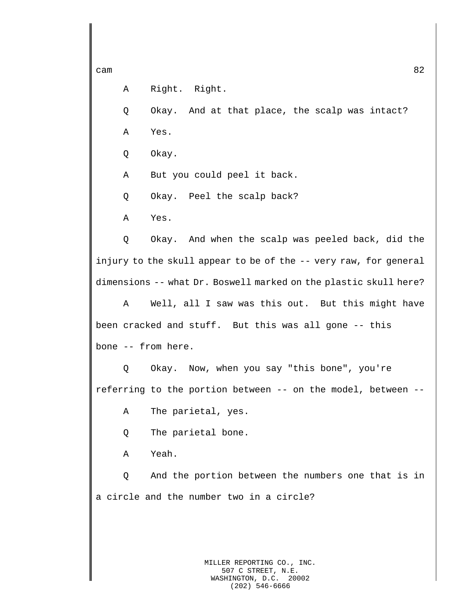```
cam 82
```
A Right. Right.

Q Okay. And at that place, the scalp was intact?

A Yes.

Q Okay.

A But you could peel it back.

Q Okay. Peel the scalp back?

A Yes.

Q Okay. And when the scalp was peeled back, did the injury to the skull appear to be of the -- very raw, for general dimensions -- what Dr. Boswell marked on the plastic skull here?

A Well, all I saw was this out. But this might have been cracked and stuff. But this was all gone -- this bone -- from here.

Q Okay. Now, when you say "this bone", you're referring to the portion between -- on the model, between --

A The parietal, yes.

Q The parietal bone.

A Yeah.

Q And the portion between the numbers one that is in a circle and the number two in a circle?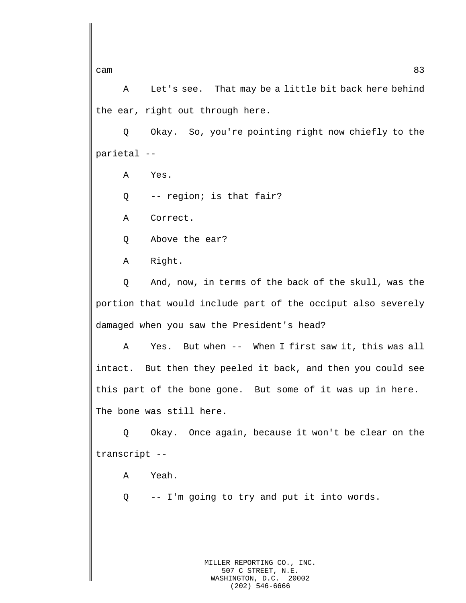A Let's see. That may be a little bit back here behind the ear, right out through here.

Q Okay. So, you're pointing right now chiefly to the parietal --

A Yes.

Q -- region; is that fair?

A Correct.

Q Above the ear?

A Right.

Q And, now, in terms of the back of the skull, was the portion that would include part of the occiput also severely damaged when you saw the President's head?

A Yes. But when -- When I first saw it, this was all intact. But then they peeled it back, and then you could see this part of the bone gone. But some of it was up in here. The bone was still here.

Q Okay. Once again, because it won't be clear on the transcript --

A Yeah.

Q -- I'm going to try and put it into words.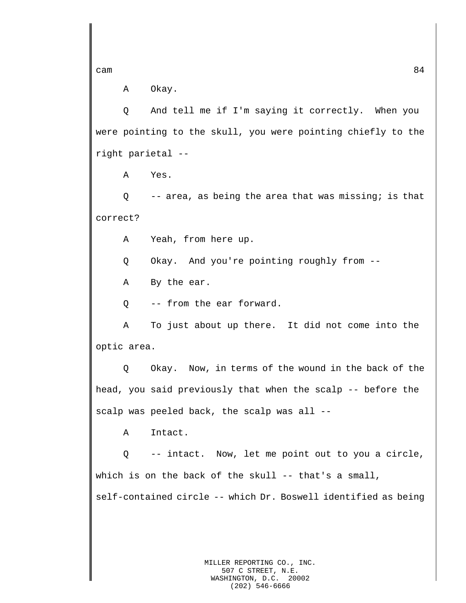A Okay.

Q And tell me if I'm saying it correctly. When you were pointing to the skull, you were pointing chiefly to the right parietal --

A Yes.

Q -- area, as being the area that was missing; is that correct?

A Yeah, from here up.

Q Okay. And you're pointing roughly from --

A By the ear.

Q -- from the ear forward.

A To just about up there. It did not come into the optic area.

Q Okay. Now, in terms of the wound in the back of the head, you said previously that when the scalp -- before the scalp was peeled back, the scalp was all --

A Intact.

Q -- intact. Now, let me point out to you a circle, which is on the back of the skull -- that's a small, self-contained circle -- which Dr. Boswell identified as being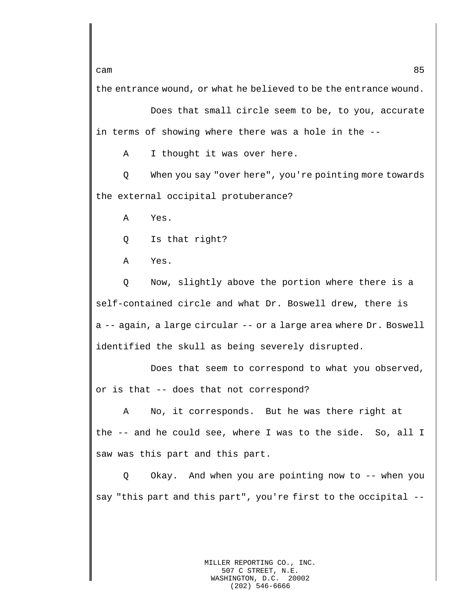the entrance wound, or what he believed to be the entrance wound.

Does that small circle seem to be, to you, accurate in terms of showing where there was a hole in the --

A I thought it was over here.

Q When you say "over here", you're pointing more towards the external occipital protuberance?

A Yes.

Q Is that right?

A Yes.

Q Now, slightly above the portion where there is a self-contained circle and what Dr. Boswell drew, there is a -- again, a large circular -- or a large area where Dr. Boswell identified the skull as being severely disrupted.

Does that seem to correspond to what you observed, or is that -- does that not correspond?

A No, it corresponds. But he was there right at the -- and he could see, where I was to the side. So, all I saw was this part and this part.

Q Okay. And when you are pointing now to -- when you say "this part and this part", you're first to the occipital --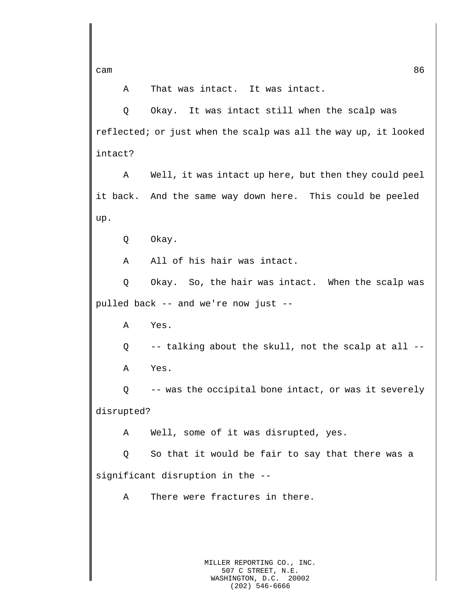A That was intact. It was intact.

Q Okay. It was intact still when the scalp was reflected; or just when the scalp was all the way up, it looked intact?

A Well, it was intact up here, but then they could peel it back. And the same way down here. This could be peeled up.

Q Okay.

A All of his hair was intact.

Q Okay. So, the hair was intact. When the scalp was pulled back -- and we're now just --

A Yes.

Q -- talking about the skull, not the scalp at all -- A Yes.

Q -- was the occipital bone intact, or was it severely disrupted?

A Well, some of it was disrupted, yes.

Q So that it would be fair to say that there was a significant disruption in the --

A There were fractures in there.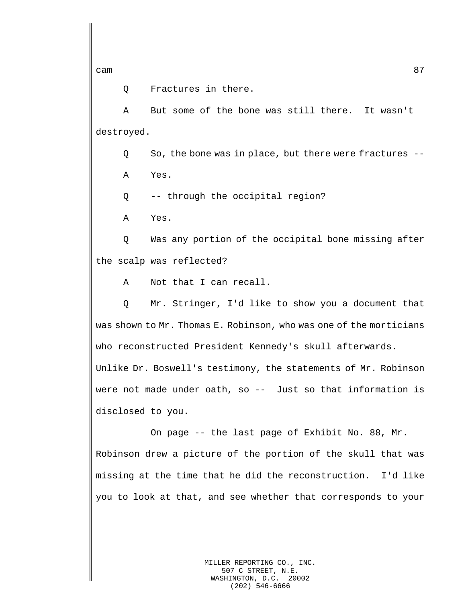Q Fractures in there.

A But some of the bone was still there. It wasn't destroyed.

Q So, the bone was in place, but there were fractures -- A Yes.

Q -- through the occipital region?

A Yes.

Q Was any portion of the occipital bone missing after the scalp was reflected?

A Not that I can recall.

Q Mr. Stringer, I'd like to show you a document that was shown to Mr. Thomas E. Robinson, who was one of the morticians who reconstructed President Kennedy's skull afterwards. Unlike Dr. Boswell's testimony, the statements of Mr. Robinson were not made under oath, so -- Just so that information is disclosed to you.

On page -- the last page of Exhibit No. 88, Mr. Robinson drew a picture of the portion of the skull that was missing at the time that he did the reconstruction. I'd like you to look at that, and see whether that corresponds to your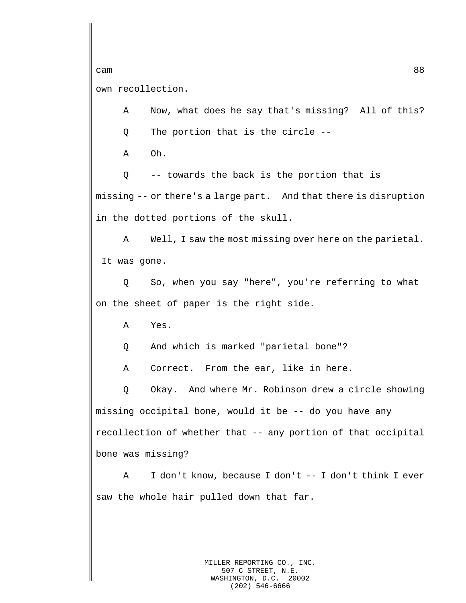own recollection.

A Now, what does he say that's missing? All of this? Q The portion that is the circle --

A Oh.

Q -- towards the back is the portion that is missing -- or there's a large part. And that there is disruption in the dotted portions of the skull.

A Well, I saw the most missing over here on the parietal. It was gone.

Q So, when you say "here", you're referring to what on the sheet of paper is the right side.

A Yes.

Q And which is marked "parietal bone"?

A Correct. From the ear, like in here.

Q Okay. And where Mr. Robinson drew a circle showing missing occipital bone, would it be -- do you have any recollection of whether that -- any portion of that occipital bone was missing?

A I don't know, because I don't -- I don't think I ever saw the whole hair pulled down that far.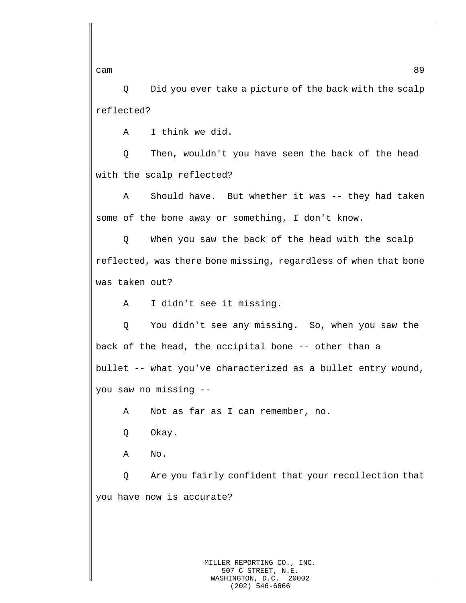Q Did you ever take a picture of the back with the scalp reflected?

A I think we did.

Q Then, wouldn't you have seen the back of the head with the scalp reflected?

A Should have. But whether it was -- they had taken some of the bone away or something, I don't know.

Q When you saw the back of the head with the scalp reflected, was there bone missing, regardless of when that bone was taken out?

A I didn't see it missing.

Q You didn't see any missing. So, when you saw the back of the head, the occipital bone -- other than a bullet -- what you've characterized as a bullet entry wound, you saw no missing --

A Not as far as I can remember, no.

Q Okay.

A No.

Q Are you fairly confident that your recollection that you have now is accurate?

cam and the contract of the contract of the contract of the contract of the contract of the contract of the contract of the contract of the contract of the contract of the contract of the contract of the contract of the co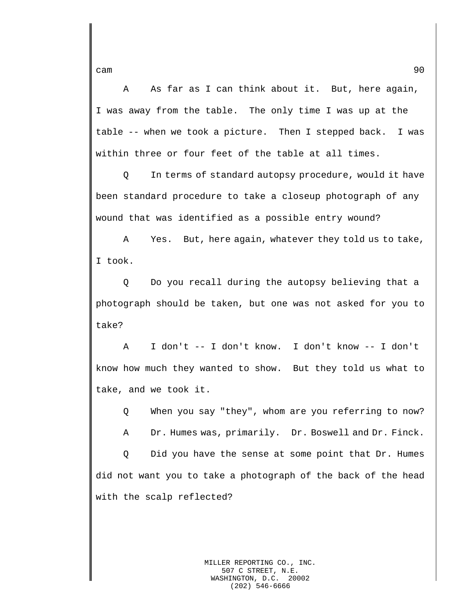A As far as I can think about it. But, here again, I was away from the table. The only time I was up at the table -- when we took a picture. Then I stepped back. I was within three or four feet of the table at all times.

Q In terms of standard autopsy procedure, would it have been standard procedure to take a closeup photograph of any wound that was identified as a possible entry wound?

A Yes. But, here again, whatever they told us to take, I took.

Q Do you recall during the autopsy believing that a photograph should be taken, but one was not asked for you to take?

A I don't -- I don't know. I don't know -- I don't know how much they wanted to show. But they told us what to take, and we took it.

Q When you say "they", whom are you referring to now?

A Dr. Humes was, primarily. Dr. Boswell and Dr. Finck.

Q Did you have the sense at some point that Dr. Humes did not want you to take a photograph of the back of the head with the scalp reflected?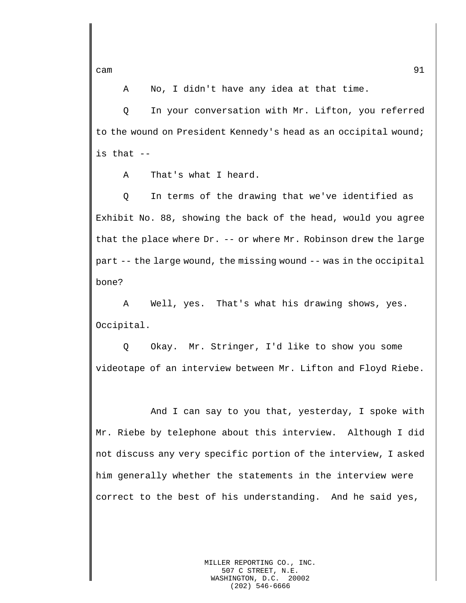A No, I didn't have any idea at that time.

Q In your conversation with Mr. Lifton, you referred to the wound on President Kennedy's head as an occipital wound; is that --

A That's what I heard.

Q In terms of the drawing that we've identified as Exhibit No. 88, showing the back of the head, would you agree that the place where Dr. -- or where Mr. Robinson drew the large part -- the large wound, the missing wound -- was in the occipital bone?

A Well, yes. That's what his drawing shows, yes. Occipital.

Q Okay. Mr. Stringer, I'd like to show you some videotape of an interview between Mr. Lifton and Floyd Riebe.

And I can say to you that, yesterday, I spoke with Mr. Riebe by telephone about this interview. Although I did not discuss any very specific portion of the interview, I asked him generally whether the statements in the interview were correct to the best of his understanding. And he said yes,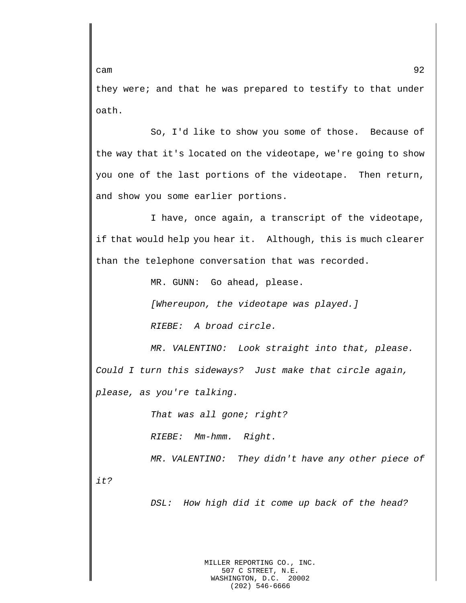they were; and that he was prepared to testify to that under oath.

So, I'd like to show you some of those. Because of the way that it's located on the videotape, we're going to show you one of the last portions of the videotape. Then return, and show you some earlier portions.

I have, once again, a transcript of the videotape, if that would help you hear it. Although, this is much clearer than the telephone conversation that was recorded.

MR. GUNN: Go ahead, please.

*[Whereupon, the videotape was played.] RIEBE: A broad circle.*

*MR. VALENTINO: Look straight into that, please. Could I turn this sideways? Just make that circle again, please, as you're talking.* 

*That was all gone; right?*

*RIEBE: Mm-hmm. Right.*

*MR. VALENTINO: They didn't have any other piece of it?*

*DSL: How high did it come up back of the head?*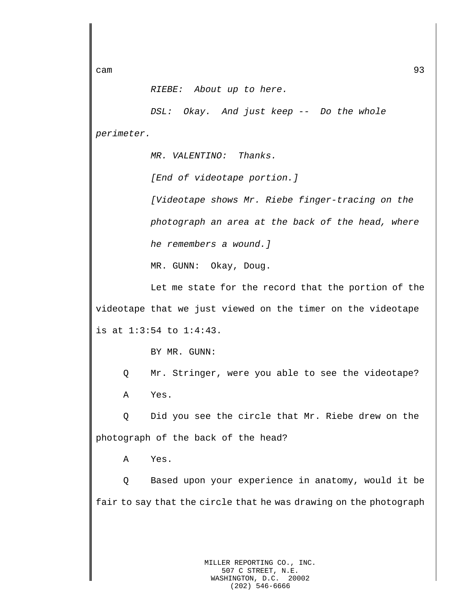*RIEBE: About up to here.*

*DSL: Okay. And just keep -- Do the whole perimeter.*

*MR. VALENTINO: Thanks.*

*[End of videotape portion.]*

*[Videotape shows Mr. Riebe finger-tracing on the photograph an area at the back of the head, where he remembers a wound.]*

MR. GUNN: Okay, Doug.

Let me state for the record that the portion of the videotape that we just viewed on the timer on the videotape is at 1:3:54 to 1:4:43.

BY MR. GUNN:

Q Mr. Stringer, were you able to see the videotape? A Yes.

Q Did you see the circle that Mr. Riebe drew on the photograph of the back of the head?

A Yes.

Q Based upon your experience in anatomy, would it be fair to say that the circle that he was drawing on the photograph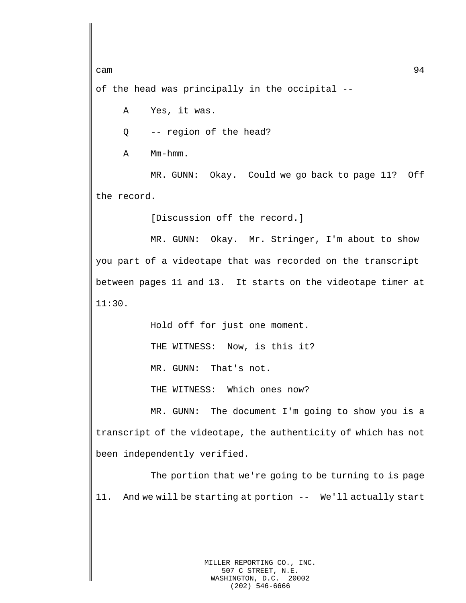of the head was principally in the occipital --

A Yes, it was.

Q -- region of the head?

A Mm-hmm.

MR. GUNN: Okay. Could we go back to page 11? Off the record.

[Discussion off the record.]

MR. GUNN: Okay. Mr. Stringer, I'm about to show you part of a videotape that was recorded on the transcript between pages 11 and 13. It starts on the videotape timer at 11:30.

Hold off for just one moment.

THE WITNESS: Now, is this it?

MR. GUNN: That's not.

THE WITNESS: Which ones now?

MR. GUNN: The document I'm going to show you is a transcript of the videotape, the authenticity of which has not been independently verified.

The portion that we're going to be turning to is page 11. And we will be starting at portion -- We'll actually start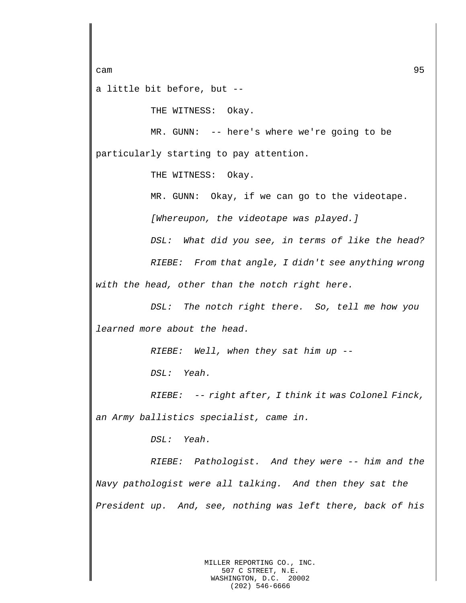a little bit before, but --

THE WITNESS: Okay.

MR. GUNN: -- here's where we're going to be particularly starting to pay attention.

THE WITNESS: Okay.

MR. GUNN: Okay, if we can go to the videotape.

*[Whereupon, the videotape was played.]*

*DSL: What did you see, in terms of like the head?*

*RIEBE: From that angle, I didn't see anything wrong with the head, other than the notch right here.*

*DSL: The notch right there. So, tell me how you learned more about the head.*

*RIEBE: Well, when they sat him up --*

*DSL: Yeah.*

*RIEBE: -- right after, I think it was Colonel Finck, an Army ballistics specialist, came in.*

*DSL: Yeah.*

*RIEBE: Pathologist. And they were -- him and the Navy pathologist were all talking. And then they sat the President up. And, see, nothing was left there, back of his*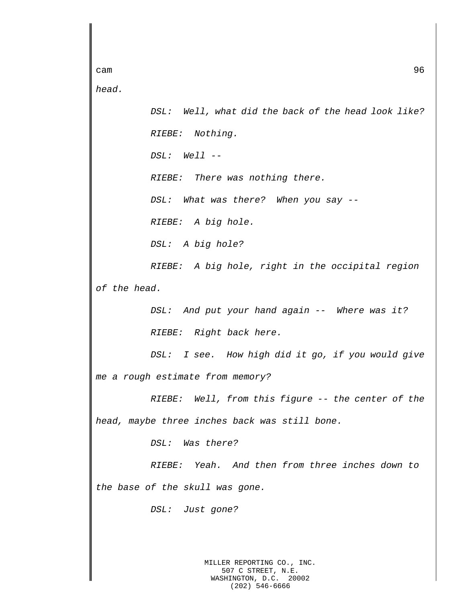cam 36 *head. DSL: Well, what did the back of the head look like? RIEBE: Nothing. DSL: Well -- RIEBE: There was nothing there. DSL: What was there? When you say -- RIEBE: A big hole. DSL: A big hole? RIEBE: A big hole, right in the occipital region of the head. DSL: And put your hand again -- Where was it? RIEBE: Right back here. DSL: I see. How high did it go, if you would give me a rough estimate from memory? RIEBE: Well, from this figure -- the center of the head, maybe three inches back was still bone. DSL: Was there? RIEBE: Yeah. And then from three inches down to the base of the skull was gone. DSL: Just gone?*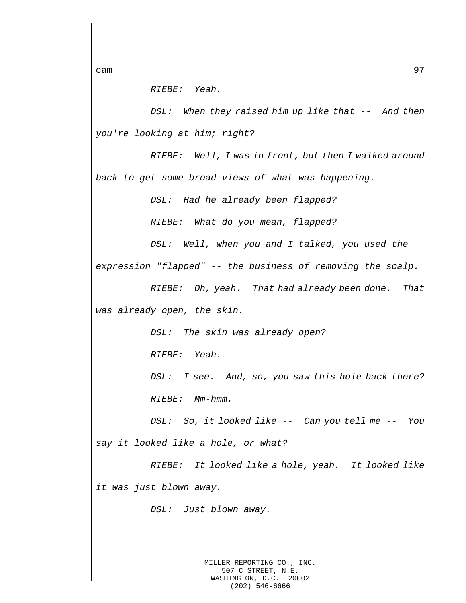*RIEBE: Yeah.*

*DSL: When they raised him up like that -- And then you're looking at him; right?*

*RIEBE: Well, I was in front, but then I walked around back to get some broad views of what was happening.*

*DSL: Had he already been flapped?*

*RIEBE: What do you mean, flapped?*

*DSL: Well, when you and I talked, you used the* 

*expression "flapped" -- the business of removing the scalp.*

*RIEBE: Oh, yeah. That had already been done. That was already open, the skin.*

*DSL: The skin was already open?*

*RIEBE: Yeah.*

*DSL: I see. And, so, you saw this hole back there? RIEBE: Mm-hmm.*

*DSL: So, it looked like -- Can you tell me -- You say it looked like a hole, or what?*

*RIEBE: It looked like a hole, yeah. It looked like it was just blown away.*

*DSL: Just blown away.*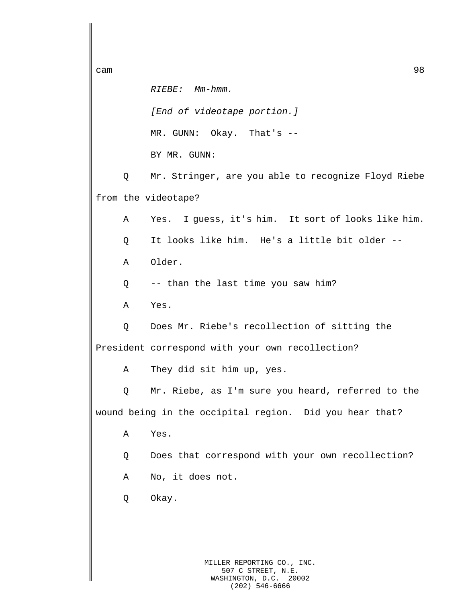*RIEBE: Mm-hmm. [End of videotape portion.]* MR. GUNN: Okay. That's -- BY MR. GUNN: Q Mr. Stringer, are you able to recognize Floyd Riebe from the videotape? A Yes. I guess, it's him. It sort of looks like him. Q It looks like him. He's a little bit older -- A Older. Q -- than the last time you saw him? A Yes. Q Does Mr. Riebe's recollection of sitting the President correspond with your own recollection? A They did sit him up, yes. Q Mr. Riebe, as I'm sure you heard, referred to the wound being in the occipital region. Did you hear that? A Yes. Q Does that correspond with your own recollection? A No, it does not. Q Okay.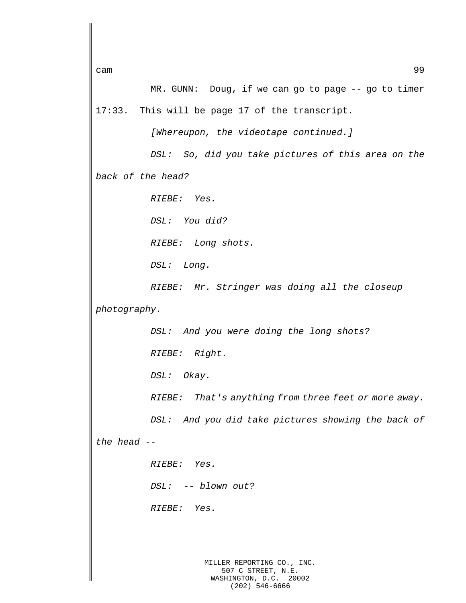cam 399 MR. GUNN: Doug, if we can go to page -- go to timer 17:33. This will be page 17 of the transcript. *[Whereupon, the videotape continued.] DSL: So, did you take pictures of this area on the back of the head? RIEBE: Yes. DSL: You did? RIEBE: Long shots. DSL: Long. RIEBE: Mr. Stringer was doing all the closeup photography. DSL: And you were doing the long shots? RIEBE: Right. DSL: Okay. RIEBE: That's anything from three feet or more away. DSL: And you did take pictures showing the back of the head -- RIEBE: Yes. DSL: -- blown out? RIEBE: Yes.*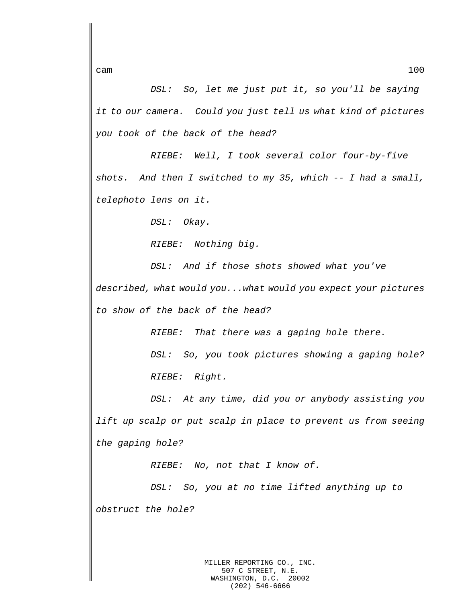*DSL: So, let me just put it, so you'll be saying it to our camera. Could you just tell us what kind of pictures you took of the back of the head?*

*RIEBE: Well, I took several color four-by-five shots. And then I switched to my 35, which -- I had a small, telephoto lens on it.*

*DSL: Okay.*

*RIEBE: Nothing big.*

*DSL: And if those shots showed what you've described, what would you...what would you expect your pictures to show of the back of the head?*

*RIEBE: That there was a gaping hole there.*

*DSL: So, you took pictures showing a gaping hole? RIEBE: Right.*

*DSL: At any time, did you or anybody assisting you lift up scalp or put scalp in place to prevent us from seeing the gaping hole?*

*RIEBE: No, not that I know of.*

*DSL: So, you at no time lifted anything up to obstruct the hole?*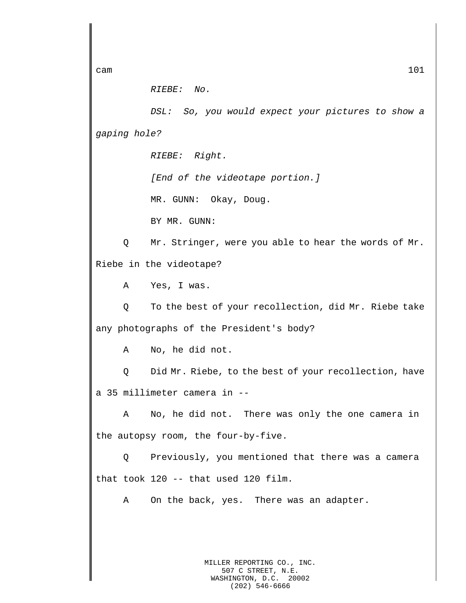*RIEBE: No.*

*DSL: So, you would expect your pictures to show a gaping hole?*

*RIEBE: Right.*

*[End of the videotape portion.]*

MR. GUNN: Okay, Doug.

BY MR. GUNN:

Q Mr. Stringer, were you able to hear the words of Mr. Riebe in the videotape?

A Yes, I was.

Q To the best of your recollection, did Mr. Riebe take any photographs of the President's body?

A No, he did not.

Q Did Mr. Riebe, to the best of your recollection, have a 35 millimeter camera in --

A No, he did not. There was only the one camera in the autopsy room, the four-by-five.

Q Previously, you mentioned that there was a camera that took 120 -- that used 120 film.

A On the back, yes. There was an adapter.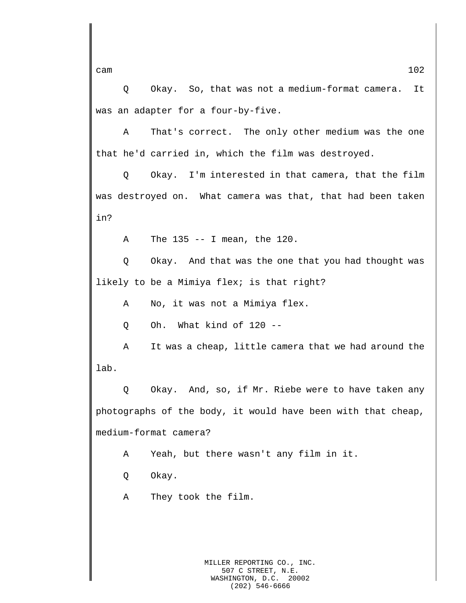Q Okay. So, that was not a medium-format camera. It was an adapter for a four-by-five.

A That's correct. The only other medium was the one that he'd carried in, which the film was destroyed.

Q Okay. I'm interested in that camera, that the film was destroyed on. What camera was that, that had been taken in?

A The 135 -- I mean, the 120.

Q Okay. And that was the one that you had thought was likely to be a Mimiya flex; is that right?

A No, it was not a Mimiya flex.

Q Oh. What kind of 120 --

A It was a cheap, little camera that we had around the lab.

Q Okay. And, so, if Mr. Riebe were to have taken any photographs of the body, it would have been with that cheap, medium-format camera?

A Yeah, but there wasn't any film in it.

Q Okay.

A They took the film.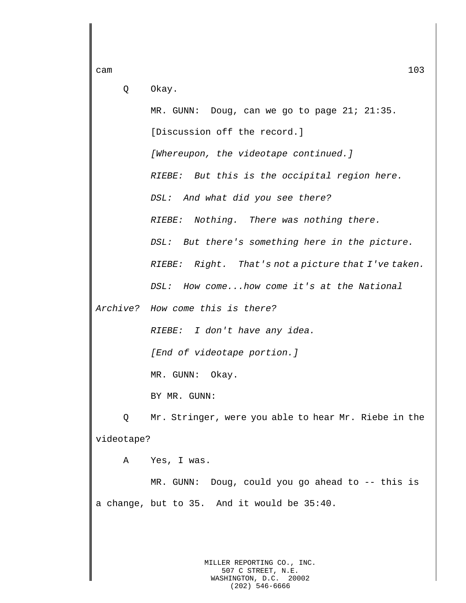Q Okay.

MR. GUNN: Doug, can we go to page 21; 21:35. [Discussion off the record.] *[Whereupon, the videotape continued.] RIEBE: But this is the occipital region here. DSL: And what did you see there? RIEBE: Nothing. There was nothing there. DSL: But there's something here in the picture. RIEBE: Right. That's not a picture that I've taken. DSL: How come...how come it's at the National* 

*Archive? How come this is there?*

*RIEBE: I don't have any idea.*

*[End of videotape portion.]*

MR. GUNN: Okay.

BY MR. GUNN:

Q Mr. Stringer, were you able to hear Mr. Riebe in the videotape?

A Yes, I was.

MR. GUNN: Doug, could you go ahead to -- this is a change, but to 35. And it would be 35:40.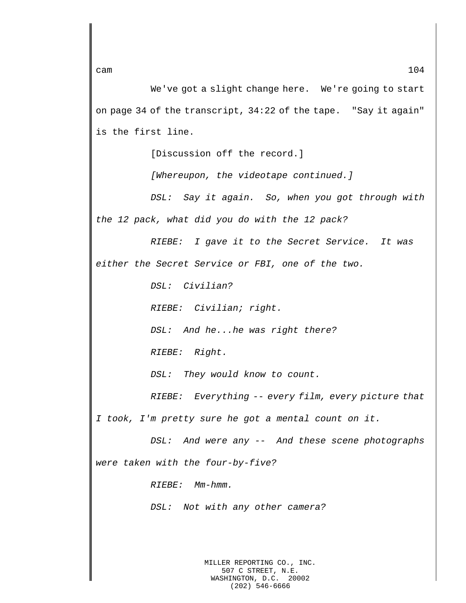We've got a slight change here. We're going to start on page 34 of the transcript, 34:22 of the tape. "Say it again" is the first line.

[Discussion off the record.]

*[Whereupon, the videotape continued.]*

*DSL: Say it again. So, when you got through with the 12 pack, what did you do with the 12 pack?*

*RIEBE: I gave it to the Secret Service. It was either the Secret Service or FBI, one of the two.*

*DSL: Civilian?*

*RIEBE: Civilian; right.*

*DSL: And he...he was right there?*

*RIEBE: Right.*

*DSL: They would know to count.*

*RIEBE: Everything -- every film, every picture that I took, I'm pretty sure he got a mental count on it.*

*DSL: And were any -- And these scene photographs were taken with the four-by-five?*

*RIEBE: Mm-hmm.*

*DSL: Not with any other camera?*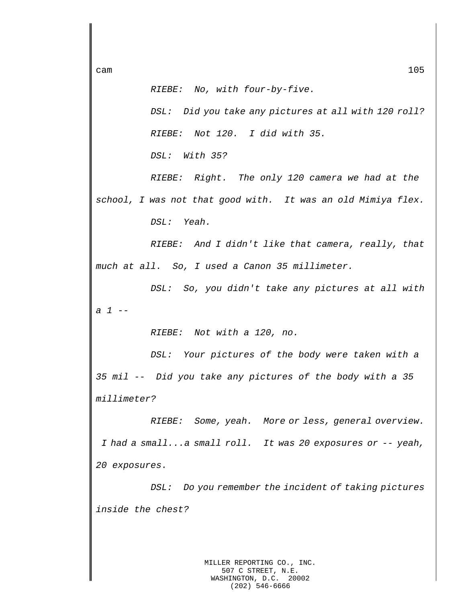*RIEBE: No, with four-by-five.*

*DSL: Did you take any pictures at all with 120 roll? RIEBE: Not 120. I did with 35.*

*DSL: With 35?*

*RIEBE: Right. The only 120 camera we had at the school, I was not that good with. It was an old Mimiya flex. DSL: Yeah.*

*RIEBE: And I didn't like that camera, really, that much at all. So, I used a Canon 35 millimeter.*

*DSL: So, you didn't take any pictures at all with a 1 --*

*RIEBE: Not with a 120, no.*

*DSL: Your pictures of the body were taken with a 35 mil -- Did you take any pictures of the body with a 35 millimeter?*

*RIEBE: Some, yeah. More or less, general overview. I had a small...a small roll. It was 20 exposures or -- yeah, 20 exposures.*

*DSL: Do you remember the incident of taking pictures inside the chest?*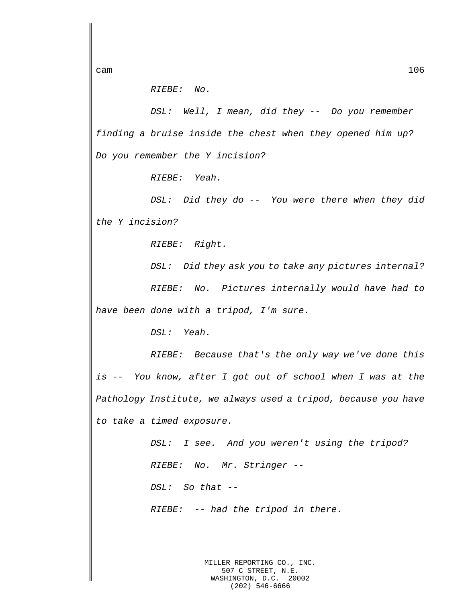*RIEBE: No.*

*DSL: Well, I mean, did they -- Do you remember finding a bruise inside the chest when they opened him up? Do you remember the Y incision?*

*RIEBE: Yeah.*

*DSL: Did they do -- You were there when they did the Y incision?*

*RIEBE: Right.*

*DSL: Did they ask you to take any pictures internal? RIEBE: No. Pictures internally would have had to have been done with a tripod, I'm sure.*

*DSL: Yeah.*

*RIEBE: Because that's the only way we've done this is -- You know, after I got out of school when I was at the Pathology Institute, we always used a tripod, because you have to take a timed exposure.*

> *DSL: I see. And you weren't using the tripod? RIEBE: No. Mr. Stringer -- DSL: So that -- RIEBE: -- had the tripod in there.*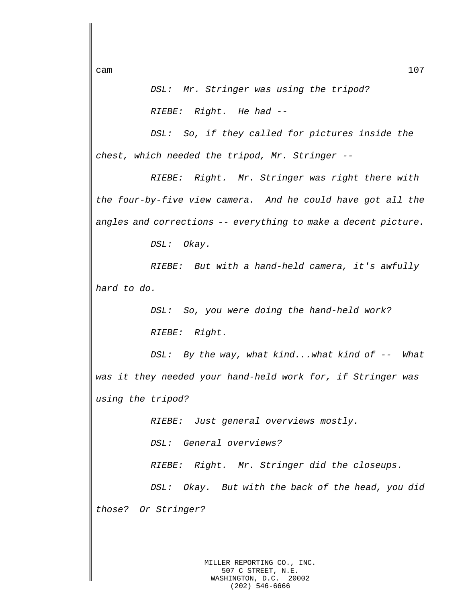*DSL: Mr. Stringer was using the tripod? RIEBE: Right. He had --*

*DSL: So, if they called for pictures inside the chest, which needed the tripod, Mr. Stringer --*

*RIEBE: Right. Mr. Stringer was right there with the four-by-five view camera. And he could have got all the angles and corrections -- everything to make a decent picture.*

*DSL: Okay.*

*RIEBE: But with a hand-held camera, it's awfully hard to do.*

> *DSL: So, you were doing the hand-held work? RIEBE: Right.*

*DSL: By the way, what kind...what kind of -- What was it they needed your hand-held work for, if Stringer was using the tripod?*

*RIEBE: Just general overviews mostly.*

*DSL: General overviews?*

*RIEBE: Right. Mr. Stringer did the closeups.*

*DSL: Okay. But with the back of the head, you did those? Or Stringer?*

cam  $107$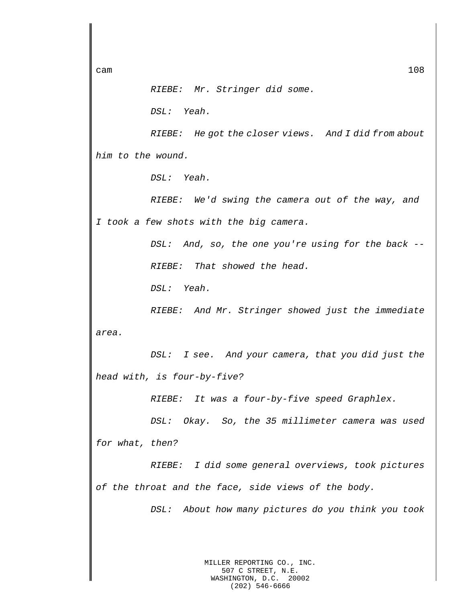## *RIEBE: Mr. Stringer did some.*

*DSL: Yeah.*

*RIEBE: He got the closer views. And I did from about him to the wound.*

*DSL: Yeah.*

*RIEBE: We'd swing the camera out of the way, and I took a few shots with the big camera.*

> *DSL: And, so, the one you're using for the back -- RIEBE: That showed the head.*

*DSL: Yeah.*

*RIEBE: And Mr. Stringer showed just the immediate area.*

*DSL: I see. And your camera, that you did just the head with, is four-by-five?*

*RIEBE: It was a four-by-five speed Graphlex.*

*DSL: Okay. So, the 35 millimeter camera was used for what, then?*

*RIEBE: I did some general overviews, took pictures of the throat and the face, side views of the body.*

*DSL: About how many pictures do you think you took*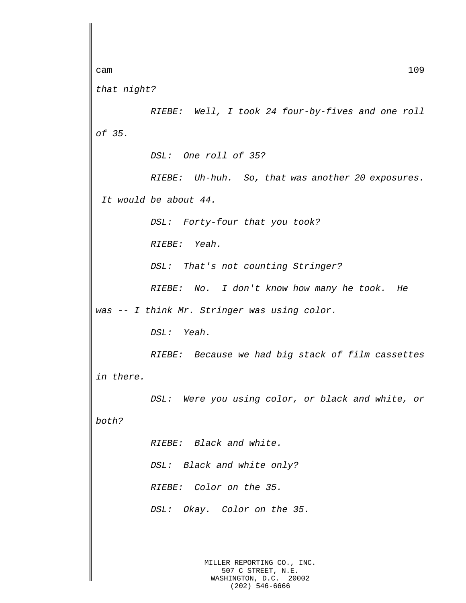```
cam 109
```
*that night?*

*RIEBE: Well, I took 24 four-by-fives and one roll of 35.*

*DSL: One roll of 35?*

*RIEBE: Uh-huh. So, that was another 20 exposures. It would be about 44.*

*DSL: Forty-four that you took?*

*RIEBE: Yeah.*

*DSL: That's not counting Stringer?*

*RIEBE: No. I don't know how many he took. He* 

*was -- I think Mr. Stringer was using color.*

*DSL: Yeah.*

*RIEBE: Because we had big stack of film cassettes in there.*

*DSL: Were you using color, or black and white, or* 

*both?*

*RIEBE: Black and white. DSL: Black and white only?*

*RIEBE: Color on the 35.*

*DSL: Okay. Color on the 35.*

MILLER REPORTING CO., INC. 507 C STREET, N.E. WASHINGTON, D.C. 20002 (202) 546-6666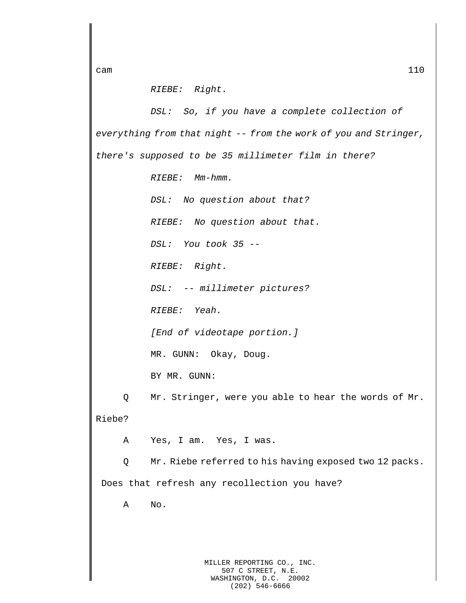*RIEBE: Right.*

*DSL: So, if you have a complete collection of everything from that night -- from the work of you and Stringer, there's supposed to be 35 millimeter film in there? RIEBE: Mm-hmm. DSL: No question about that? RIEBE: No question about that. DSL: You took 35 -- RIEBE: Right. DSL: -- millimeter pictures? RIEBE: Yeah. [End of videotape portion.]* MR. GUNN: Okay, Doug. BY MR. GUNN: Q Mr. Stringer, were you able to hear the words of Mr. Riebe? A Yes, I am. Yes, I was. Q Mr. Riebe referred to his having exposed two 12 packs. Does that refresh any recollection you have? A No.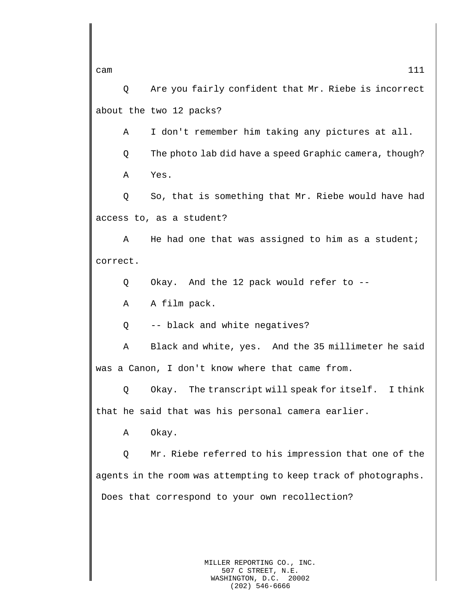Q Are you fairly confident that Mr. Riebe is incorrect about the two 12 packs?

A I don't remember him taking any pictures at all.

Q The photo lab did have a speed Graphic camera, though?

A Yes.

Q So, that is something that Mr. Riebe would have had access to, as a student?

A He had one that was assigned to him as a student; correct.

Q Okay. And the 12 pack would refer to --

A A film pack.

Q -- black and white negatives?

A Black and white, yes. And the 35 millimeter he said was a Canon, I don't know where that came from.

Q Okay. The transcript will speak for itself. I think that he said that was his personal camera earlier.

A Okay.

Q Mr. Riebe referred to his impression that one of the agents in the room was attempting to keep track of photographs. Does that correspond to your own recollection?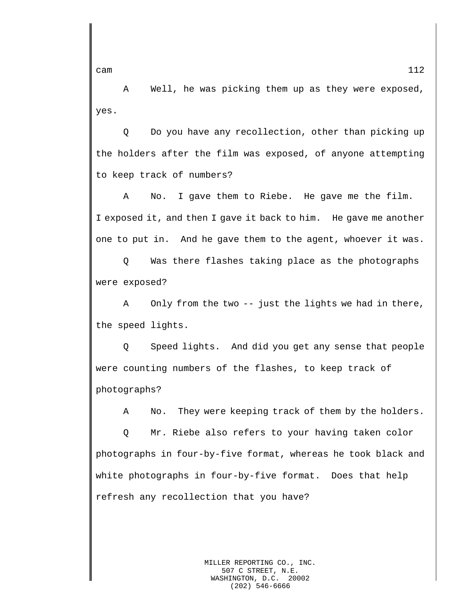A Well, he was picking them up as they were exposed, yes.

Q Do you have any recollection, other than picking up the holders after the film was exposed, of anyone attempting to keep track of numbers?

A No. I gave them to Riebe. He gave me the film. I exposed it, and then I gave it back to him. He gave me another one to put in. And he gave them to the agent, whoever it was.

Q Was there flashes taking place as the photographs were exposed?

A Only from the two -- just the lights we had in there, the speed lights.

Q Speed lights. And did you get any sense that people were counting numbers of the flashes, to keep track of photographs?

A No. They were keeping track of them by the holders.

Q Mr. Riebe also refers to your having taken color photographs in four-by-five format, whereas he took black and white photographs in four-by-five format. Does that help refresh any recollection that you have?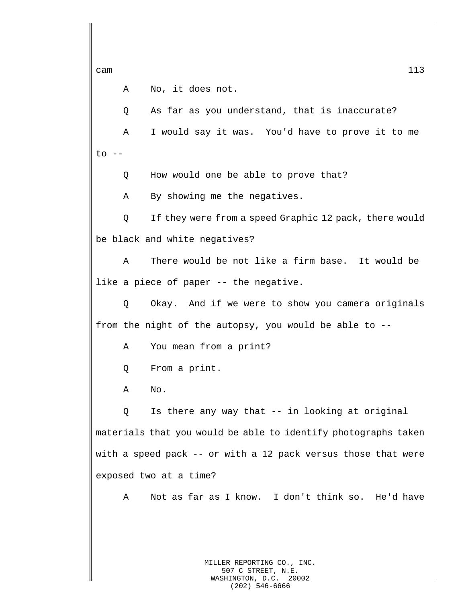A No, it does not.

Q As far as you understand, that is inaccurate?

A I would say it was. You'd have to prove it to me  $to$   $--$ 

Q How would one be able to prove that?

A By showing me the negatives.

Q If they were from a speed Graphic 12 pack, there would be black and white negatives?

A There would be not like a firm base. It would be like a piece of paper -- the negative.

Q Okay. And if we were to show you camera originals from the night of the autopsy, you would be able to --

A You mean from a print?

Q From a print.

A No.

Q Is there any way that -- in looking at original materials that you would be able to identify photographs taken with a speed pack -- or with a 12 pack versus those that were exposed two at a time?

A Not as far as I know. I don't think so. He'd have

MILLER REPORTING CO., INC. 507 C STREET, N.E. WASHINGTON, D.C. 20002 (202) 546-6666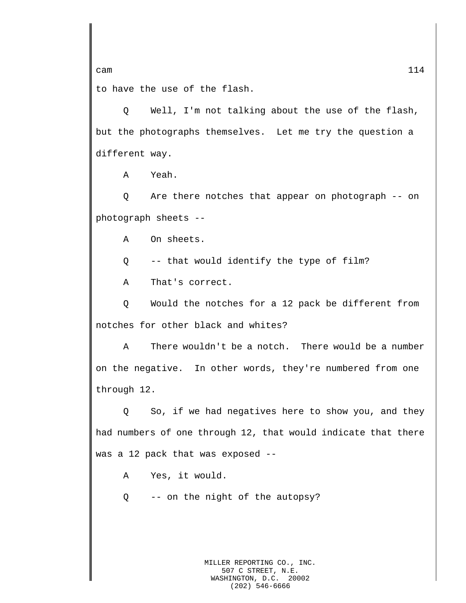cam  $114$ to have the use of the flash.

Q Well, I'm not talking about the use of the flash, but the photographs themselves. Let me try the question a different way.

A Yeah.

Q Are there notches that appear on photograph -- on photograph sheets --

A On sheets.

Q -- that would identify the type of film?

A That's correct.

Q Would the notches for a 12 pack be different from notches for other black and whites?

A There wouldn't be a notch. There would be a number on the negative. In other words, they're numbered from one through 12.

Q So, if we had negatives here to show you, and they had numbers of one through 12, that would indicate that there was a 12 pack that was exposed --

A Yes, it would.

Q -- on the night of the autopsy?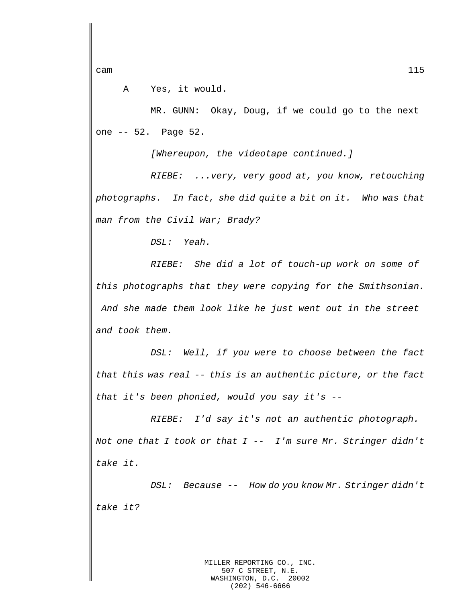A Yes, it would.

MR. GUNN: Okay, Doug, if we could go to the next one -- 52. Page 52.

*[Whereupon, the videotape continued.]*

*RIEBE: ...very, very good at, you know, retouching photographs. In fact, she did quite a bit on it. Who was that man from the Civil War; Brady?*

*DSL: Yeah.*

*RIEBE: She did a lot of touch-up work on some of this photographs that they were copying for the Smithsonian. And she made them look like he just went out in the street and took them.*

*DSL: Well, if you were to choose between the fact that this was real -- this is an authentic picture, or the fact that it's been phonied, would you say it's --*

*RIEBE: I'd say it's not an authentic photograph. Not one that I took or that I -- I'm sure Mr. Stringer didn't take it.*

*DSL: Because -- How do you know Mr. Stringer didn't take it?*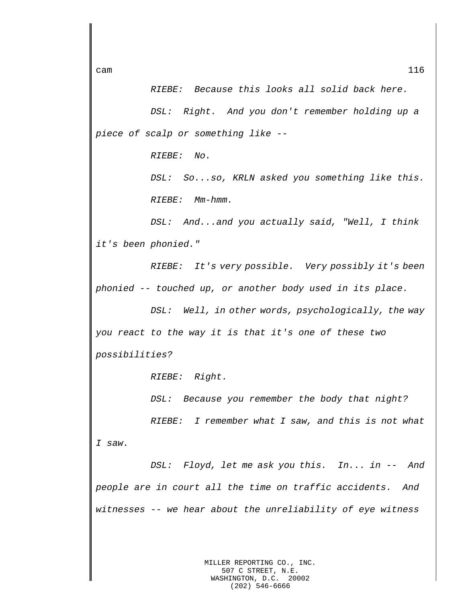*RIEBE: Because this looks all solid back here.*

*DSL: Right. And you don't remember holding up a piece of scalp or something like --*

*RIEBE: No.*

*DSL: So...so, KRLN asked you something like this. RIEBE: Mm-hmm.*

*DSL: And...and you actually said, "Well, I think it's been phonied."*

*RIEBE: It's very possible. Very possibly it's been phonied -- touched up, or another body used in its place.*

*DSL: Well, in other words, psychologically, the way you react to the way it is that it's one of these two possibilities?*

*RIEBE: Right.*

*DSL: Because you remember the body that night?*

*RIEBE: I remember what I saw, and this is not what I saw.*

*DSL: Floyd, let me ask you this. In... in -- And people are in court all the time on traffic accidents. And witnesses -- we hear about the unreliability of eye witness*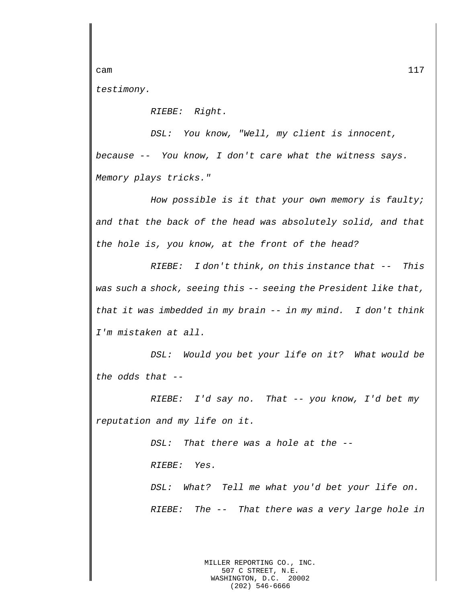cam  $117$ 

*testimony.*

*RIEBE: Right.*

*DSL: You know, "Well, my client is innocent, because -- You know, I don't care what the witness says. Memory plays tricks."*

*How possible is it that your own memory is faulty; and that the back of the head was absolutely solid, and that the hole is, you know, at the front of the head?*

*RIEBE: I don't think, on this instance that -- This was such a shock, seeing this -- seeing the President like that, that it was imbedded in my brain -- in my mind. I don't think I'm mistaken at all.*

*DSL: Would you bet your life on it? What would be the odds that --*

*RIEBE: I'd say no. That -- you know, I'd bet my reputation and my life on it.*

> *DSL: That there was a hole at the -- RIEBE: Yes.*

*DSL: What? Tell me what you'd bet your life on. RIEBE: The -- That there was a very large hole in* 

> MILLER REPORTING CO., INC. 507 C STREET, N.E. WASHINGTON, D.C. 20002 (202) 546-6666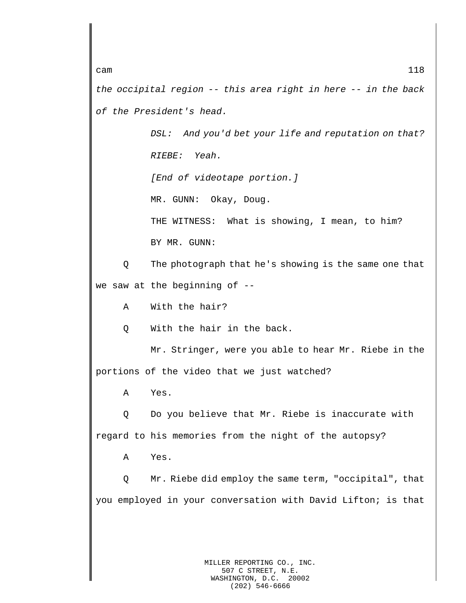*the occipital region -- this area right in here -- in the back of the President's head.*

> *DSL: And you'd bet your life and reputation on that? RIEBE: Yeah.*

*[End of videotape portion.]*

MR. GUNN: Okay, Doug.

THE WITNESS: What is showing, I mean, to him? BY MR. GUNN:

Q The photograph that he's showing is the same one that we saw at the beginning of --

A With the hair?

Q With the hair in the back.

Mr. Stringer, were you able to hear Mr. Riebe in the portions of the video that we just watched?

A Yes.

Q Do you believe that Mr. Riebe is inaccurate with regard to his memories from the night of the autopsy?

A Yes.

Q Mr. Riebe did employ the same term, "occipital", that you employed in your conversation with David Lifton; is that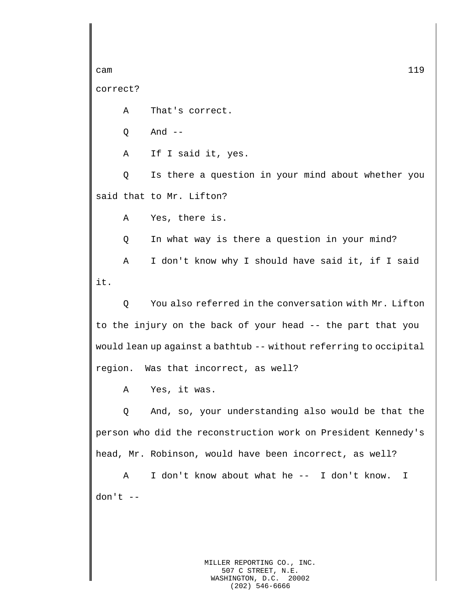```
cam and the contract of the contract of the contract of the contract of the contract of 119
```
correct?

A That's correct.

 $O$  And  $-$ 

A If I said it, yes.

Q Is there a question in your mind about whether you said that to Mr. Lifton?

A Yes, there is.

Q In what way is there a question in your mind?

A I don't know why I should have said it, if I said it.

Q You also referred in the conversation with Mr. Lifton to the injury on the back of your head -- the part that you would lean up against a bathtub -- without referring to occipital region. Was that incorrect, as well?

A Yes, it was.

Q And, so, your understanding also would be that the person who did the reconstruction work on President Kennedy's head, Mr. Robinson, would have been incorrect, as well?

A I don't know about what he -- I don't know. I don't --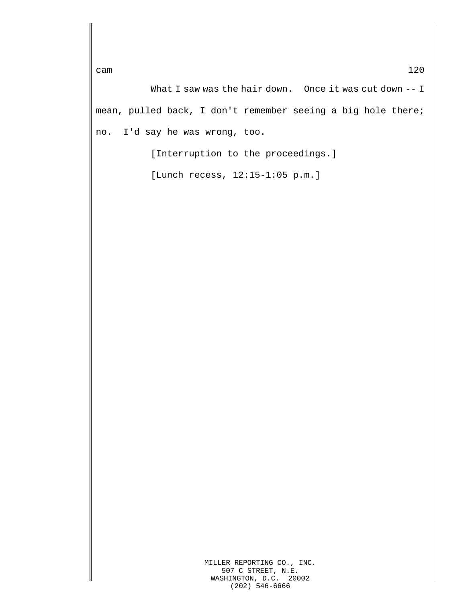What I saw was the hair down. Once it was cut down -- I mean, pulled back, I don't remember seeing a big hole there; no. I'd say he was wrong, too.

[Interruption to the proceedings.]

[Lunch recess, 12:15-1:05 p.m.]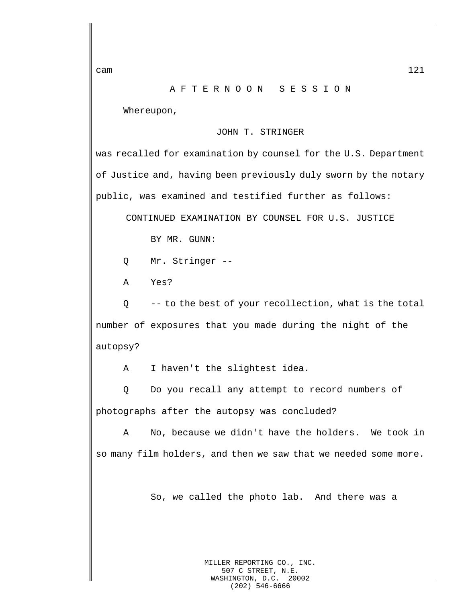## A F T E R N O O N S E S S I O N

Whereupon,

## JOHN T. STRINGER

was recalled for examination by counsel for the U.S. Department of Justice and, having been previously duly sworn by the notary public, was examined and testified further as follows:

CONTINUED EXAMINATION BY COUNSEL FOR U.S. JUSTICE

BY MR. GUNN:

Q Mr. Stringer --

A Yes?

Q -- to the best of your recollection, what is the total number of exposures that you made during the night of the autopsy?

A I haven't the slightest idea.

Q Do you recall any attempt to record numbers of photographs after the autopsy was concluded?

A No, because we didn't have the holders. We took in so many film holders, and then we saw that we needed some more.

So, we called the photo lab. And there was a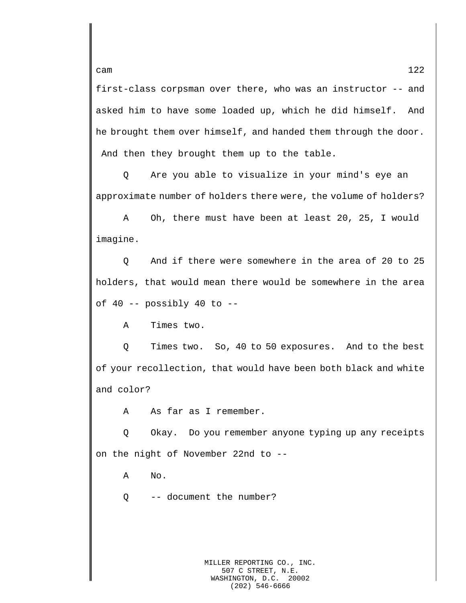first-class corpsman over there, who was an instructor -- and asked him to have some loaded up, which he did himself. And he brought them over himself, and handed them through the door. And then they brought them up to the table.

Q Are you able to visualize in your mind's eye an approximate number of holders there were, the volume of holders?

A Oh, there must have been at least 20, 25, I would imagine.

Q And if there were somewhere in the area of 20 to 25 holders, that would mean there would be somewhere in the area of  $40$  -- possibly  $40$  to --

A Times two.

Q Times two. So, 40 to 50 exposures. And to the best of your recollection, that would have been both black and white and color?

A As far as I remember.

Q Okay. Do you remember anyone typing up any receipts on the night of November 22nd to --

A No.

Q -- document the number?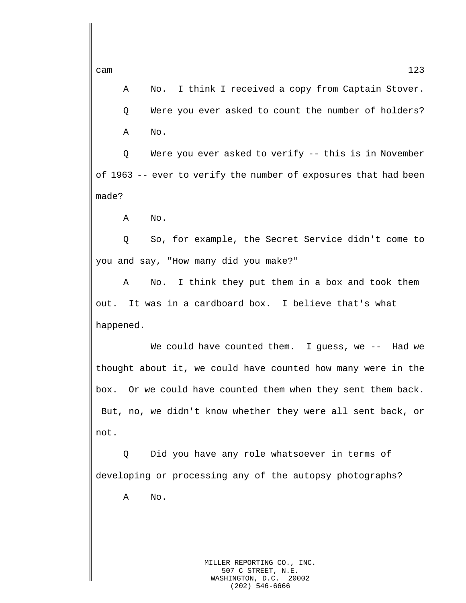A No. I think I received a copy from Captain Stover. Q Were you ever asked to count the number of holders? A No.

Q Were you ever asked to verify -- this is in November of 1963 -- ever to verify the number of exposures that had been made?

A No.

Q So, for example, the Secret Service didn't come to you and say, "How many did you make?"

A No. I think they put them in a box and took them out. It was in a cardboard box. I believe that's what happened.

We could have counted them. I guess, we -- Had we thought about it, we could have counted how many were in the box. Or we could have counted them when they sent them back. But, no, we didn't know whether they were all sent back, or not.

Q Did you have any role whatsoever in terms of developing or processing any of the autopsy photographs?

A No.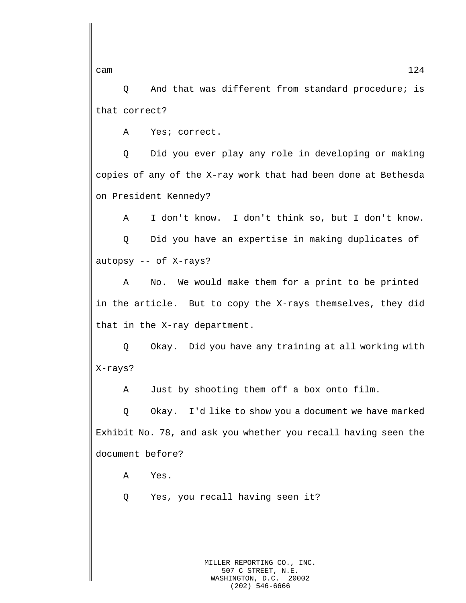Q And that was different from standard procedure; is that correct?

A Yes; correct.

Q Did you ever play any role in developing or making copies of any of the X-ray work that had been done at Bethesda on President Kennedy?

A I don't know. I don't think so, but I don't know. Q Did you have an expertise in making duplicates of autopsy -- of X-rays?

A No. We would make them for a print to be printed in the article. But to copy the X-rays themselves, they did that in the X-ray department.

Q Okay. Did you have any training at all working with X-rays?

A Just by shooting them off a box onto film.

Q Okay. I'd like to show you a document we have marked Exhibit No. 78, and ask you whether you recall having seen the document before?

A Yes.

Q Yes, you recall having seen it?

cam  $124$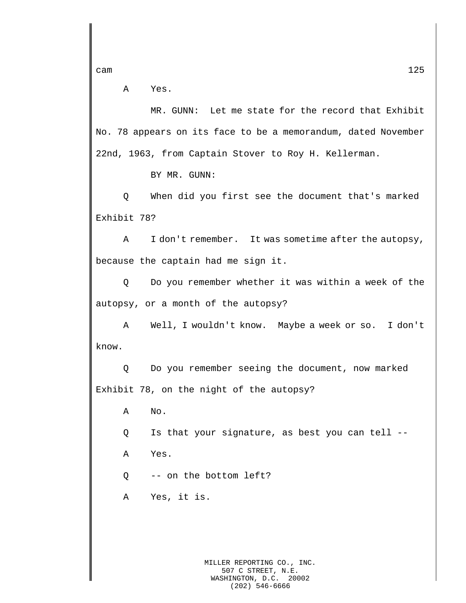A Yes.

MR. GUNN: Let me state for the record that Exhibit No. 78 appears on its face to be a memorandum, dated November 22nd, 1963, from Captain Stover to Roy H. Kellerman.

BY MR. GUNN:

Q When did you first see the document that's marked Exhibit 78?

A I don't remember. It was sometime after the autopsy, because the captain had me sign it.

Q Do you remember whether it was within a week of the autopsy, or a month of the autopsy?

A Well, I wouldn't know. Maybe a week or so. I don't know.

Q Do you remember seeing the document, now marked Exhibit 78, on the night of the autopsy?

A No.

Q Is that your signature, as best you can tell --

A Yes.

Q -- on the bottom left?

A Yes, it is.

MILLER REPORTING CO., INC. 507 C STREET, N.E. WASHINGTON, D.C. 20002 (202) 546-6666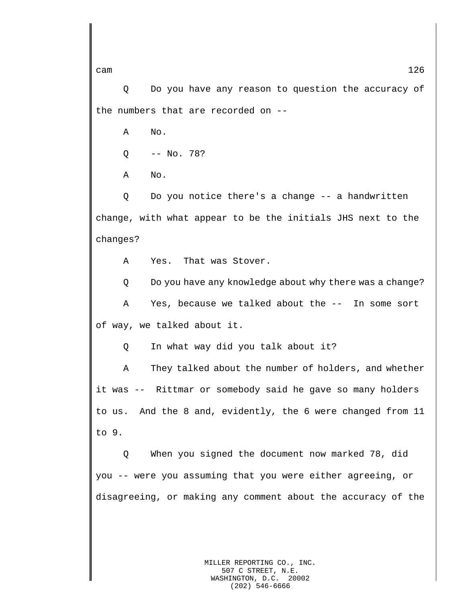Q Do you have any reason to question the accuracy of the numbers that are recorded on --

A No.

Q -- No. 78?

A No.

Q Do you notice there's a change -- a handwritten change, with what appear to be the initials JHS next to the changes?

A Yes. That was Stover.

Q Do you have any knowledge about why there was a change?

A Yes, because we talked about the -- In some sort of way, we talked about it.

Q In what way did you talk about it?

A They talked about the number of holders, and whether it was -- Rittmar or somebody said he gave so many holders to us. And the 8 and, evidently, the 6 were changed from 11 to 9.

Q When you signed the document now marked 78, did you -- were you assuming that you were either agreeing, or disagreeing, or making any comment about the accuracy of the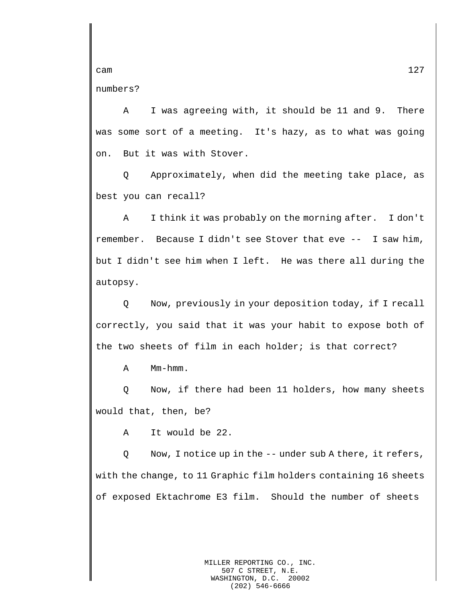numbers?

A I was agreeing with, it should be 11 and 9. There was some sort of a meeting. It's hazy, as to what was going on. But it was with Stover.

Q Approximately, when did the meeting take place, as best you can recall?

A I think it was probably on the morning after. I don't remember. Because I didn't see Stover that eve -- I saw him, but I didn't see him when I left. He was there all during the autopsy.

Q Now, previously in your deposition today, if I recall correctly, you said that it was your habit to expose both of the two sheets of film in each holder; is that correct?

A Mm-hmm.

Q Now, if there had been 11 holders, how many sheets would that, then, be?

A It would be 22.

Q Now, I notice up in the -- under sub A there, it refers, with the change, to 11 Graphic film holders containing 16 sheets of exposed Ektachrome E3 film. Should the number of sheets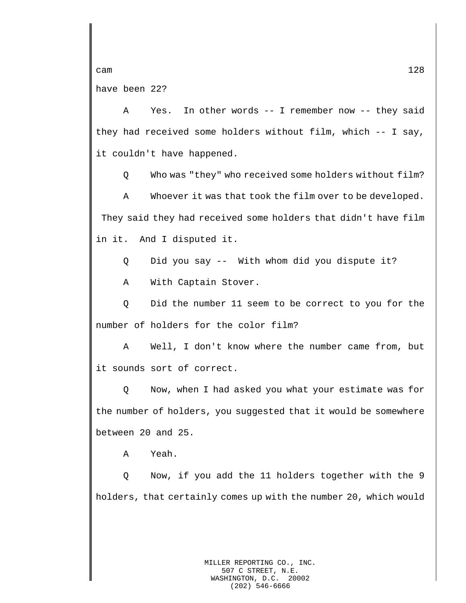have been 22?

A Yes. In other words -- I remember now -- they said they had received some holders without film, which -- I say, it couldn't have happened.

Q Who was "they" who received some holders without film?

A Whoever it was that took the film over to be developed. They said they had received some holders that didn't have film in it. And I disputed it.

Q Did you say -- With whom did you dispute it?

A With Captain Stover.

Q Did the number 11 seem to be correct to you for the number of holders for the color film?

A Well, I don't know where the number came from, but it sounds sort of correct.

Q Now, when I had asked you what your estimate was for the number of holders, you suggested that it would be somewhere between 20 and 25.

A Yeah.

Q Now, if you add the 11 holders together with the 9 holders, that certainly comes up with the number 20, which would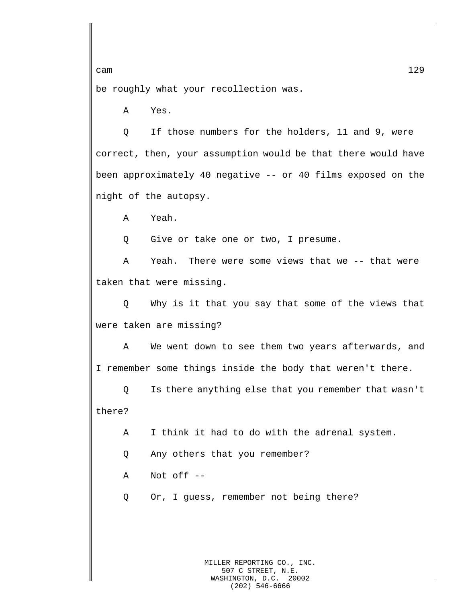be roughly what your recollection was.

A Yes.

Q If those numbers for the holders, 11 and 9, were correct, then, your assumption would be that there would have been approximately 40 negative -- or 40 films exposed on the night of the autopsy.

A Yeah.

Q Give or take one or two, I presume.

A Yeah. There were some views that we -- that were taken that were missing.

Q Why is it that you say that some of the views that were taken are missing?

A We went down to see them two years afterwards, and I remember some things inside the body that weren't there.

Q Is there anything else that you remember that wasn't there?

A I think it had to do with the adrenal system.

Q Any others that you remember?

A Not off --

Q Or, I guess, remember not being there?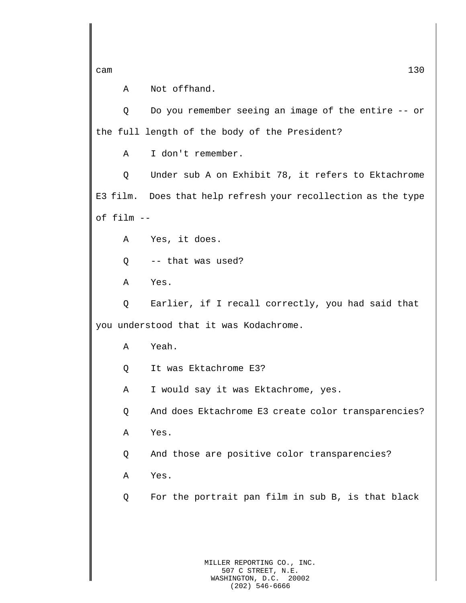A Not offhand.

Q Do you remember seeing an image of the entire -- or the full length of the body of the President?

A I don't remember.

Q Under sub A on Exhibit 78, it refers to Ektachrome E3 film. Does that help refresh your recollection as the type of film --

A Yes, it does.

Q -- that was used?

A Yes.

Q Earlier, if I recall correctly, you had said that you understood that it was Kodachrome.

A Yeah.

Q It was Ektachrome E3?

A I would say it was Ektachrome, yes.

Q And does Ektachrome E3 create color transparencies?

A Yes.

Q And those are positive color transparencies?

A Yes.

Q For the portrait pan film in sub B, is that black

MILLER REPORTING CO., INC. 507 C STREET, N.E. WASHINGTON, D.C. 20002 (202) 546-6666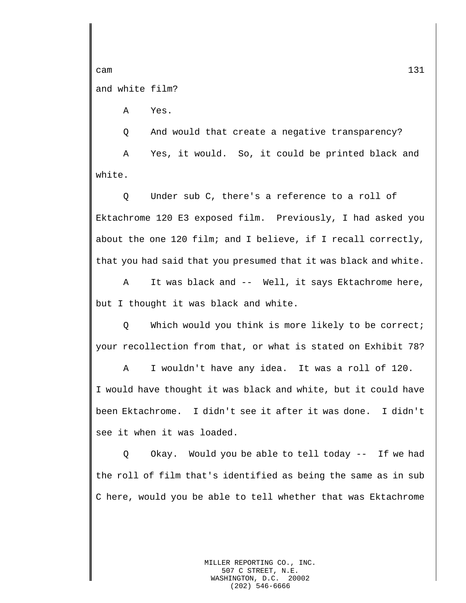cam  $131$ and white film?

A Yes.

Q And would that create a negative transparency? A Yes, it would. So, it could be printed black and white.

Q Under sub C, there's a reference to a roll of Ektachrome 120 E3 exposed film. Previously, I had asked you about the one 120 film; and I believe, if I recall correctly, that you had said that you presumed that it was black and white.

A It was black and -- Well, it says Ektachrome here, but I thought it was black and white.

Q Which would you think is more likely to be correct; your recollection from that, or what is stated on Exhibit 78?

A I wouldn't have any idea. It was a roll of 120. I would have thought it was black and white, but it could have been Ektachrome. I didn't see it after it was done. I didn't see it when it was loaded.

Q Okay. Would you be able to tell today -- If we had the roll of film that's identified as being the same as in sub C here, would you be able to tell whether that was Ektachrome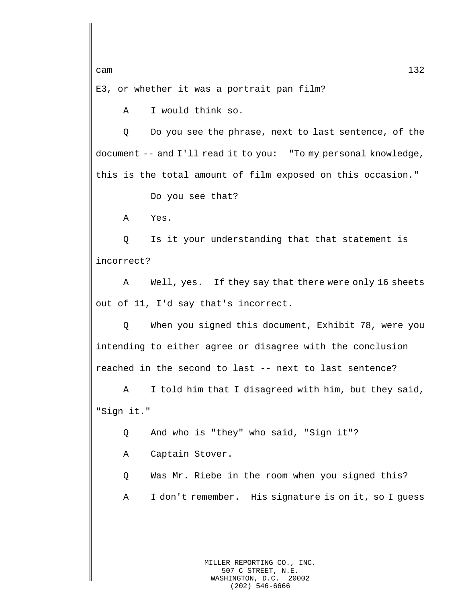E3, or whether it was a portrait pan film?

A I would think so.

Q Do you see the phrase, next to last sentence, of the document -- and I'll read it to you: "To my personal knowledge, this is the total amount of film exposed on this occasion."

Do you see that?

A Yes.

Q Is it your understanding that that statement is incorrect?

A Well, yes. If they say that there were only 16 sheets out of 11, I'd say that's incorrect.

Q When you signed this document, Exhibit 78, were you intending to either agree or disagree with the conclusion reached in the second to last -- next to last sentence?

A I told him that I disagreed with him, but they said, "Sign it."

Q And who is "they" who said, "Sign it"?

A Captain Stover.

Q Was Mr. Riebe in the room when you signed this?

A I don't remember. His signature is on it, so I guess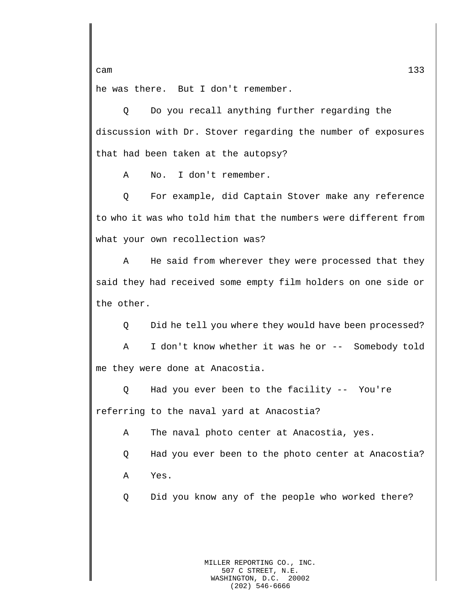he was there. But I don't remember.

Q Do you recall anything further regarding the discussion with Dr. Stover regarding the number of exposures that had been taken at the autopsy?

A No. I don't remember.

Q For example, did Captain Stover make any reference to who it was who told him that the numbers were different from what your own recollection was?

A He said from wherever they were processed that they said they had received some empty film holders on one side or the other.

Q Did he tell you where they would have been processed?

A I don't know whether it was he or -- Somebody told me they were done at Anacostia.

Q Had you ever been to the facility -- You're referring to the naval yard at Anacostia?

A The naval photo center at Anacostia, yes.

Q Had you ever been to the photo center at Anacostia?

A Yes.

Q Did you know any of the people who worked there?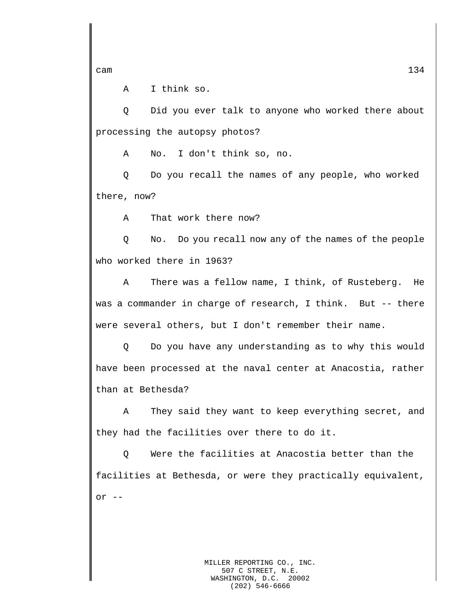A I think so.

Q Did you ever talk to anyone who worked there about processing the autopsy photos?

A No. I don't think so, no.

Q Do you recall the names of any people, who worked there, now?

A That work there now?

Q No. Do you recall now any of the names of the people who worked there in 1963?

A There was a fellow name, I think, of Rusteberg. He was a commander in charge of research, I think. But -- there were several others, but I don't remember their name.

Q Do you have any understanding as to why this would have been processed at the naval center at Anacostia, rather than at Bethesda?

A They said they want to keep everything secret, and they had the facilities over there to do it.

Q Were the facilities at Anacostia better than the facilities at Bethesda, or were they practically equivalent, or --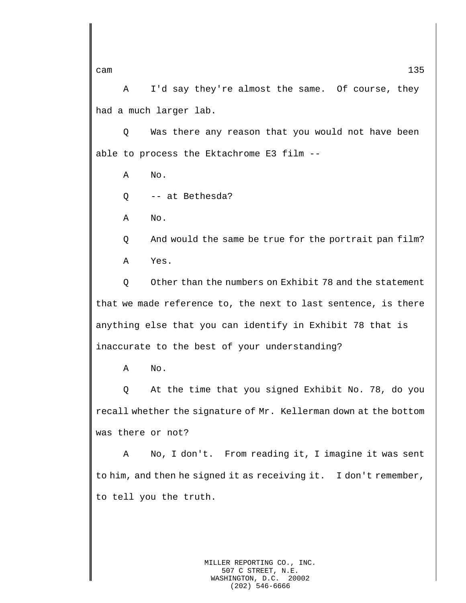A I'd say they're almost the same. Of course, they had a much larger lab.

Q Was there any reason that you would not have been able to process the Ektachrome E3 film --

A No.

Q -- at Bethesda?

A No.

Q And would the same be true for the portrait pan film? A Yes.

Q Other than the numbers on Exhibit 78 and the statement that we made reference to, the next to last sentence, is there anything else that you can identify in Exhibit 78 that is inaccurate to the best of your understanding?

A No.

Q At the time that you signed Exhibit No. 78, do you recall whether the signature of Mr. Kellerman down at the bottom was there or not?

A No, I don't. From reading it, I imagine it was sent to him, and then he signed it as receiving it. I don't remember, to tell you the truth.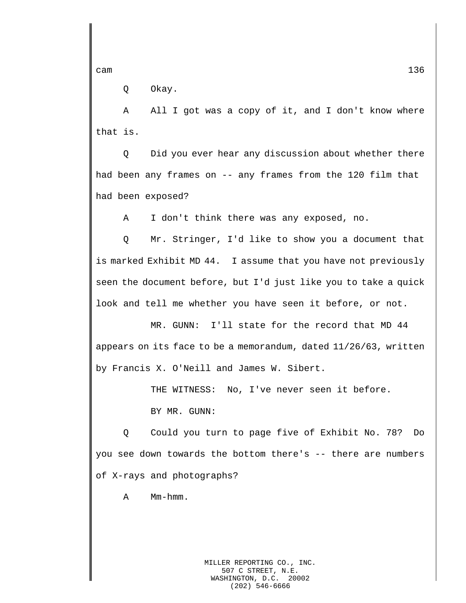Q Okay.

A All I got was a copy of it, and I don't know where that is.

Q Did you ever hear any discussion about whether there had been any frames on -- any frames from the 120 film that had been exposed?

A I don't think there was any exposed, no.

Q Mr. Stringer, I'd like to show you a document that is marked Exhibit MD 44. I assume that you have not previously seen the document before, but I'd just like you to take a quick look and tell me whether you have seen it before, or not.

MR. GUNN: I'll state for the record that MD 44 appears on its face to be a memorandum, dated 11/26/63, written by Francis X. O'Neill and James W. Sibert.

THE WITNESS: No, I've never seen it before.

BY MR. GUNN:

Q Could you turn to page five of Exhibit No. 78? Do you see down towards the bottom there's -- there are numbers of X-rays and photographs?

A Mm-hmm.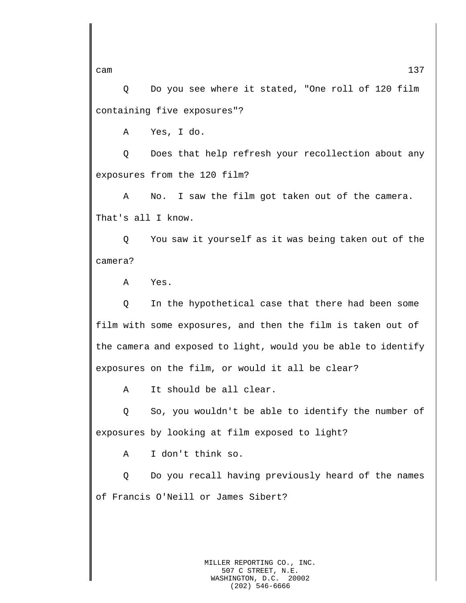Q Do you see where it stated, "One roll of 120 film containing five exposures"?

A Yes, I do.

Q Does that help refresh your recollection about any exposures from the 120 film?

A No. I saw the film got taken out of the camera. That's all I know.

Q You saw it yourself as it was being taken out of the camera?

A Yes.

Q In the hypothetical case that there had been some film with some exposures, and then the film is taken out of the camera and exposed to light, would you be able to identify exposures on the film, or would it all be clear?

A It should be all clear.

Q So, you wouldn't be able to identify the number of exposures by looking at film exposed to light?

A I don't think so.

Q Do you recall having previously heard of the names of Francis O'Neill or James Sibert?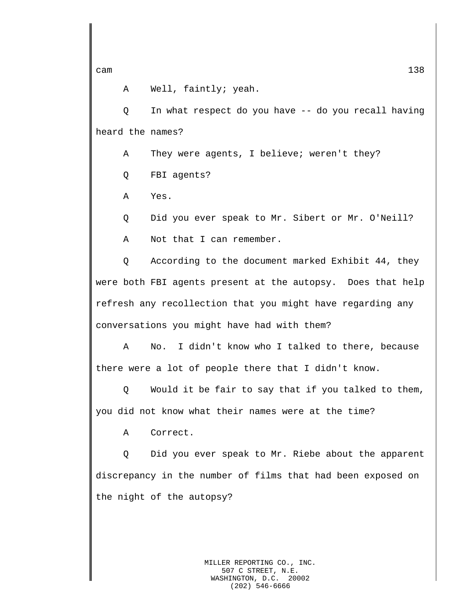A Well, faintly; yeah.

Q In what respect do you have -- do you recall having heard the names?

A They were agents, I believe; weren't they?

Q FBI agents?

A Yes.

Q Did you ever speak to Mr. Sibert or Mr. O'Neill?

A Not that I can remember.

Q According to the document marked Exhibit 44, they were both FBI agents present at the autopsy. Does that help refresh any recollection that you might have regarding any conversations you might have had with them?

A No. I didn't know who I talked to there, because there were a lot of people there that I didn't know.

Q Would it be fair to say that if you talked to them, you did not know what their names were at the time?

A Correct.

Q Did you ever speak to Mr. Riebe about the apparent discrepancy in the number of films that had been exposed on the night of the autopsy?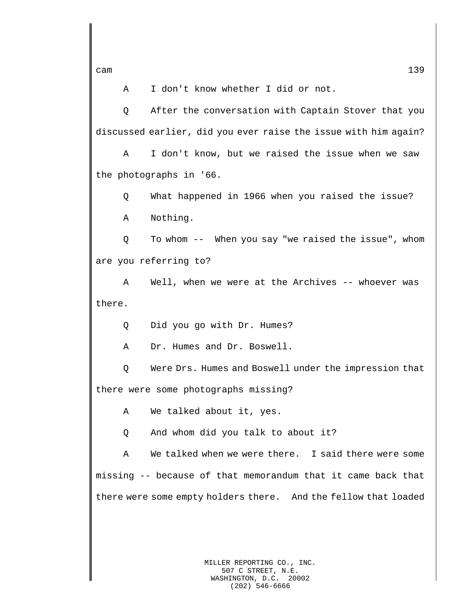A I don't know whether I did or not.

Q After the conversation with Captain Stover that you discussed earlier, did you ever raise the issue with him again?

A I don't know, but we raised the issue when we saw the photographs in '66.

Q What happened in 1966 when you raised the issue?

A Nothing.

Q To whom -- When you say "we raised the issue", whom are you referring to?

A Well, when we were at the Archives -- whoever was there.

Q Did you go with Dr. Humes?

A Dr. Humes and Dr. Boswell.

Q Were Drs. Humes and Boswell under the impression that there were some photographs missing?

A We talked about it, yes.

Q And whom did you talk to about it?

A We talked when we were there. I said there were some missing -- because of that memorandum that it came back that there were some empty holders there. And the fellow that loaded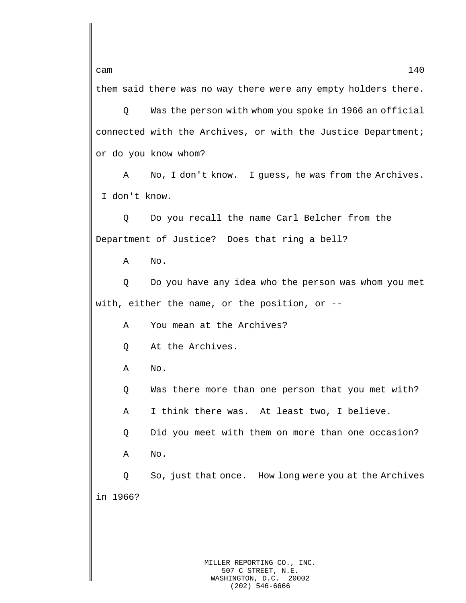them said there was no way there were any empty holders there.

Q Was the person with whom you spoke in 1966 an official connected with the Archives, or with the Justice Department; or do you know whom?

A No, I don't know. I guess, he was from the Archives. I don't know.

Q Do you recall the name Carl Belcher from the Department of Justice? Does that ring a bell?

A No.

Q Do you have any idea who the person was whom you met with, either the name, or the position, or --

A You mean at the Archives?

Q At the Archives.

A No.

Q Was there more than one person that you met with?

A I think there was. At least two, I believe.

Q Did you meet with them on more than one occasion?

A No.

Q So, just that once. How long were you at the Archives in 1966?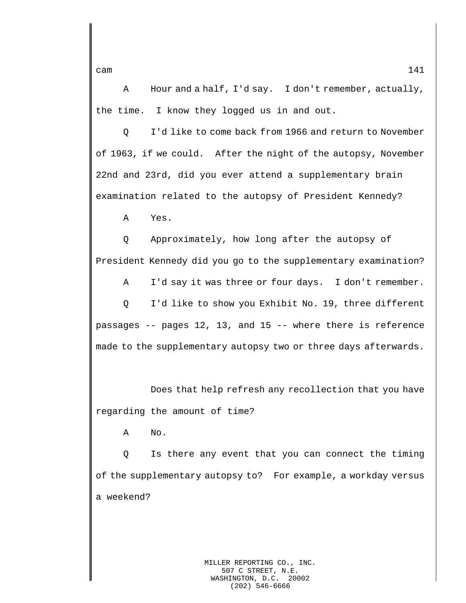A Hour and a half, I'd say. I don't remember, actually, the time. I know they logged us in and out.

Q I'd like to come back from 1966 and return to November of 1963, if we could. After the night of the autopsy, November 22nd and 23rd, did you ever attend a supplementary brain examination related to the autopsy of President Kennedy?

A Yes.

Q Approximately, how long after the autopsy of President Kennedy did you go to the supplementary examination?

A I'd say it was three or four days. I don't remember. Q I'd like to show you Exhibit No. 19, three different passages -- pages 12, 13, and 15 -- where there is reference made to the supplementary autopsy two or three days afterwards.

Does that help refresh any recollection that you have regarding the amount of time?

A No.

Q Is there any event that you can connect the timing of the supplementary autopsy to? For example, a workday versus a weekend?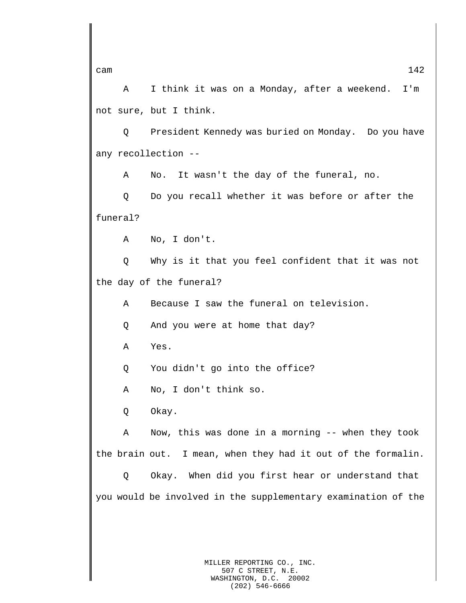A I think it was on a Monday, after a weekend. I'm not sure, but I think.

Q President Kennedy was buried on Monday. Do you have any recollection --

A No. It wasn't the day of the funeral, no.

Q Do you recall whether it was before or after the funeral?

A No, I don't.

Q Why is it that you feel confident that it was not the day of the funeral?

A Because I saw the funeral on television.

Q And you were at home that day?

A Yes.

Q You didn't go into the office?

A No, I don't think so.

Q Okay.

A Now, this was done in a morning -- when they took the brain out. I mean, when they had it out of the formalin.

Q Okay. When did you first hear or understand that you would be involved in the supplementary examination of the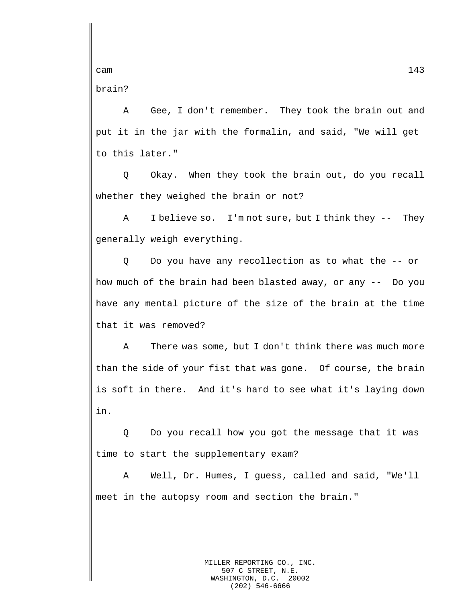brain?

A Gee, I don't remember. They took the brain out and put it in the jar with the formalin, and said, "We will get to this later."

Q Okay. When they took the brain out, do you recall whether they weighed the brain or not?

A I believe so. I'm not sure, but I think they -- They generally weigh everything.

Q Do you have any recollection as to what the -- or how much of the brain had been blasted away, or any -- Do you have any mental picture of the size of the brain at the time that it was removed?

A There was some, but I don't think there was much more than the side of your fist that was gone. Of course, the brain is soft in there. And it's hard to see what it's laying down in.

Q Do you recall how you got the message that it was time to start the supplementary exam?

A Well, Dr. Humes, I guess, called and said, "We'll meet in the autopsy room and section the brain."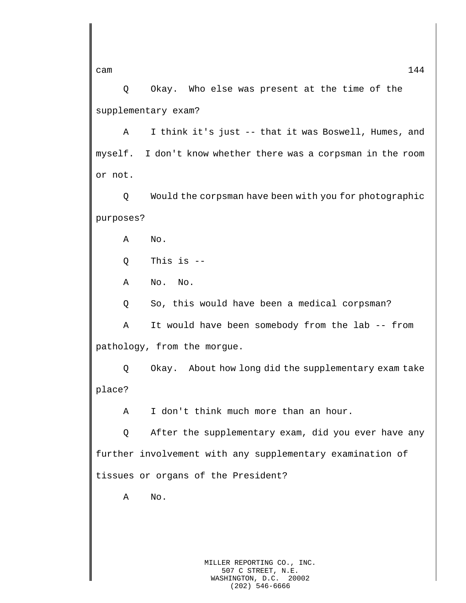Q Okay. Who else was present at the time of the supplementary exam?

A I think it's just -- that it was Boswell, Humes, and myself. I don't know whether there was a corpsman in the room or not.

Q Would the corpsman have been with you for photographic purposes?

A No.

Q This is --

A No. No.

Q So, this would have been a medical corpsman?

A It would have been somebody from the lab -- from pathology, from the morgue.

Q Okay. About how long did the supplementary exam take place?

A I don't think much more than an hour.

Q After the supplementary exam, did you ever have any further involvement with any supplementary examination of tissues or organs of the President?

A No.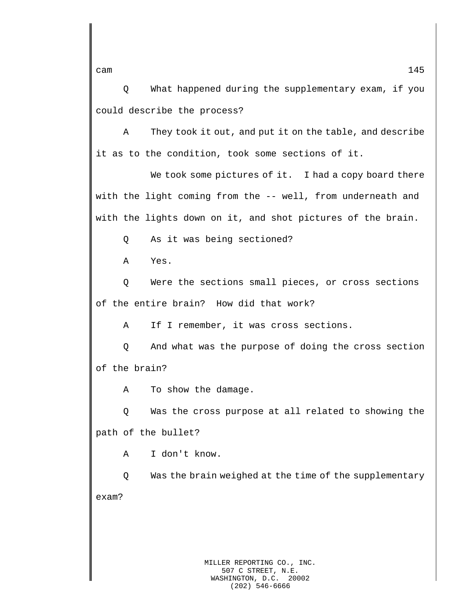Q What happened during the supplementary exam, if you could describe the process?

A They took it out, and put it on the table, and describe it as to the condition, took some sections of it.

We took some pictures of it. I had a copy board there with the light coming from the -- well, from underneath and with the lights down on it, and shot pictures of the brain.

Q As it was being sectioned?

A Yes.

Q Were the sections small pieces, or cross sections of the entire brain? How did that work?

A If I remember, it was cross sections.

Q And what was the purpose of doing the cross section of the brain?

A To show the damage.

Q Was the cross purpose at all related to showing the path of the bullet?

A I don't know.

Q Was the brain weighed at the time of the supplementary exam?

cam  $145$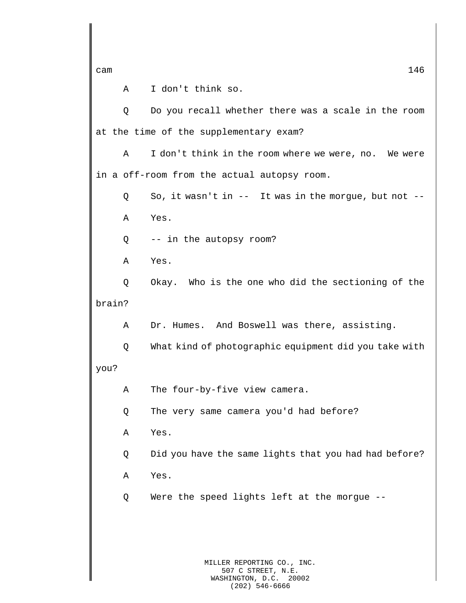A I don't think so.

Q Do you recall whether there was a scale in the room at the time of the supplementary exam?

A I don't think in the room where we were, no. We were in a off-room from the actual autopsy room.

Q So, it wasn't in -- It was in the morgue, but not -- A Yes.

Q -- in the autopsy room?

A Yes.

Q Okay. Who is the one who did the sectioning of the brain?

A Dr. Humes. And Boswell was there, assisting.

Q What kind of photographic equipment did you take with you?

A The four-by-five view camera.

Q The very same camera you'd had before?

A Yes.

Q Did you have the same lights that you had had before?

A Yes.

Q Were the speed lights left at the morgue --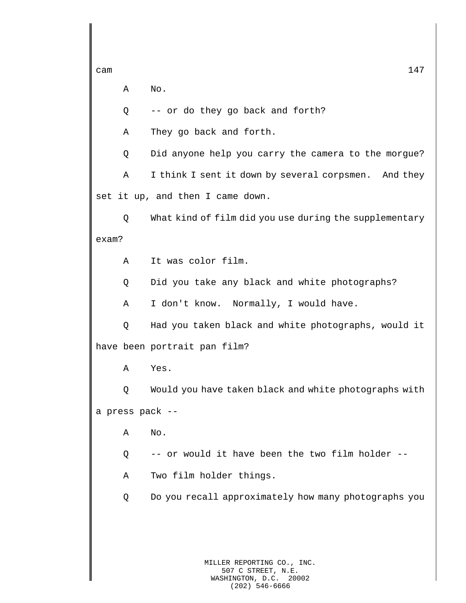A No.

Q -- or do they go back and forth?

A They go back and forth.

Q Did anyone help you carry the camera to the morgue?

A I think I sent it down by several corpsmen. And they set it up, and then I came down.

Q What kind of film did you use during the supplementary exam?

A It was color film.

Q Did you take any black and white photographs?

A I don't know. Normally, I would have.

Q Had you taken black and white photographs, would it have been portrait pan film?

A Yes.

Q Would you have taken black and white photographs with a press pack --

A No.

Q -- or would it have been the two film holder --

A Two film holder things.

Q Do you recall approximately how many photographs you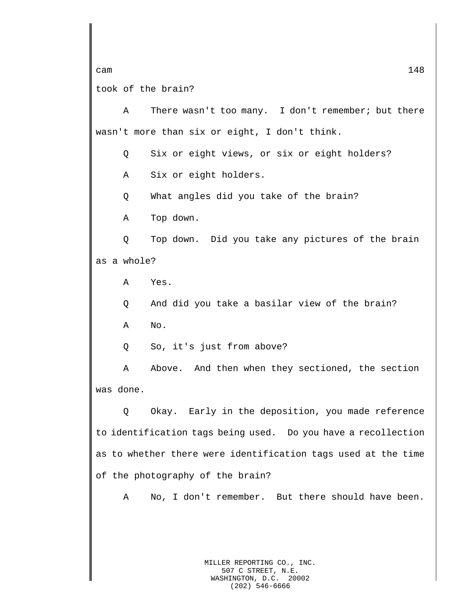cam  $148$ took of the brain?

A There wasn't too many. I don't remember; but there wasn't more than six or eight, I don't think.

Q Six or eight views, or six or eight holders?

A Six or eight holders.

Q What angles did you take of the brain?

A Top down.

Q Top down. Did you take any pictures of the brain as a whole?

A Yes.

Q And did you take a basilar view of the brain?

A No.

Q So, it's just from above?

A Above. And then when they sectioned, the section was done.

Q Okay. Early in the deposition, you made reference to identification tags being used. Do you have a recollection as to whether there were identification tags used at the time of the photography of the brain?

A No, I don't remember. But there should have been.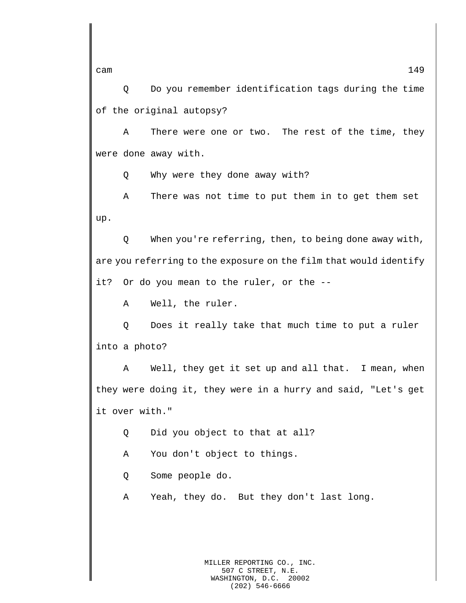Q Do you remember identification tags during the time of the original autopsy?

A There were one or two. The rest of the time, they were done away with.

Q Why were they done away with?

A There was not time to put them in to get them set up.

Q When you're referring, then, to being done away with, are you referring to the exposure on the film that would identify it? Or do you mean to the ruler, or the --

A Well, the ruler.

Q Does it really take that much time to put a ruler into a photo?

A Well, they get it set up and all that. I mean, when they were doing it, they were in a hurry and said, "Let's get it over with."

Q Did you object to that at all?

A You don't object to things.

Q Some people do.

A Yeah, they do. But they don't last long.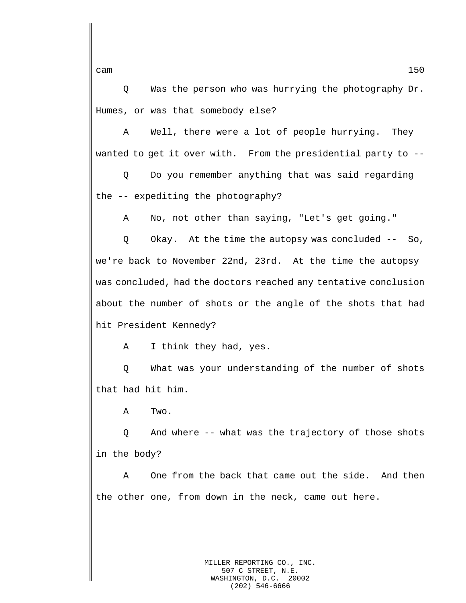Q Was the person who was hurrying the photography Dr. Humes, or was that somebody else?

A Well, there were a lot of people hurrying. They wanted to get it over with. From the presidential party to --

Q Do you remember anything that was said regarding the -- expediting the photography?

A No, not other than saying, "Let's get going."

Q Okay. At the time the autopsy was concluded -- So, we're back to November 22nd, 23rd. At the time the autopsy was concluded, had the doctors reached any tentative conclusion about the number of shots or the angle of the shots that had hit President Kennedy?

A I think they had, yes.

Q What was your understanding of the number of shots that had hit him.

A Two.

Q And where -- what was the trajectory of those shots in the body?

A One from the back that came out the side. And then the other one, from down in the neck, came out here.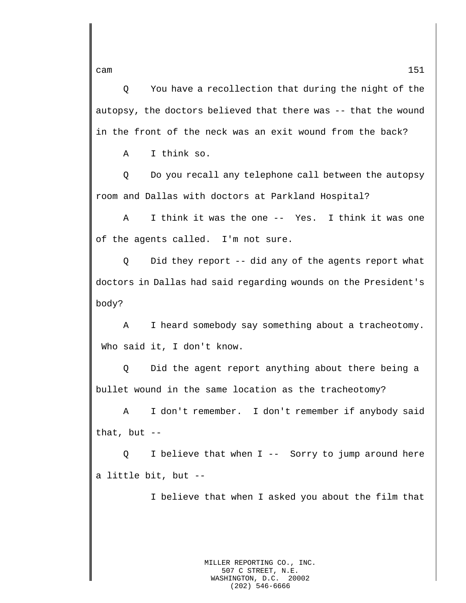Q You have a recollection that during the night of the autopsy, the doctors believed that there was -- that the wound in the front of the neck was an exit wound from the back?

A I think so.

Q Do you recall any telephone call between the autopsy room and Dallas with doctors at Parkland Hospital?

A I think it was the one -- Yes. I think it was one of the agents called. I'm not sure.

Q Did they report -- did any of the agents report what doctors in Dallas had said regarding wounds on the President's body?

A I heard somebody say something about a tracheotomy. Who said it, I don't know.

Q Did the agent report anything about there being a bullet wound in the same location as the tracheotomy?

A I don't remember. I don't remember if anybody said that, but --

Q I believe that when I -- Sorry to jump around here a little bit, but --

I believe that when I asked you about the film that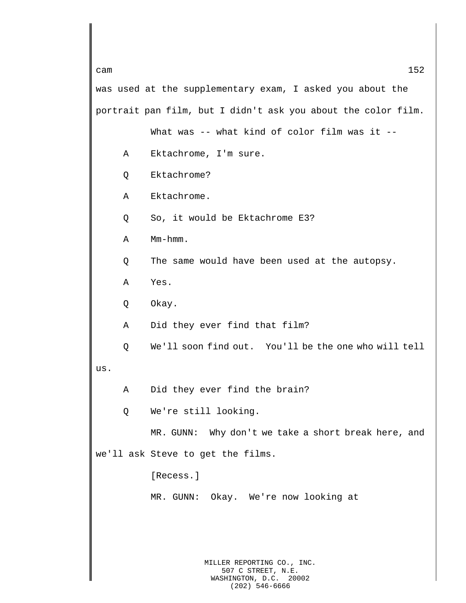MILLER REPORTING CO., INC. 507 C STREET, N.E. WASHINGTON, D.C. 20002 cam  $152$ was used at the supplementary exam, I asked you about the portrait pan film, but I didn't ask you about the color film. What was -- what kind of color film was it --A Ektachrome, I'm sure. Q Ektachrome? A Ektachrome. Q So, it would be Ektachrome E3? A Mm-hmm. Q The same would have been used at the autopsy. A Yes. Q Okay. A Did they ever find that film? Q We'll soon find out. You'll be the one who will tell us. A Did they ever find the brain? Q We're still looking. MR. GUNN: Why don't we take a short break here, and we'll ask Steve to get the films. [Recess.] MR. GUNN: Okay. We're now looking at

(202) 546-6666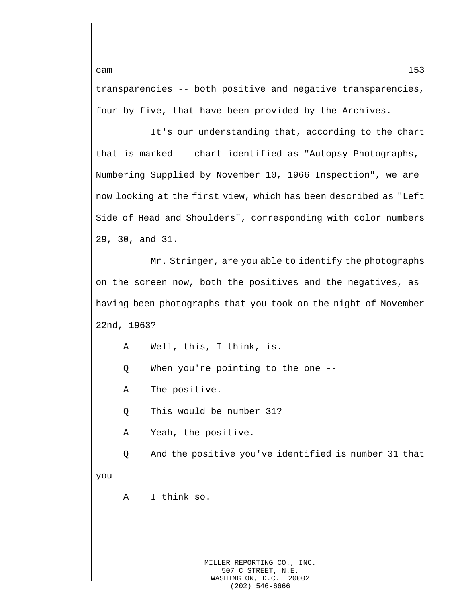transparencies -- both positive and negative transparencies, four-by-five, that have been provided by the Archives.

It's our understanding that, according to the chart that is marked -- chart identified as "Autopsy Photographs, Numbering Supplied by November 10, 1966 Inspection", we are now looking at the first view, which has been described as "Left Side of Head and Shoulders", corresponding with color numbers 29, 30, and 31.

Mr. Stringer, are you able to identify the photographs on the screen now, both the positives and the negatives, as having been photographs that you took on the night of November 22nd, 1963?

A Well, this, I think, is.

Q When you're pointing to the one --

A The positive.

Q This would be number 31?

A Yeah, the positive.

Q And the positive you've identified is number 31 that you --

A I think so.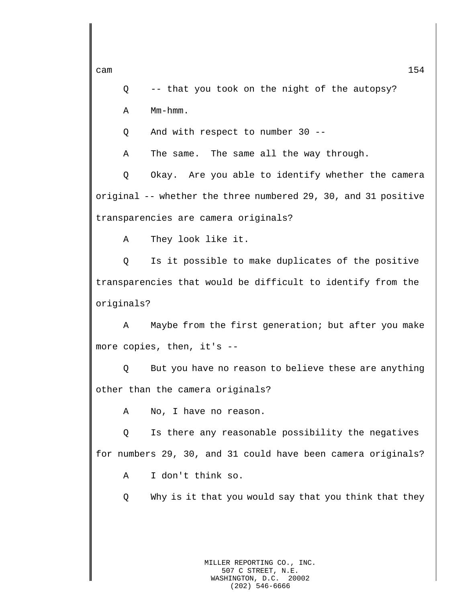Q -- that you took on the night of the autopsy?

A Mm-hmm.

Q And with respect to number 30 --

A The same. The same all the way through.

Q Okay. Are you able to identify whether the camera original -- whether the three numbered 29, 30, and 31 positive transparencies are camera originals?

A They look like it.

Q Is it possible to make duplicates of the positive transparencies that would be difficult to identify from the originals?

A Maybe from the first generation; but after you make more copies, then, it's --

Q But you have no reason to believe these are anything other than the camera originals?

A No, I have no reason.

Q Is there any reasonable possibility the negatives for numbers 29, 30, and 31 could have been camera originals?

A I don't think so.

Q Why is it that you would say that you think that they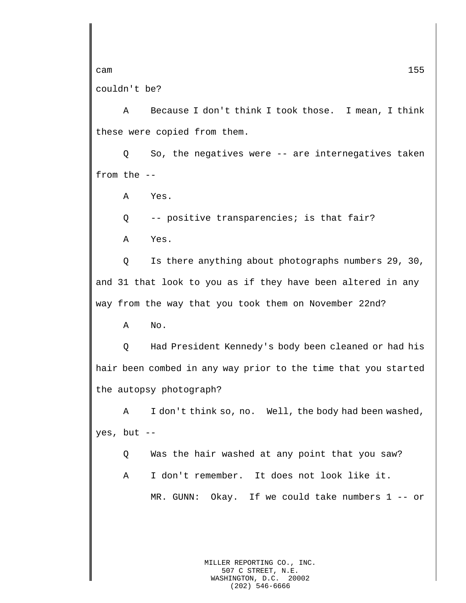couldn't be?

A Because I don't think I took those. I mean, I think these were copied from them.

Q So, the negatives were -- are internegatives taken from the --

A Yes.

Q -- positive transparencies; is that fair?

A Yes.

Q Is there anything about photographs numbers 29, 30, and 31 that look to you as if they have been altered in any way from the way that you took them on November 22nd?

A No.

Q Had President Kennedy's body been cleaned or had his hair been combed in any way prior to the time that you started the autopsy photograph?

A I don't think so, no. Well, the body had been washed, yes, but --

Q Was the hair washed at any point that you saw?

A I don't remember. It does not look like it.

MR. GUNN: Okay. If we could take numbers 1 -- or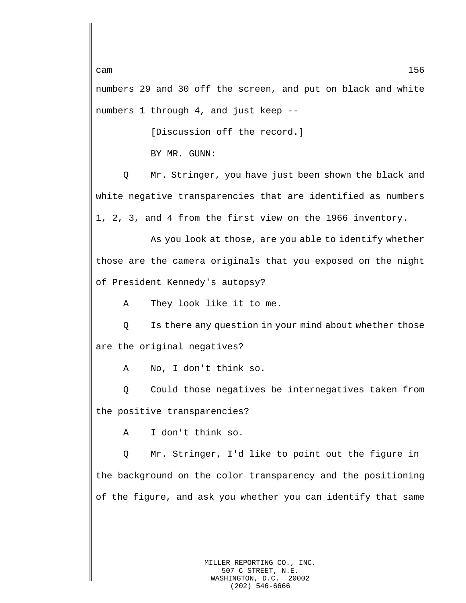numbers 29 and 30 off the screen, and put on black and white numbers 1 through 4, and just keep --

[Discussion off the record.]

BY MR. GUNN:

Q Mr. Stringer, you have just been shown the black and white negative transparencies that are identified as numbers 1, 2, 3, and 4 from the first view on the 1966 inventory.

As you look at those, are you able to identify whether those are the camera originals that you exposed on the night of President Kennedy's autopsy?

A They look like it to me.

Q Is there any question in your mind about whether those are the original negatives?

A No, I don't think so.

Q Could those negatives be internegatives taken from the positive transparencies?

A I don't think so.

Q Mr. Stringer, I'd like to point out the figure in the background on the color transparency and the positioning of the figure, and ask you whether you can identify that same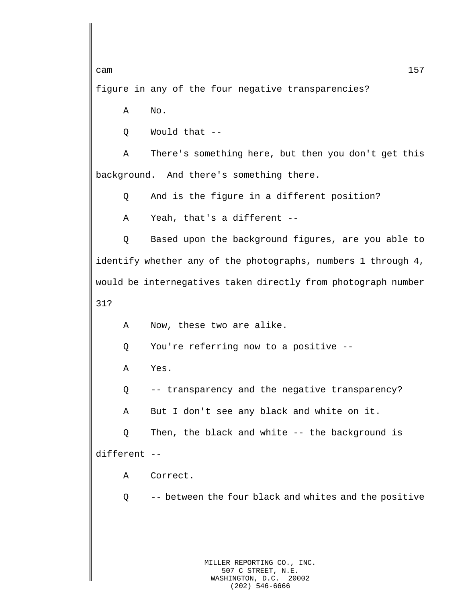figure in any of the four negative transparencies?

A No.

Q Would that --

A There's something here, but then you don't get this background. And there's something there.

Q And is the figure in a different position?

A Yeah, that's a different --

Q Based upon the background figures, are you able to identify whether any of the photographs, numbers 1 through 4, would be internegatives taken directly from photograph number 31?

A Now, these two are alike.

Q You're referring now to a positive --

A Yes.

Q -- transparency and the negative transparency?

A But I don't see any black and white on it.

Q Then, the black and white -- the background is different --

A Correct.

Q -- between the four black and whites and the positive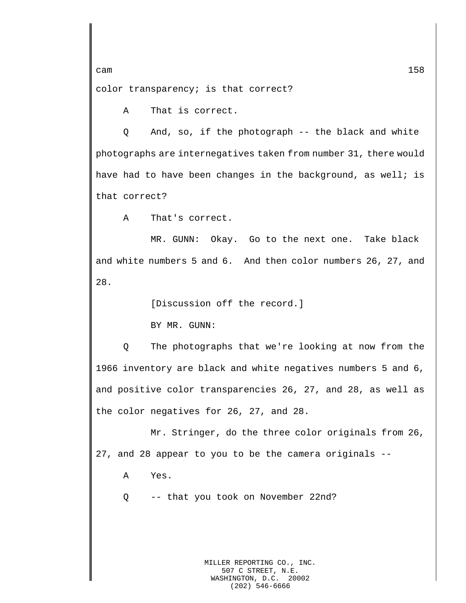color transparency; is that correct?

A That is correct.

Q And, so, if the photograph -- the black and white photographs are internegatives taken from number 31, there would have had to have been changes in the background, as well; is that correct?

A That's correct.

MR. GUNN: Okay. Go to the next one. Take black and white numbers 5 and 6. And then color numbers 26, 27, and 28.

[Discussion off the record.]

BY MR. GUNN:

Q The photographs that we're looking at now from the 1966 inventory are black and white negatives numbers 5 and 6, and positive color transparencies 26, 27, and 28, as well as the color negatives for 26, 27, and 28.

Mr. Stringer, do the three color originals from 26, 27, and 28 appear to you to be the camera originals --

A Yes.

Q -- that you took on November 22nd?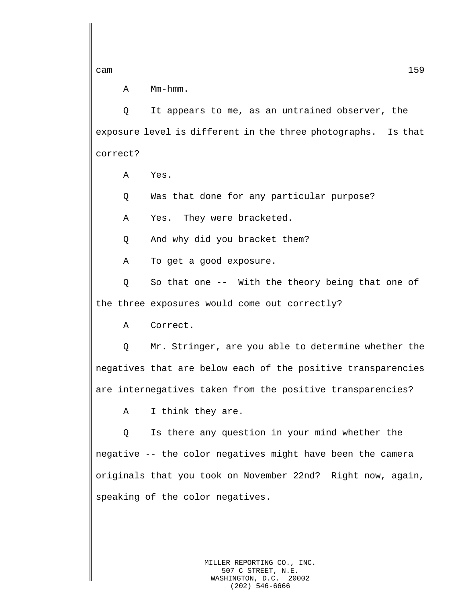A Mm-hmm.

Q It appears to me, as an untrained observer, the exposure level is different in the three photographs. Is that correct?

A Yes.

Q Was that done for any particular purpose?

A Yes. They were bracketed.

Q And why did you bracket them?

A To get a good exposure.

Q So that one -- With the theory being that one of the three exposures would come out correctly?

A Correct.

Q Mr. Stringer, are you able to determine whether the negatives that are below each of the positive transparencies are internegatives taken from the positive transparencies?

A I think they are.

Q Is there any question in your mind whether the negative -- the color negatives might have been the camera originals that you took on November 22nd? Right now, again, speaking of the color negatives.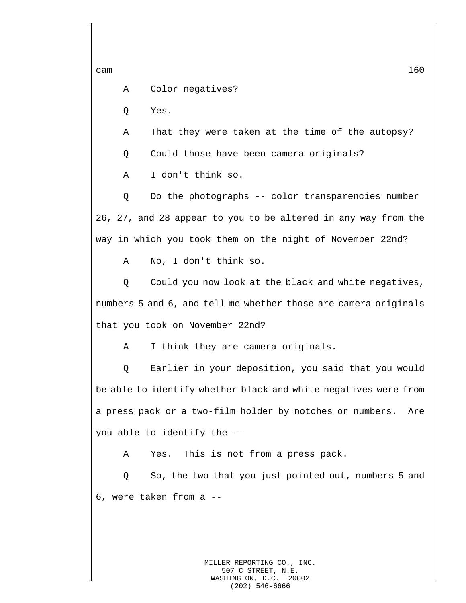A Color negatives?

Q Yes.

A That they were taken at the time of the autopsy?

Q Could those have been camera originals?

A I don't think so.

Q Do the photographs -- color transparencies number 26, 27, and 28 appear to you to be altered in any way from the way in which you took them on the night of November 22nd?

A No, I don't think so.

Q Could you now look at the black and white negatives, numbers 5 and 6, and tell me whether those are camera originals that you took on November 22nd?

A I think they are camera originals.

Q Earlier in your deposition, you said that you would be able to identify whether black and white negatives were from a press pack or a two-film holder by notches or numbers. Are you able to identify the --

A Yes. This is not from a press pack.

Q So, the two that you just pointed out, numbers 5 and 6, were taken from a --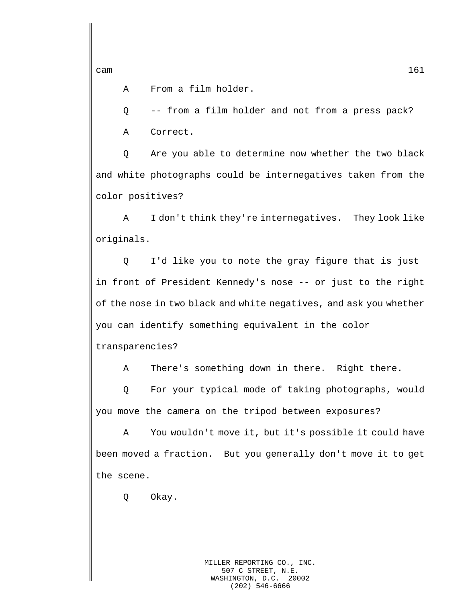A From a film holder.

Q -- from a film holder and not from a press pack?

A Correct.

Q Are you able to determine now whether the two black and white photographs could be internegatives taken from the color positives?

A I don't think they're internegatives. They look like originals.

Q I'd like you to note the gray figure that is just in front of President Kennedy's nose -- or just to the right of the nose in two black and white negatives, and ask you whether you can identify something equivalent in the color transparencies?

A There's something down in there. Right there.

Q For your typical mode of taking photographs, would you move the camera on the tripod between exposures?

A You wouldn't move it, but it's possible it could have been moved a fraction. But you generally don't move it to get the scene.

Q Okay.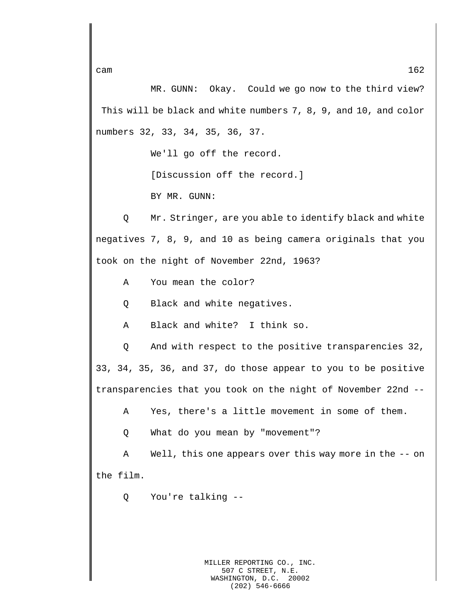MR. GUNN: Okay. Could we go now to the third view? This will be black and white numbers 7, 8, 9, and 10, and color numbers 32, 33, 34, 35, 36, 37.

We'll go off the record.

[Discussion off the record.]

BY MR. GUNN:

Q Mr. Stringer, are you able to identify black and white negatives 7, 8, 9, and 10 as being camera originals that you took on the night of November 22nd, 1963?

- A You mean the color?
- Q Black and white negatives.
- A Black and white? I think so.

Q And with respect to the positive transparencies 32, 33, 34, 35, 36, and 37, do those appear to you to be positive transparencies that you took on the night of November 22nd --

A Yes, there's a little movement in some of them.

Q What do you mean by "movement"?

A Well, this one appears over this way more in the -- on the film.

Q You're talking --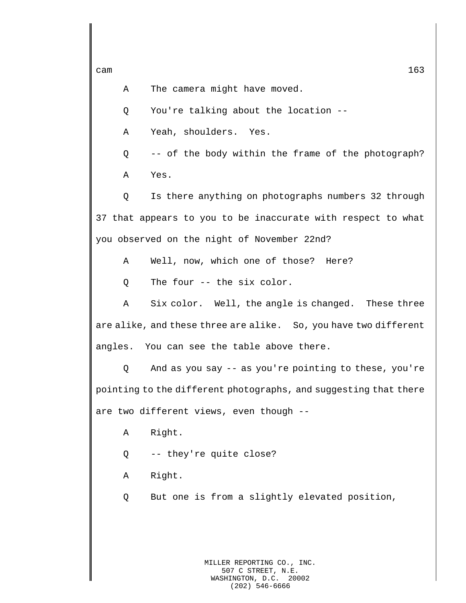A The camera might have moved.

Q You're talking about the location --

A Yeah, shoulders. Yes.

Q -- of the body within the frame of the photograph?

A Yes.

Q Is there anything on photographs numbers 32 through 37 that appears to you to be inaccurate with respect to what you observed on the night of November 22nd?

A Well, now, which one of those? Here?

Q The four -- the six color.

A Six color. Well, the angle is changed. These three are alike, and these three are alike. So, you have two different angles. You can see the table above there.

Q And as you say -- as you're pointing to these, you're pointing to the different photographs, and suggesting that there are two different views, even though --

A Right.

- Q -- they're quite close?
- A Right.
- Q But one is from a slightly elevated position,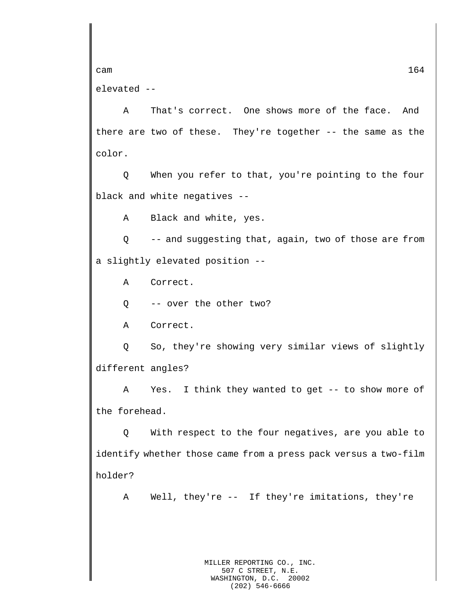cam  $164$ elevated --

A That's correct. One shows more of the face. And there are two of these. They're together -- the same as the color.

Q When you refer to that, you're pointing to the four black and white negatives --

A Black and white, yes.

Q -- and suggesting that, again, two of those are from a slightly elevated position --

A Correct.

Q -- over the other two?

A Correct.

Q So, they're showing very similar views of slightly different angles?

A Yes. I think they wanted to get -- to show more of the forehead.

Q With respect to the four negatives, are you able to identify whether those came from a press pack versus a two-film holder?

A Well, they're -- If they're imitations, they're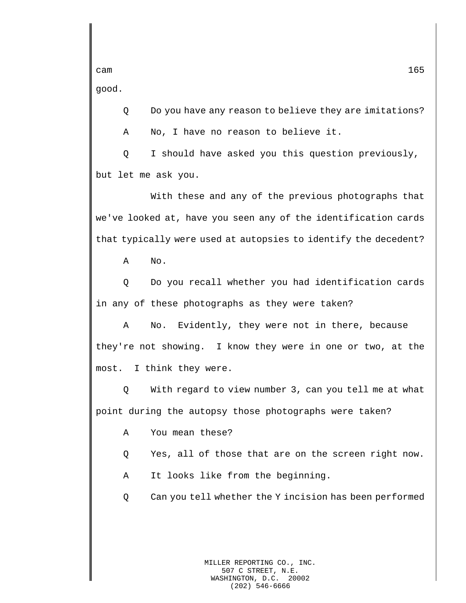good.

Q Do you have any reason to believe they are imitations?

A No, I have no reason to believe it.

Q I should have asked you this question previously, but let me ask you.

With these and any of the previous photographs that we've looked at, have you seen any of the identification cards that typically were used at autopsies to identify the decedent?

A No.

Q Do you recall whether you had identification cards in any of these photographs as they were taken?

A No. Evidently, they were not in there, because they're not showing. I know they were in one or two, at the most. I think they were.

Q With regard to view number 3, can you tell me at what point during the autopsy those photographs were taken?

- A You mean these?
- Q Yes, all of those that are on the screen right now.
- A It looks like from the beginning.
- Q Can you tell whether the Y incision has been performed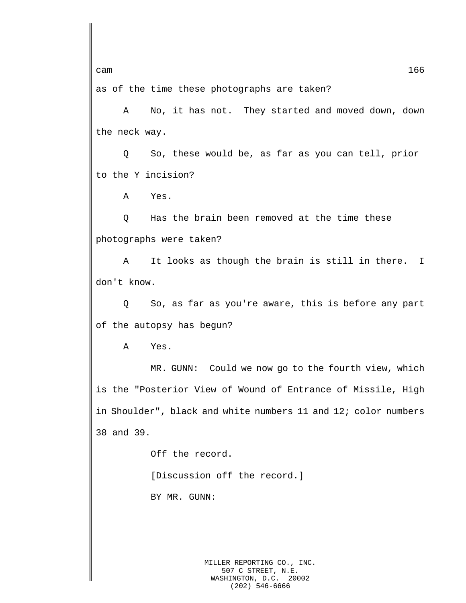as of the time these photographs are taken?

A No, it has not. They started and moved down, down the neck way.

Q So, these would be, as far as you can tell, prior to the Y incision?

A Yes.

Q Has the brain been removed at the time these photographs were taken?

A It looks as though the brain is still in there. I don't know.

Q So, as far as you're aware, this is before any part of the autopsy has begun?

A Yes.

MR. GUNN: Could we now go to the fourth view, which is the "Posterior View of Wound of Entrance of Missile, High in Shoulder", black and white numbers 11 and 12; color numbers 38 and 39.

> Off the record. [Discussion off the record.] BY MR. GUNN: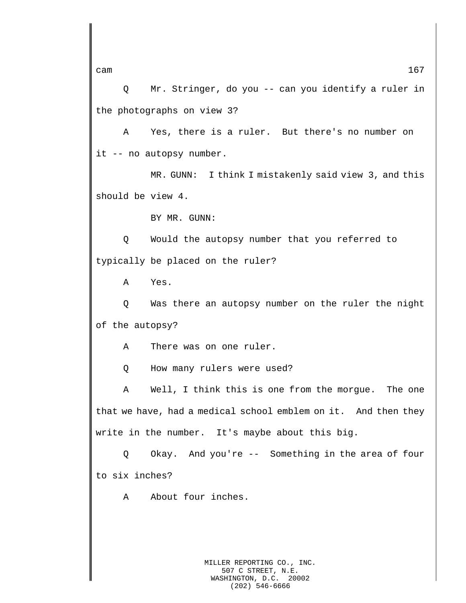Q Mr. Stringer, do you -- can you identify a ruler in the photographs on view 3?

A Yes, there is a ruler. But there's no number on it -- no autopsy number.

MR. GUNN: I think I mistakenly said view 3, and this should be view 4.

BY MR. GUNN:

Q Would the autopsy number that you referred to typically be placed on the ruler?

A Yes.

Q Was there an autopsy number on the ruler the night of the autopsy?

A There was on one ruler.

Q How many rulers were used?

A Well, I think this is one from the morgue. The one that we have, had a medical school emblem on it. And then they write in the number. It's maybe about this big.

Q Okay. And you're -- Something in the area of four to six inches?

A About four inches.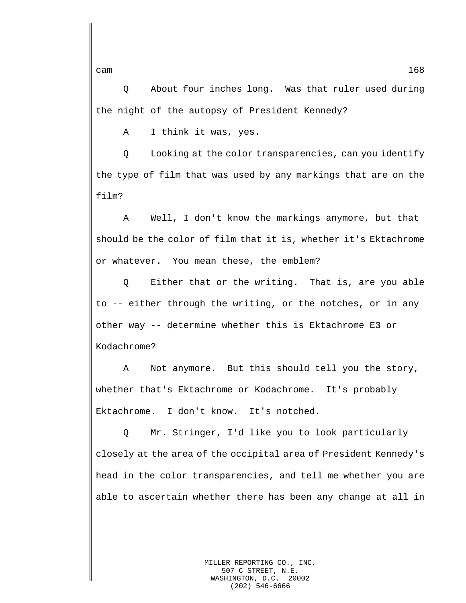Q About four inches long. Was that ruler used during the night of the autopsy of President Kennedy?

A I think it was, yes.

Q Looking at the color transparencies, can you identify the type of film that was used by any markings that are on the film?

A Well, I don't know the markings anymore, but that should be the color of film that it is, whether it's Ektachrome or whatever. You mean these, the emblem?

Q Either that or the writing. That is, are you able to -- either through the writing, or the notches, or in any other way -- determine whether this is Ektachrome E3 or Kodachrome?

A Not anymore. But this should tell you the story, whether that's Ektachrome or Kodachrome. It's probably Ektachrome. I don't know. It's notched.

Q Mr. Stringer, I'd like you to look particularly closely at the area of the occipital area of President Kennedy's head in the color transparencies, and tell me whether you are able to ascertain whether there has been any change at all in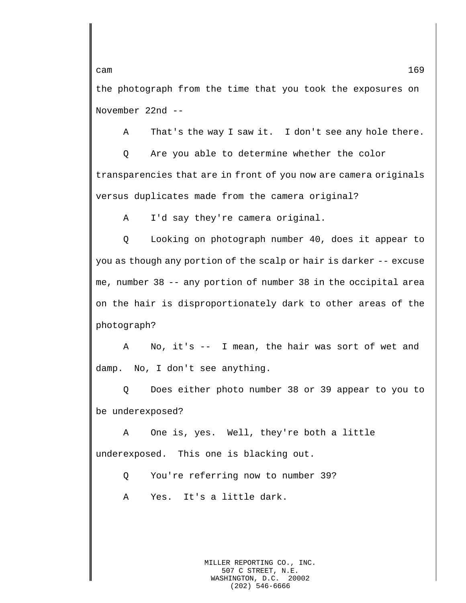the photograph from the time that you took the exposures on November 22nd --

A That's the way I saw it. I don't see any hole there.

Q Are you able to determine whether the color transparencies that are in front of you now are camera originals versus duplicates made from the camera original?

A I'd say they're camera original.

Q Looking on photograph number 40, does it appear to you as though any portion of the scalp or hair is darker -- excuse me, number 38 -- any portion of number 38 in the occipital area on the hair is disproportionately dark to other areas of the photograph?

A No, it's -- I mean, the hair was sort of wet and damp. No, I don't see anything.

Q Does either photo number 38 or 39 appear to you to be underexposed?

A One is, yes. Well, they're both a little underexposed. This one is blacking out.

Q You're referring now to number 39?

A Yes. It's a little dark.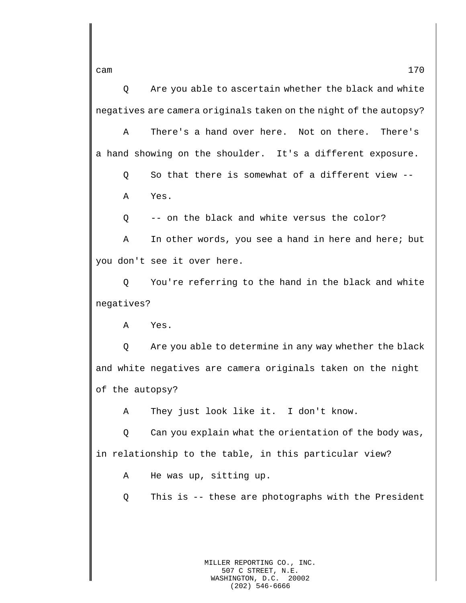Q Are you able to ascertain whether the black and white negatives are camera originals taken on the night of the autopsy?

A There's a hand over here. Not on there. There's a hand showing on the shoulder. It's a different exposure.

Q So that there is somewhat of a different view -- A Yes.

Q -- on the black and white versus the color?

A In other words, you see a hand in here and here; but you don't see it over here.

Q You're referring to the hand in the black and white negatives?

A Yes.

Q Are you able to determine in any way whether the black and white negatives are camera originals taken on the night of the autopsy?

A They just look like it. I don't know.

Q Can you explain what the orientation of the body was, in relationship to the table, in this particular view?

A He was up, sitting up.

Q This is -- these are photographs with the President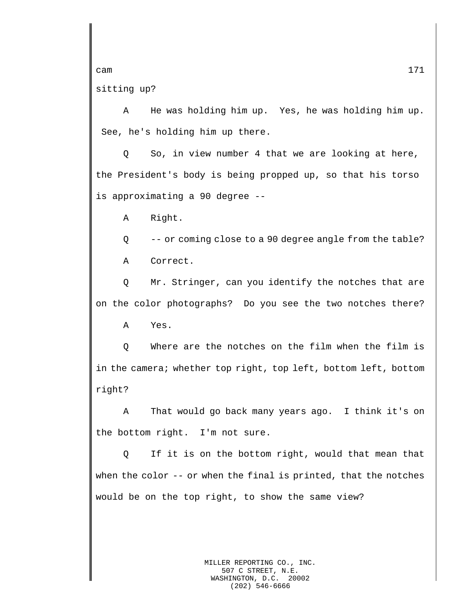sitting up?

A He was holding him up. Yes, he was holding him up. See, he's holding him up there.

Q So, in view number 4 that we are looking at here, the President's body is being propped up, so that his torso is approximating a 90 degree --

A Right.

Q -- or coming close to a 90 degree angle from the table?

A Correct.

Q Mr. Stringer, can you identify the notches that are on the color photographs? Do you see the two notches there?

A Yes.

Q Where are the notches on the film when the film is in the camera; whether top right, top left, bottom left, bottom right?

A That would go back many years ago. I think it's on the bottom right. I'm not sure.

Q If it is on the bottom right, would that mean that when the color -- or when the final is printed, that the notches would be on the top right, to show the same view?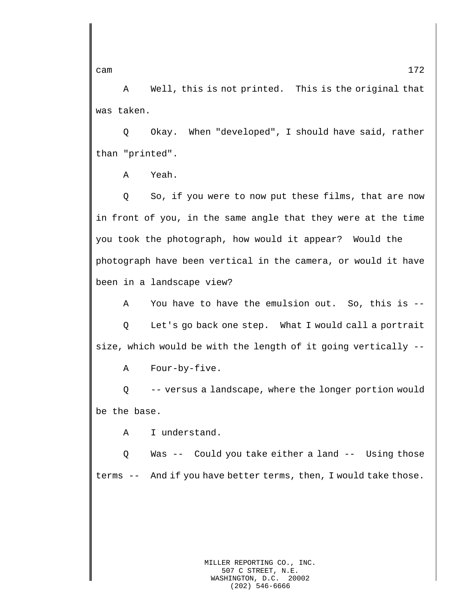A Well, this is not printed. This is the original that was taken.

Q Okay. When "developed", I should have said, rather than "printed".

A Yeah.

Q So, if you were to now put these films, that are now in front of you, in the same angle that they were at the time you took the photograph, how would it appear? Would the photograph have been vertical in the camera, or would it have been in a landscape view?

A You have to have the emulsion out. So, this is --

Q Let's go back one step. What I would call a portrait size, which would be with the length of it going vertically --

A Four-by-five.

Q -- versus a landscape, where the longer portion would be the base.

A I understand.

Q Was -- Could you take either a land -- Using those terms -- And if you have better terms, then, I would take those.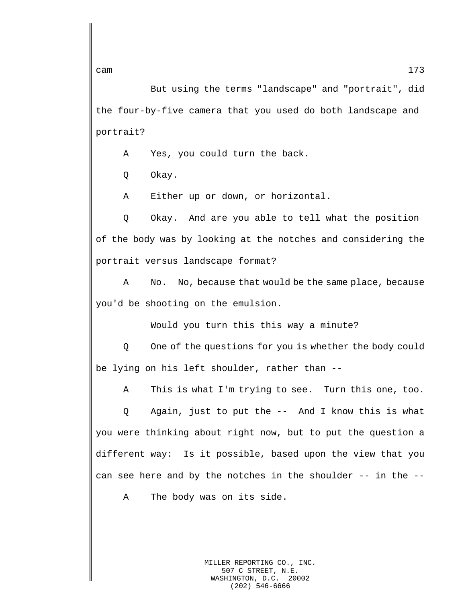But using the terms "landscape" and "portrait", did the four-by-five camera that you used do both landscape and portrait?

A Yes, you could turn the back.

Q Okay.

A Either up or down, or horizontal.

Q Okay. And are you able to tell what the position of the body was by looking at the notches and considering the portrait versus landscape format?

A No. No, because that would be the same place, because you'd be shooting on the emulsion.

Would you turn this this way a minute?

Q One of the questions for you is whether the body could be lying on his left shoulder, rather than --

A This is what I'm trying to see. Turn this one, too.

Q Again, just to put the -- And I know this is what you were thinking about right now, but to put the question a different way: Is it possible, based upon the view that you can see here and by the notches in the shoulder -- in the --

A The body was on its side.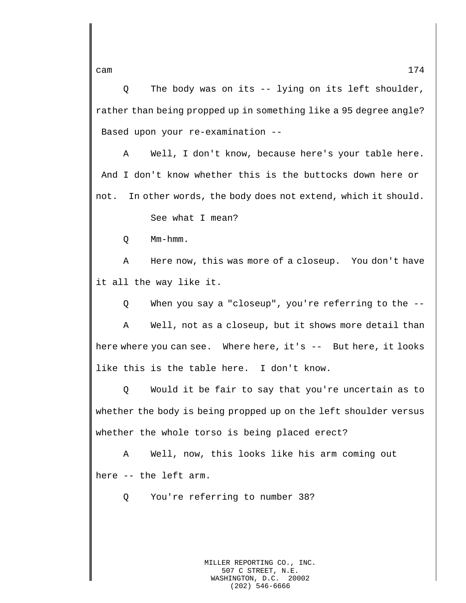Q The body was on its -- lying on its left shoulder, rather than being propped up in something like a 95 degree angle? Based upon your re-examination --

A Well, I don't know, because here's your table here. And I don't know whether this is the buttocks down here or not. In other words, the body does not extend, which it should.

See what I mean?

Q Mm-hmm.

A Here now, this was more of a closeup. You don't have it all the way like it.

Q When you say a "closeup", you're referring to the --

A Well, not as a closeup, but it shows more detail than here where you can see. Where here, it's -- But here, it looks like this is the table here. I don't know.

Q Would it be fair to say that you're uncertain as to whether the body is being propped up on the left shoulder versus whether the whole torso is being placed erect?

A Well, now, this looks like his arm coming out here -- the left arm.

Q You're referring to number 38?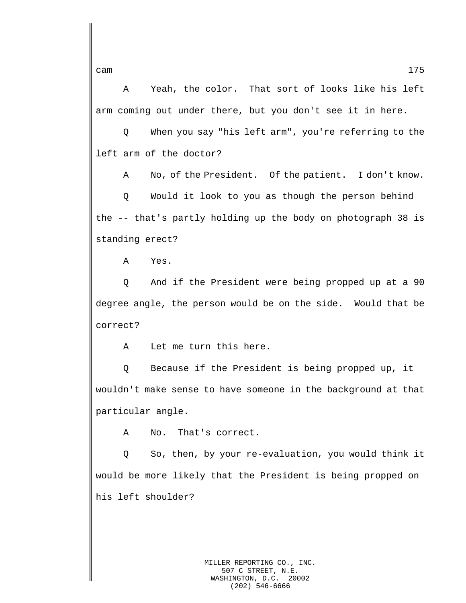A Yeah, the color. That sort of looks like his left arm coming out under there, but you don't see it in here.

Q When you say "his left arm", you're referring to the left arm of the doctor?

A No, of the President. Of the patient. I don't know.

Q Would it look to you as though the person behind the -- that's partly holding up the body on photograph 38 is standing erect?

A Yes.

Q And if the President were being propped up at a 90 degree angle, the person would be on the side. Would that be correct?

A Let me turn this here.

Q Because if the President is being propped up, it wouldn't make sense to have someone in the background at that particular angle.

A No. That's correct.

Q So, then, by your re-evaluation, you would think it would be more likely that the President is being propped on his left shoulder?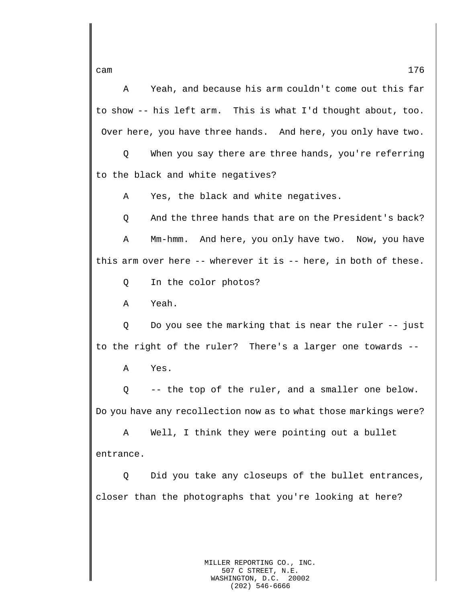A Yeah, and because his arm couldn't come out this far to show -- his left arm. This is what I'd thought about, too. Over here, you have three hands. And here, you only have two.

Q When you say there are three hands, you're referring to the black and white negatives?

A Yes, the black and white negatives.

Q And the three hands that are on the President's back? A Mm-hmm. And here, you only have two. Now, you have this arm over here -- wherever it is -- here, in both of these.

Q In the color photos?

A Yeah.

Q Do you see the marking that is near the ruler -- just to the right of the ruler? There's a larger one towards --

A Yes.

Q -- the top of the ruler, and a smaller one below. Do you have any recollection now as to what those markings were?

A Well, I think they were pointing out a bullet entrance.

Q Did you take any closeups of the bullet entrances, closer than the photographs that you're looking at here?

cam  $176$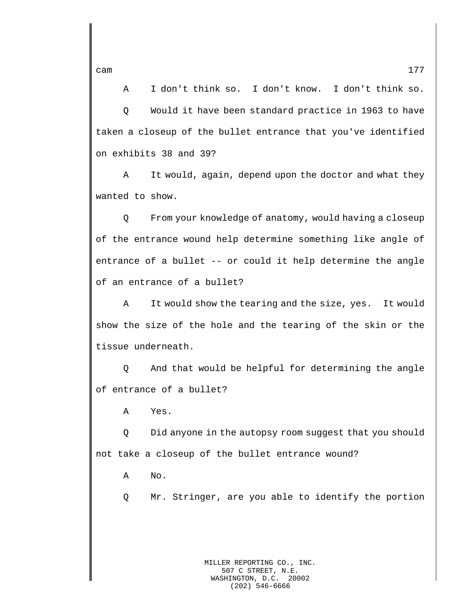A I don't think so. I don't know. I don't think so. Q Would it have been standard practice in 1963 to have taken a closeup of the bullet entrance that you've identified on exhibits 38 and 39?

A It would, again, depend upon the doctor and what they wanted to show.

Q From your knowledge of anatomy, would having a closeup of the entrance wound help determine something like angle of entrance of a bullet -- or could it help determine the angle of an entrance of a bullet?

A It would show the tearing and the size, yes. It would show the size of the hole and the tearing of the skin or the tissue underneath.

Q And that would be helpful for determining the angle of entrance of a bullet?

A Yes.

Q Did anyone in the autopsy room suggest that you should not take a closeup of the bullet entrance wound?

A No.

Q Mr. Stringer, are you able to identify the portion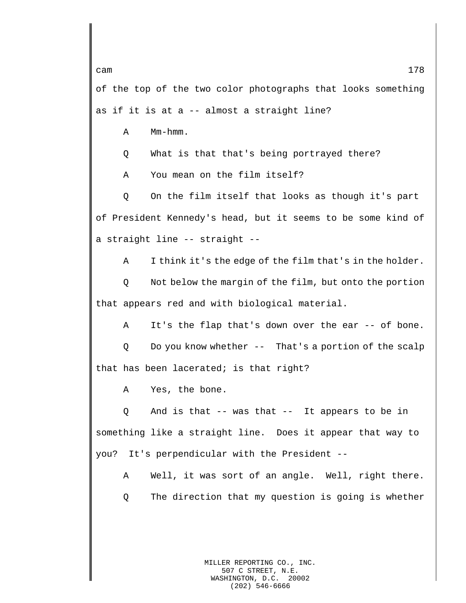of the top of the two color photographs that looks something as if it is at a -- almost a straight line?

A Mm-hmm.

Q What is that that's being portrayed there?

A You mean on the film itself?

Q On the film itself that looks as though it's part of President Kennedy's head, but it seems to be some kind of a straight line -- straight --

A I think it's the edge of the film that's in the holder.

Q Not below the margin of the film, but onto the portion that appears red and with biological material.

A It's the flap that's down over the ear -- of bone.

Q Do you know whether -- That's a portion of the scalp that has been lacerated; is that right?

A Yes, the bone.

Q And is that -- was that -- It appears to be in something like a straight line. Does it appear that way to you? It's perpendicular with the President --

A Well, it was sort of an angle. Well, right there.

Q The direction that my question is going is whether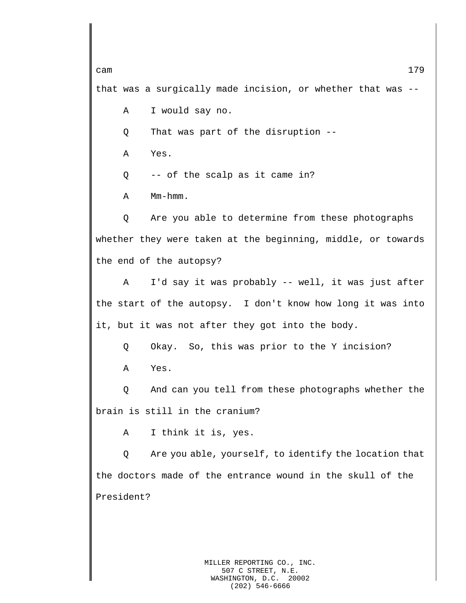cam and the contract of the contract of the contract of the contract of the contract of the contract of the contract of the contract of the contract of the contract of the contract of the contract of the contract of the co that was a surgically made incision, or whether that was -- A I would say no. Q That was part of the disruption --

A Yes.

Q -- of the scalp as it came in?

A Mm-hmm.

Q Are you able to determine from these photographs whether they were taken at the beginning, middle, or towards the end of the autopsy?

A I'd say it was probably -- well, it was just after the start of the autopsy. I don't know how long it was into it, but it was not after they got into the body.

Q Okay. So, this was prior to the Y incision?

A Yes.

Q And can you tell from these photographs whether the brain is still in the cranium?

A I think it is, yes.

Q Are you able, yourself, to identify the location that the doctors made of the entrance wound in the skull of the President?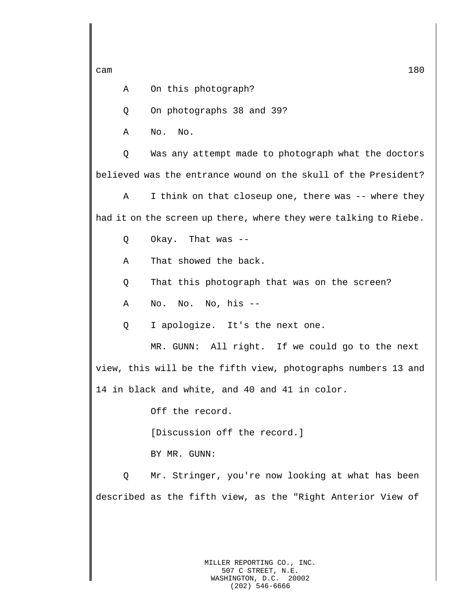A On this photograph?

Q On photographs 38 and 39?

A No. No.

Q Was any attempt made to photograph what the doctors believed was the entrance wound on the skull of the President?

A I think on that closeup one, there was -- where they had it on the screen up there, where they were talking to Riebe.

Q Okay. That was --

A That showed the back.

Q That this photograph that was on the screen?

A No. No. No, his --

Q I apologize. It's the next one.

MR. GUNN: All right. If we could go to the next

view, this will be the fifth view, photographs numbers 13 and 14 in black and white, and 40 and 41 in color.

Off the record.

[Discussion off the record.]

BY MR. GUNN:

Q Mr. Stringer, you're now looking at what has been described as the fifth view, as the "Right Anterior View of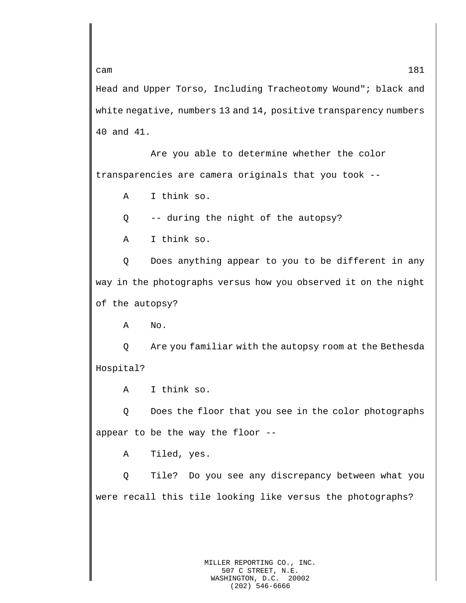Head and Upper Torso, Including Tracheotomy Wound"; black and white negative, numbers 13 and 14, positive transparency numbers 40 and 41.

Are you able to determine whether the color transparencies are camera originals that you took --

A I think so.

Q -- during the night of the autopsy?

A I think so.

Q Does anything appear to you to be different in any way in the photographs versus how you observed it on the night of the autopsy?

A No.

Q Are you familiar with the autopsy room at the Bethesda Hospital?

A I think so.

Q Does the floor that you see in the color photographs appear to be the way the floor --

A Tiled, yes.

Q Tile? Do you see any discrepancy between what you were recall this tile looking like versus the photographs?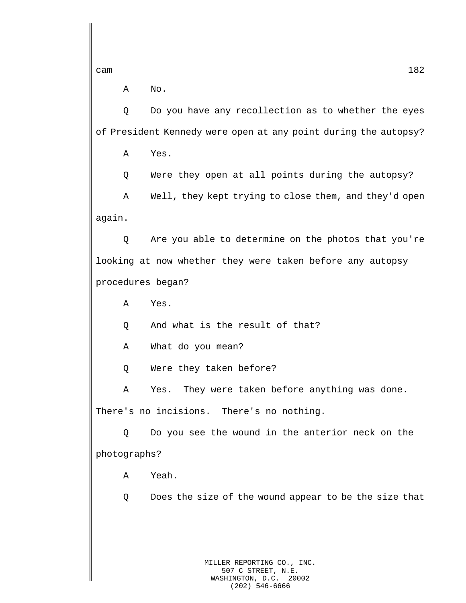A No.

Q Do you have any recollection as to whether the eyes of President Kennedy were open at any point during the autopsy?

A Yes.

Q Were they open at all points during the autopsy?

A Well, they kept trying to close them, and they'd open again.

Q Are you able to determine on the photos that you're looking at now whether they were taken before any autopsy procedures began?

A Yes.

Q And what is the result of that?

A What do you mean?

Q Were they taken before?

A Yes. They were taken before anything was done. There's no incisions. There's no nothing.

Q Do you see the wound in the anterior neck on the photographs?

A Yeah.

Q Does the size of the wound appear to be the size that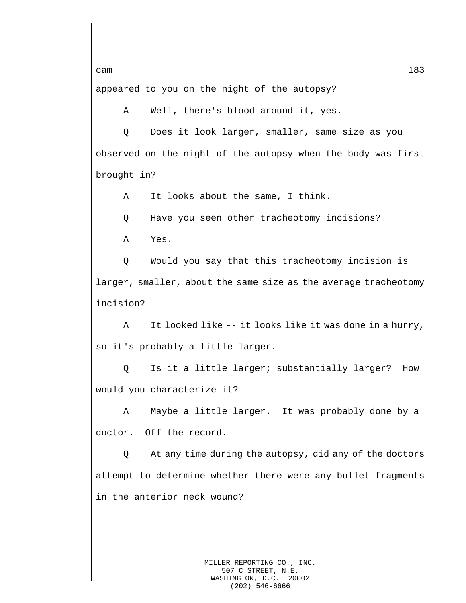appeared to you on the night of the autopsy?

A Well, there's blood around it, yes.

Q Does it look larger, smaller, same size as you observed on the night of the autopsy when the body was first brought in?

A It looks about the same, I think.

Q Have you seen other tracheotomy incisions?

A Yes.

Q Would you say that this tracheotomy incision is larger, smaller, about the same size as the average tracheotomy incision?

A It looked like -- it looks like it was done in a hurry, so it's probably a little larger.

Q Is it a little larger; substantially larger? How would you characterize it?

A Maybe a little larger. It was probably done by a doctor. Off the record.

Q At any time during the autopsy, did any of the doctors attempt to determine whether there were any bullet fragments in the anterior neck wound?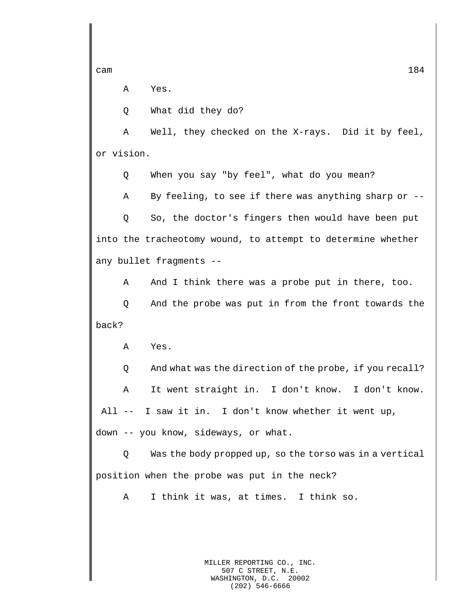A Yes.

Q What did they do?

A Well, they checked on the X-rays. Did it by feel, or vision.

Q When you say "by feel", what do you mean?

A By feeling, to see if there was anything sharp or --

Q So, the doctor's fingers then would have been put into the tracheotomy wound, to attempt to determine whether any bullet fragments --

A And I think there was a probe put in there, too.

Q And the probe was put in from the front towards the back?

A Yes.

Q And what was the direction of the probe, if you recall?

A It went straight in. I don't know. I don't know. All -- I saw it in. I don't know whether it went up, down -- you know, sideways, or what.

Q Was the body propped up, so the torso was in a vertical position when the probe was put in the neck?

A I think it was, at times. I think so.

MILLER REPORTING CO., INC. 507 C STREET, N.E. WASHINGTON, D.C. 20002 (202) 546-6666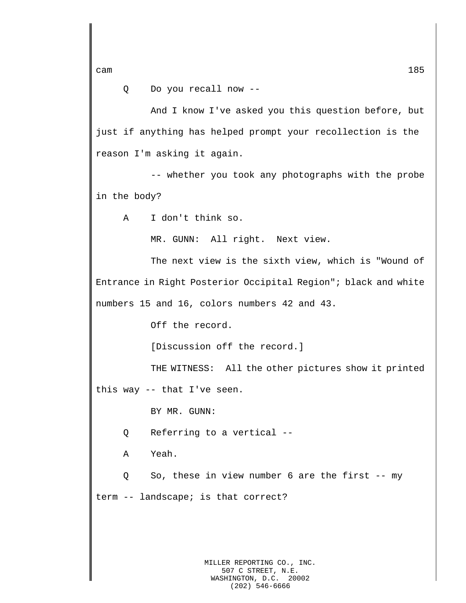Q Do you recall now --

And I know I've asked you this question before, but just if anything has helped prompt your recollection is the reason I'm asking it again.

-- whether you took any photographs with the probe in the body?

A I don't think so.

MR. GUNN: All right. Next view.

The next view is the sixth view, which is "Wound of Entrance in Right Posterior Occipital Region"; black and white numbers 15 and 16, colors numbers 42 and 43.

Off the record.

[Discussion off the record.]

THE WITNESS: All the other pictures show it printed this way -- that I've seen.

BY MR. GUNN:

Q Referring to a vertical --

A Yeah.

Q So, these in view number 6 are the first -- my term -- landscape; is that correct?

> MILLER REPORTING CO., INC. 507 C STREET, N.E. WASHINGTON, D.C. 20002 (202) 546-6666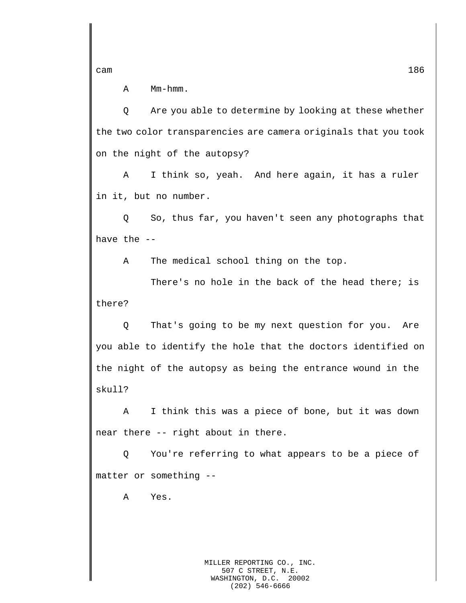A Mm-hmm.

Q Are you able to determine by looking at these whether the two color transparencies are camera originals that you took on the night of the autopsy?

A I think so, yeah. And here again, it has a ruler in it, but no number.

Q So, thus far, you haven't seen any photographs that have the --

A The medical school thing on the top.

There's no hole in the back of the head there; is there?

Q That's going to be my next question for you. Are you able to identify the hole that the doctors identified on the night of the autopsy as being the entrance wound in the skull?

A I think this was a piece of bone, but it was down near there -- right about in there.

Q You're referring to what appears to be a piece of matter or something --

A Yes.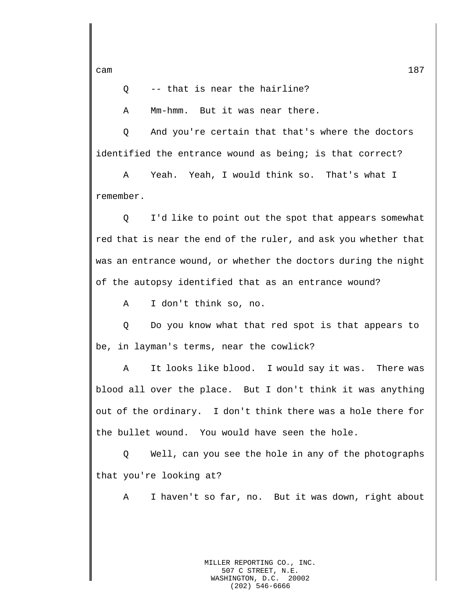Q -- that is near the hairline?

A Mm-hmm. But it was near there.

Q And you're certain that that's where the doctors identified the entrance wound as being; is that correct?

A Yeah. Yeah, I would think so. That's what I remember.

Q I'd like to point out the spot that appears somewhat red that is near the end of the ruler, and ask you whether that was an entrance wound, or whether the doctors during the night of the autopsy identified that as an entrance wound?

A I don't think so, no.

Q Do you know what that red spot is that appears to be, in layman's terms, near the cowlick?

A It looks like blood. I would say it was. There was blood all over the place. But I don't think it was anything out of the ordinary. I don't think there was a hole there for the bullet wound. You would have seen the hole.

Q Well, can you see the hole in any of the photographs that you're looking at?

A I haven't so far, no. But it was down, right about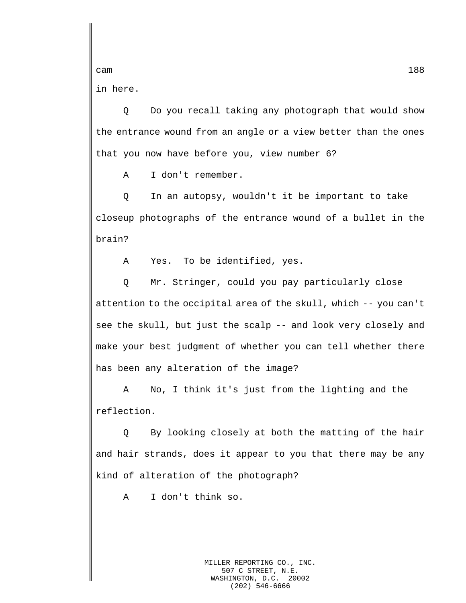in here.

Q Do you recall taking any photograph that would show the entrance wound from an angle or a view better than the ones that you now have before you, view number 6?

A I don't remember.

Q In an autopsy, wouldn't it be important to take closeup photographs of the entrance wound of a bullet in the brain?

A Yes. To be identified, yes.

Q Mr. Stringer, could you pay particularly close attention to the occipital area of the skull, which -- you can't see the skull, but just the scalp -- and look very closely and make your best judgment of whether you can tell whether there has been any alteration of the image?

A No, I think it's just from the lighting and the reflection.

Q By looking closely at both the matting of the hair and hair strands, does it appear to you that there may be any kind of alteration of the photograph?

A I don't think so.

MILLER REPORTING CO., INC. 507 C STREET, N.E.<br>SHINGTON, D.C. 20002 WASHINGTON, D.C. (202) 546-6666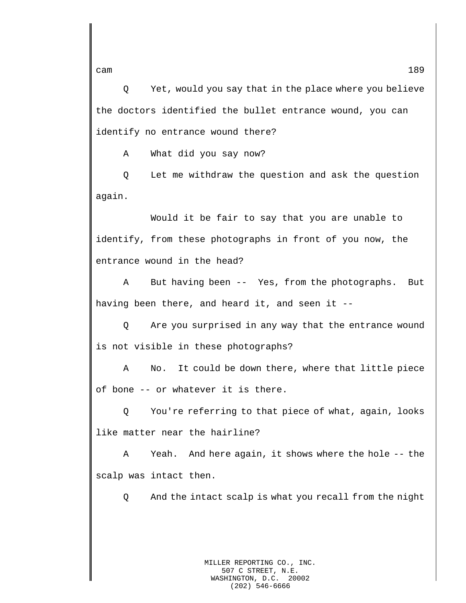Q Yet, would you say that in the place where you believe the doctors identified the bullet entrance wound, you can identify no entrance wound there?

A What did you say now?

Q Let me withdraw the question and ask the question again.

Would it be fair to say that you are unable to identify, from these photographs in front of you now, the entrance wound in the head?

A But having been -- Yes, from the photographs. But having been there, and heard it, and seen it --

Q Are you surprised in any way that the entrance wound is not visible in these photographs?

A No. It could be down there, where that little piece of bone -- or whatever it is there.

Q You're referring to that piece of what, again, looks like matter near the hairline?

A Yeah. And here again, it shows where the hole -- the scalp was intact then.

Q And the intact scalp is what you recall from the night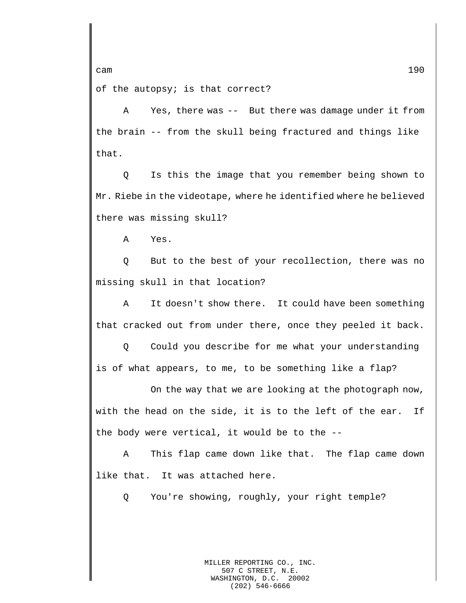of the autopsy; is that correct?

A Yes, there was -- But there was damage under it from the brain -- from the skull being fractured and things like that.

Q Is this the image that you remember being shown to Mr. Riebe in the videotape, where he identified where he believed there was missing skull?

A Yes.

Q But to the best of your recollection, there was no missing skull in that location?

A It doesn't show there. It could have been something that cracked out from under there, once they peeled it back.

Q Could you describe for me what your understanding is of what appears, to me, to be something like a flap?

On the way that we are looking at the photograph now, with the head on the side, it is to the left of the ear. If the body were vertical, it would be to the --

A This flap came down like that. The flap came down like that. It was attached here.

Q You're showing, roughly, your right temple?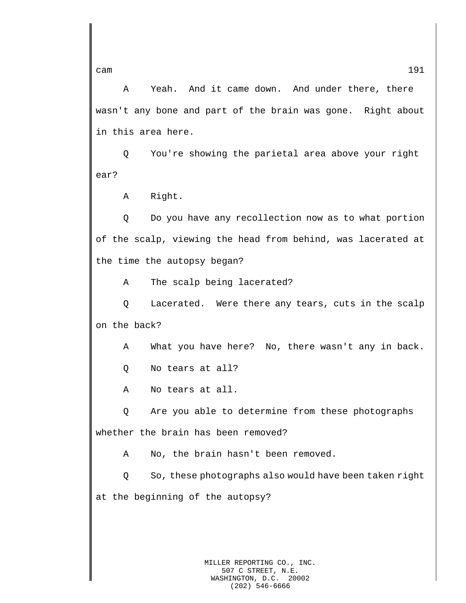A Yeah. And it came down. And under there, there wasn't any bone and part of the brain was gone. Right about in this area here.

Q You're showing the parietal area above your right ear?

A Right.

Q Do you have any recollection now as to what portion of the scalp, viewing the head from behind, was lacerated at the time the autopsy began?

A The scalp being lacerated?

Q Lacerated. Were there any tears, cuts in the scalp on the back?

A What you have here? No, there wasn't any in back.

Q No tears at all?

A No tears at all.

Q Are you able to determine from these photographs whether the brain has been removed?

A No, the brain hasn't been removed.

Q So, these photographs also would have been taken right at the beginning of the autopsy?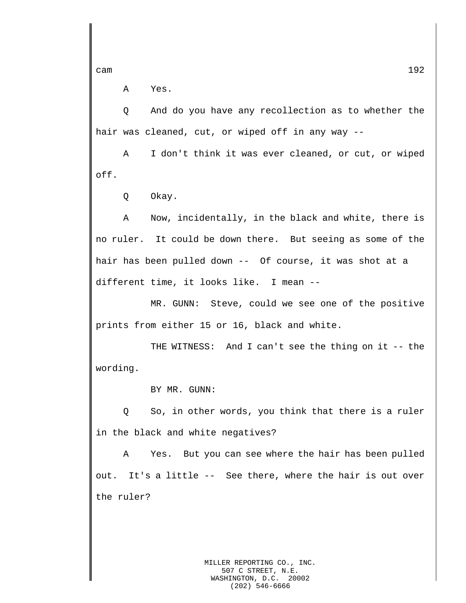A Yes.

Q And do you have any recollection as to whether the hair was cleaned, cut, or wiped off in any way --

A I don't think it was ever cleaned, or cut, or wiped off.

Q Okay.

A Now, incidentally, in the black and white, there is no ruler. It could be down there. But seeing as some of the hair has been pulled down -- Of course, it was shot at a different time, it looks like. I mean --

MR. GUNN: Steve, could we see one of the positive prints from either 15 or 16, black and white.

THE WITNESS: And I can't see the thing on it -- the wording.

BY MR. GUNN:

Q So, in other words, you think that there is a ruler in the black and white negatives?

A Yes. But you can see where the hair has been pulled out. It's a little -- See there, where the hair is out over the ruler?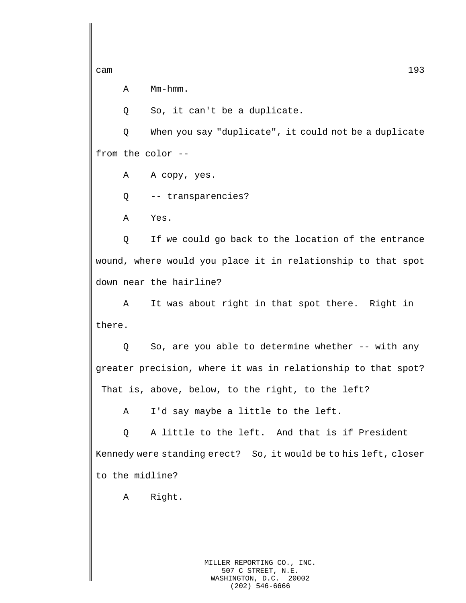A Mm-hmm.

Q So, it can't be a duplicate.

Q When you say "duplicate", it could not be a duplicate from the color --

A A copy, yes.

Q -- transparencies?

A Yes.

Q If we could go back to the location of the entrance wound, where would you place it in relationship to that spot down near the hairline?

A It was about right in that spot there. Right in there.

Q So, are you able to determine whether -- with any greater precision, where it was in relationship to that spot? That is, above, below, to the right, to the left?

A I'd say maybe a little to the left.

Q A little to the left. And that is if President Kennedy were standing erect? So, it would be to his left, closer to the midline?

A Right.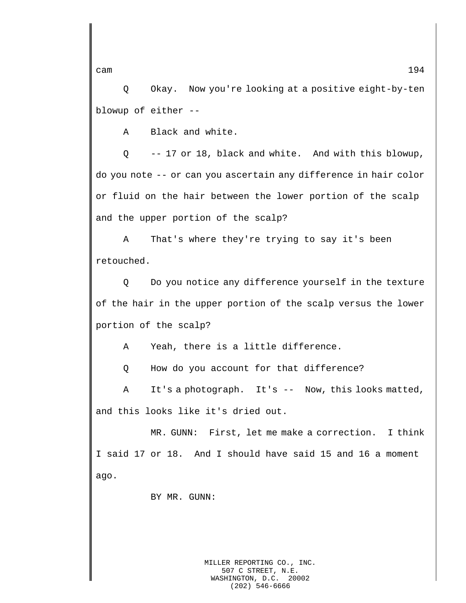Q Okay. Now you're looking at a positive eight-by-ten blowup of either --

A Black and white.

Q -- 17 or 18, black and white. And with this blowup, do you note -- or can you ascertain any difference in hair color or fluid on the hair between the lower portion of the scalp and the upper portion of the scalp?

A That's where they're trying to say it's been retouched.

Q Do you notice any difference yourself in the texture of the hair in the upper portion of the scalp versus the lower portion of the scalp?

A Yeah, there is a little difference.

Q How do you account for that difference?

A It's a photograph. It's -- Now, this looks matted, and this looks like it's dried out.

MR. GUNN: First, let me make a correction. I think I said 17 or 18. And I should have said 15 and 16 a moment ago.

BY MR. GUNN:

MILLER REPORTING CO., INC. 507 C STREET, N.E. WASHINGTON, D.C. 20002 (202) 546-6666

cam  $194$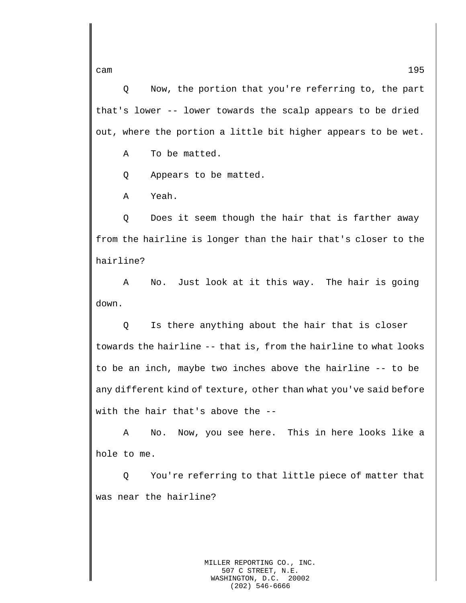Q Now, the portion that you're referring to, the part that's lower -- lower towards the scalp appears to be dried out, where the portion a little bit higher appears to be wet.

A To be matted.

Q Appears to be matted.

A Yeah.

Q Does it seem though the hair that is farther away from the hairline is longer than the hair that's closer to the hairline?

A No. Just look at it this way. The hair is going down.

Q Is there anything about the hair that is closer towards the hairline -- that is, from the hairline to what looks to be an inch, maybe two inches above the hairline -- to be any different kind of texture, other than what you've said before with the hair that's above the --

A No. Now, you see here. This in here looks like a hole to me.

Q You're referring to that little piece of matter that was near the hairline?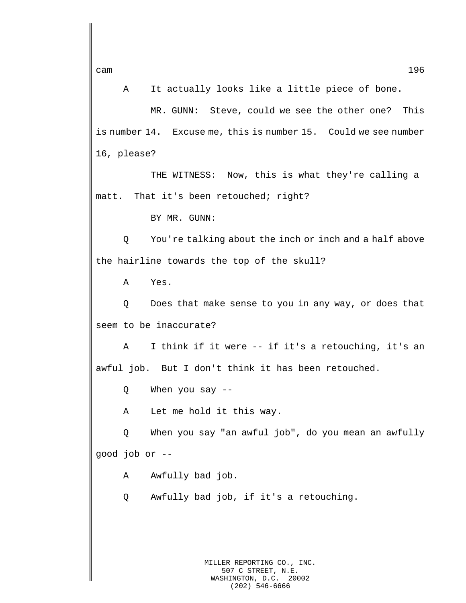A It actually looks like a little piece of bone.

MR. GUNN: Steve, could we see the other one? This is number 14. Excuse me, this is number 15. Could we see number 16, please?

THE WITNESS: Now, this is what they're calling a matt. That it's been retouched; right?

BY MR. GUNN:

Q You're talking about the inch or inch and a half above the hairline towards the top of the skull?

A Yes.

Q Does that make sense to you in any way, or does that seem to be inaccurate?

A I think if it were -- if it's a retouching, it's an awful job. But I don't think it has been retouched.

Q When you say --

A Let me hold it this way.

Q When you say "an awful job", do you mean an awfully good job or --

A Awfully bad job.

Q Awfully bad job, if it's a retouching.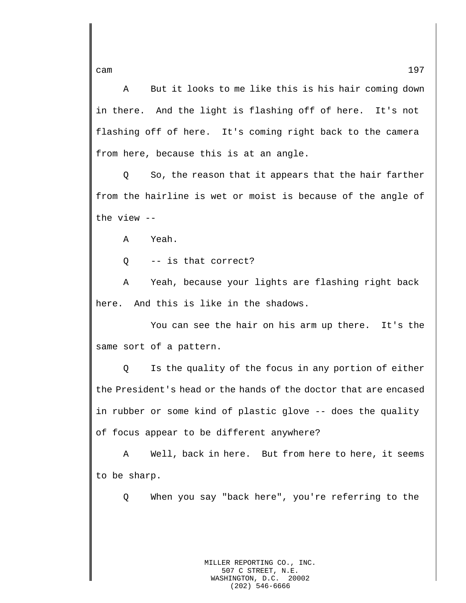A But it looks to me like this is his hair coming down in there. And the light is flashing off of here. It's not flashing off of here. It's coming right back to the camera from here, because this is at an angle.

Q So, the reason that it appears that the hair farther from the hairline is wet or moist is because of the angle of the view --

A Yeah.

Q -- is that correct?

A Yeah, because your lights are flashing right back here. And this is like in the shadows.

You can see the hair on his arm up there. It's the same sort of a pattern.

Q Is the quality of the focus in any portion of either the President's head or the hands of the doctor that are encased in rubber or some kind of plastic glove -- does the quality of focus appear to be different anywhere?

A Well, back in here. But from here to here, it seems to be sharp.

Q When you say "back here", you're referring to the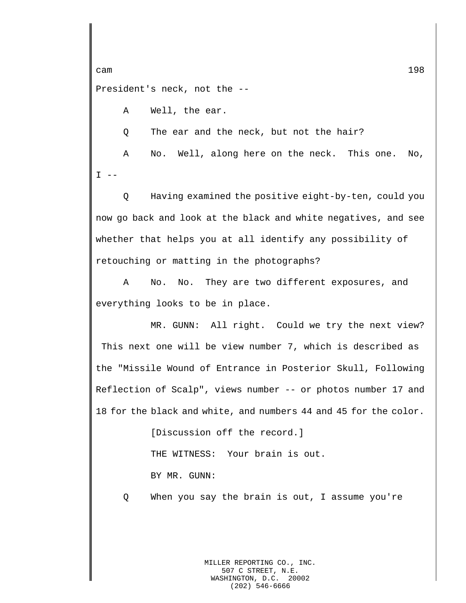cam and the contract of the contract of the contract of the contract of the contract of the contract of the contract of the contract of the contract of the contract of the contract of the contract of the contract of the co President's neck, not the --

A Well, the ear.

Q The ear and the neck, but not the hair?

A No. Well, along here on the neck. This one. No,  $I$   $-$ 

Q Having examined the positive eight-by-ten, could you now go back and look at the black and white negatives, and see whether that helps you at all identify any possibility of retouching or matting in the photographs?

A No. No. They are two different exposures, and everything looks to be in place.

MR. GUNN: All right. Could we try the next view? This next one will be view number 7, which is described as the "Missile Wound of Entrance in Posterior Skull, Following Reflection of Scalp", views number -- or photos number 17 and 18 for the black and white, and numbers 44 and 45 for the color.

> [Discussion off the record.] THE WITNESS: Your brain is out. BY MR. GUNN:

Q When you say the brain is out, I assume you're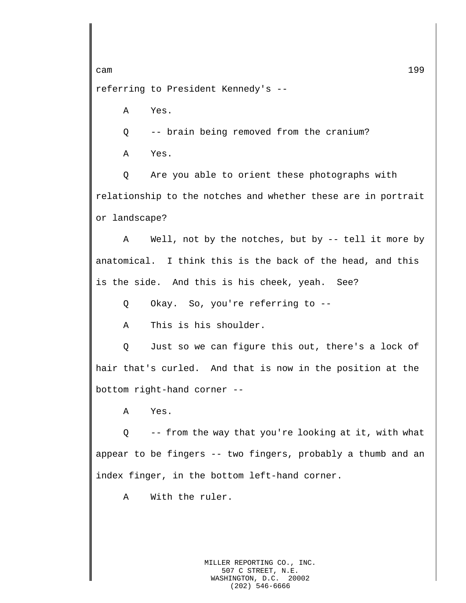referring to President Kennedy's --

A Yes.

Q -- brain being removed from the cranium?

A Yes.

Q Are you able to orient these photographs with relationship to the notches and whether these are in portrait or landscape?

A Well, not by the notches, but by -- tell it more by anatomical. I think this is the back of the head, and this is the side. And this is his cheek, yeah. See?

Q Okay. So, you're referring to --

A This is his shoulder.

Q Just so we can figure this out, there's a lock of hair that's curled. And that is now in the position at the bottom right-hand corner --

A Yes.

Q -- from the way that you're looking at it, with what appear to be fingers -- two fingers, probably a thumb and an index finger, in the bottom left-hand corner.

A With the ruler.

MILLER REPORTING CO., INC. 507 C STREET, N.E. WASHINGTON, D.C. 20002 (202) 546-6666

cam and the contract of the contract of the contract of the contract of the contract of the contract of the contract of the contract of the contract of the contract of the contract of the contract of the contract of the co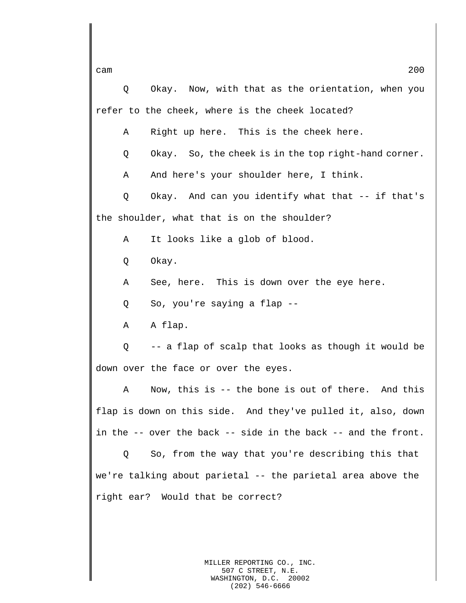Q Okay. Now, with that as the orientation, when you refer to the cheek, where is the cheek located?

A Right up here. This is the cheek here.

Q Okay. So, the cheek is in the top right-hand corner.

A And here's your shoulder here, I think.

Q Okay. And can you identify what that -- if that's the shoulder, what that is on the shoulder?

A It looks like a glob of blood.

Q Okay.

A See, here. This is down over the eye here.

Q So, you're saying a flap --

A A flap.

Q -- a flap of scalp that looks as though it would be down over the face or over the eyes.

A Now, this is -- the bone is out of there. And this flap is down on this side. And they've pulled it, also, down in the -- over the back -- side in the back -- and the front.

Q So, from the way that you're describing this that we're talking about parietal -- the parietal area above the right ear? Would that be correct?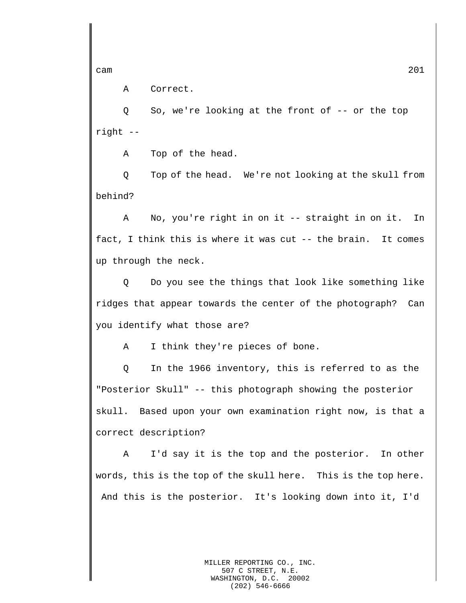A Correct.

Q So, we're looking at the front of -- or the top right --

A Top of the head.

Q Top of the head. We're not looking at the skull from behind?

A No, you're right in on it -- straight in on it. In fact, I think this is where it was cut -- the brain. It comes up through the neck.

Q Do you see the things that look like something like ridges that appear towards the center of the photograph? Can you identify what those are?

A I think they're pieces of bone.

Q In the 1966 inventory, this is referred to as the "Posterior Skull" -- this photograph showing the posterior skull. Based upon your own examination right now, is that a correct description?

A I'd say it is the top and the posterior. In other words, this is the top of the skull here. This is the top here. And this is the posterior. It's looking down into it, I'd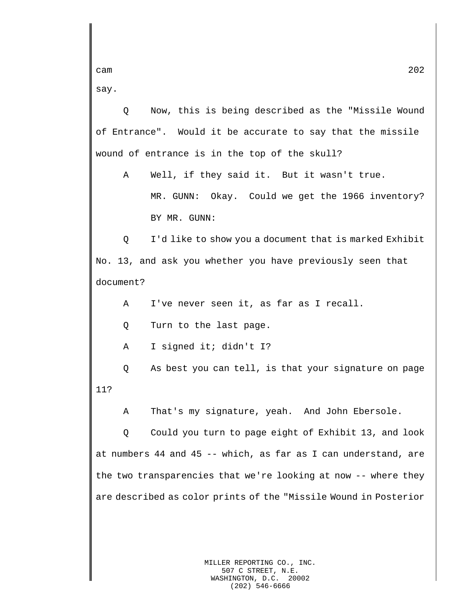say.

Q Now, this is being described as the "Missile Wound of Entrance". Would it be accurate to say that the missile wound of entrance is in the top of the skull?

A Well, if they said it. But it wasn't true.

MR. GUNN: Okay. Could we get the 1966 inventory? BY MR. GUNN:

Q I'd like to show you a document that is marked Exhibit No. 13, and ask you whether you have previously seen that document?

A I've never seen it, as far as I recall.

Q Turn to the last page.

A I signed it; didn't I?

Q As best you can tell, is that your signature on page 11?

A That's my signature, yeah. And John Ebersole.

Q Could you turn to page eight of Exhibit 13, and look at numbers 44 and 45 -- which, as far as I can understand, are the two transparencies that we're looking at now -- where they are described as color prints of the "Missile Wound in Posterior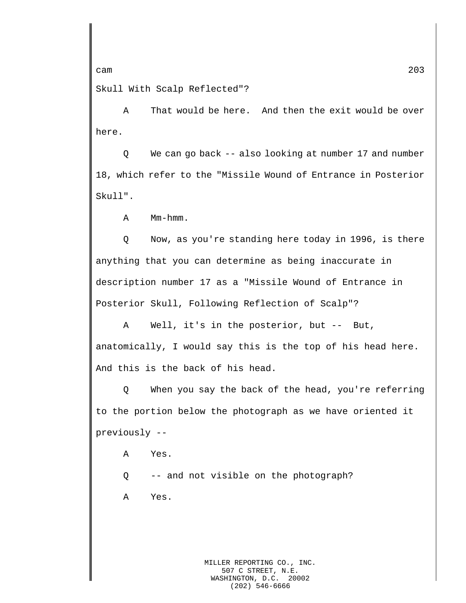Skull With Scalp Reflected"?

A That would be here. And then the exit would be over here.

Q We can go back -- also looking at number 17 and number 18, which refer to the "Missile Wound of Entrance in Posterior Skull".

A Mm-hmm.

Q Now, as you're standing here today in 1996, is there anything that you can determine as being inaccurate in description number 17 as a "Missile Wound of Entrance in Posterior Skull, Following Reflection of Scalp"?

A Well, it's in the posterior, but -- But, anatomically, I would say this is the top of his head here. And this is the back of his head.

Q When you say the back of the head, you're referring to the portion below the photograph as we have oriented it previously --

- A Yes.
- Q -- and not visible on the photograph?
- A Yes.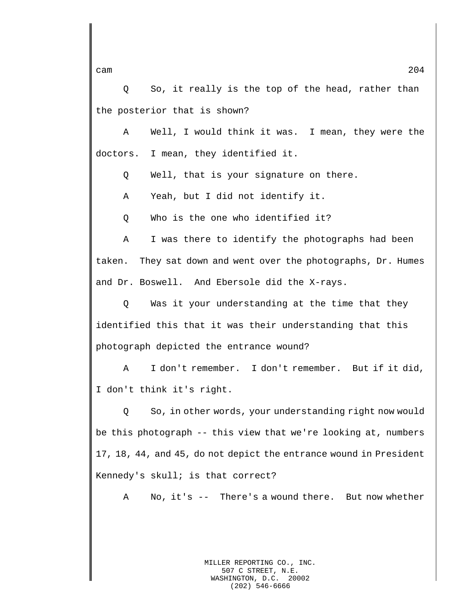Q So, it really is the top of the head, rather than the posterior that is shown?

A Well, I would think it was. I mean, they were the doctors. I mean, they identified it.

Q Well, that is your signature on there.

A Yeah, but I did not identify it.

Q Who is the one who identified it?

A I was there to identify the photographs had been taken. They sat down and went over the photographs, Dr. Humes and Dr. Boswell. And Ebersole did the X-rays.

Q Was it your understanding at the time that they identified this that it was their understanding that this photograph depicted the entrance wound?

A I don't remember. I don't remember. But if it did, I don't think it's right.

Q So, in other words, your understanding right now would be this photograph -- this view that we're looking at, numbers 17, 18, 44, and 45, do not depict the entrance wound in President Kennedy's skull; is that correct?

A No, it's -- There's a wound there. But now whether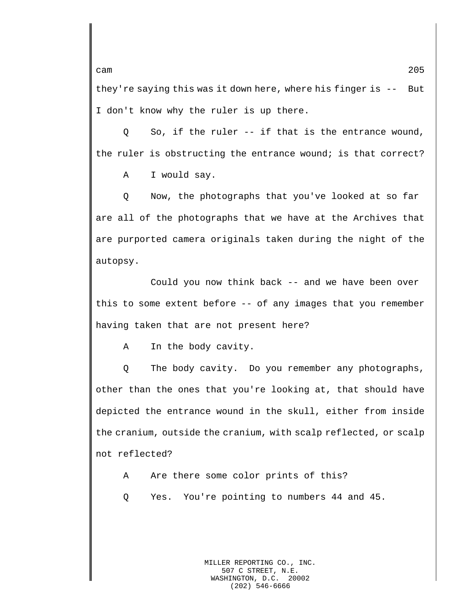they're saying this was it down here, where his finger is -- But I don't know why the ruler is up there.

Q So, if the ruler -- if that is the entrance wound, the ruler is obstructing the entrance wound; is that correct?

A I would say.

Q Now, the photographs that you've looked at so far are all of the photographs that we have at the Archives that are purported camera originals taken during the night of the autopsy.

Could you now think back -- and we have been over this to some extent before -- of any images that you remember having taken that are not present here?

A In the body cavity.

Q The body cavity. Do you remember any photographs, other than the ones that you're looking at, that should have depicted the entrance wound in the skull, either from inside the cranium, outside the cranium, with scalp reflected, or scalp not reflected?

A Are there some color prints of this?

Q Yes. You're pointing to numbers 44 and 45.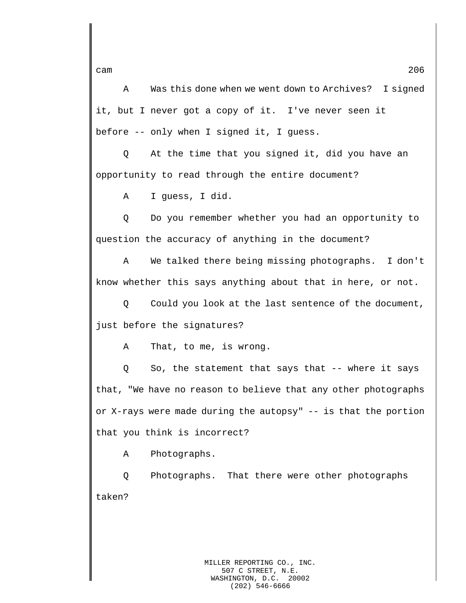A Was this done when we went down to Archives? I signed it, but I never got a copy of it. I've never seen it before -- only when I signed it, I guess.

Q At the time that you signed it, did you have an opportunity to read through the entire document?

A I guess, I did.

Q Do you remember whether you had an opportunity to question the accuracy of anything in the document?

A We talked there being missing photographs. I don't know whether this says anything about that in here, or not.

Q Could you look at the last sentence of the document, just before the signatures?

A That, to me, is wrong.

Q So, the statement that says that -- where it says that, "We have no reason to believe that any other photographs or X-rays were made during the autopsy" -- is that the portion that you think is incorrect?

A Photographs.

Q Photographs. That there were other photographs taken?

cam 206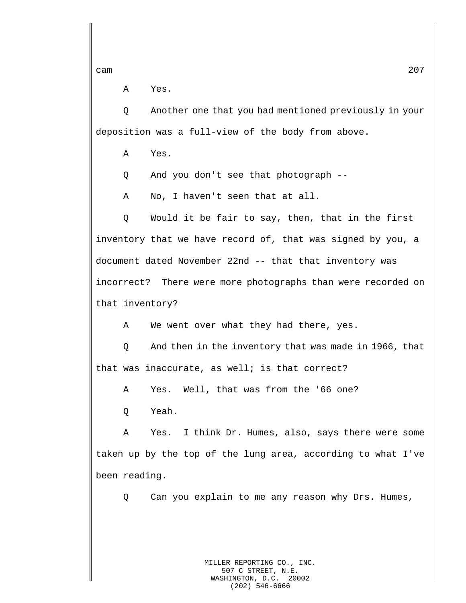A Yes.

Q Another one that you had mentioned previously in your deposition was a full-view of the body from above.

A Yes.

Q And you don't see that photograph --

A No, I haven't seen that at all.

Q Would it be fair to say, then, that in the first inventory that we have record of, that was signed by you, a document dated November 22nd -- that that inventory was incorrect? There were more photographs than were recorded on that inventory?

A We went over what they had there, yes.

Q And then in the inventory that was made in 1966, that that was inaccurate, as well; is that correct?

A Yes. Well, that was from the '66 one?

Q Yeah.

A Yes. I think Dr. Humes, also, says there were some taken up by the top of the lung area, according to what I've been reading.

Q Can you explain to me any reason why Drs. Humes,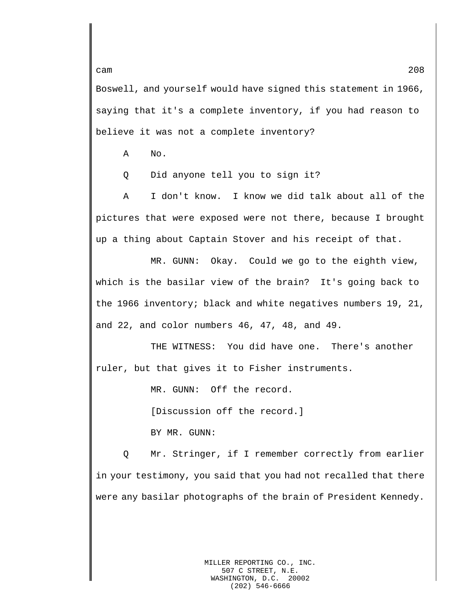Boswell, and yourself would have signed this statement in 1966, saying that it's a complete inventory, if you had reason to believe it was not a complete inventory?

A No.

Q Did anyone tell you to sign it?

A I don't know. I know we did talk about all of the pictures that were exposed were not there, because I brought up a thing about Captain Stover and his receipt of that.

MR. GUNN: Okay. Could we go to the eighth view, which is the basilar view of the brain? It's going back to the 1966 inventory; black and white negatives numbers 19, 21, and 22, and color numbers 46, 47, 48, and 49.

THE WITNESS: You did have one. There's another ruler, but that gives it to Fisher instruments.

MR. GUNN: Off the record.

[Discussion off the record.]

BY MR. GUNN:

Q Mr. Stringer, if I remember correctly from earlier in your testimony, you said that you had not recalled that there were any basilar photographs of the brain of President Kennedy.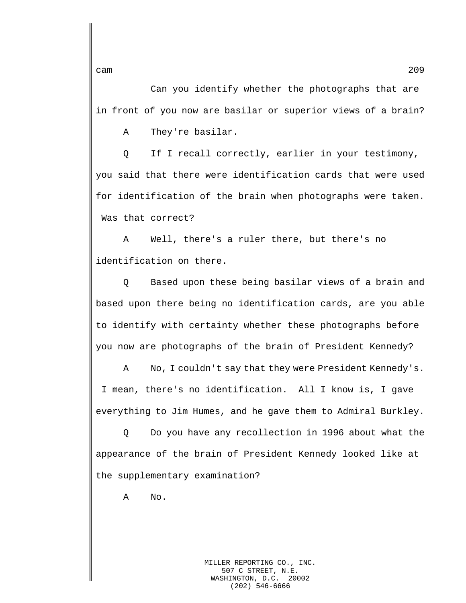Can you identify whether the photographs that are

in front of you now are basilar or superior views of a brain?

A They're basilar.

Q If I recall correctly, earlier in your testimony, you said that there were identification cards that were used for identification of the brain when photographs were taken. Was that correct?

A Well, there's a ruler there, but there's no identification on there.

Q Based upon these being basilar views of a brain and based upon there being no identification cards, are you able to identify with certainty whether these photographs before you now are photographs of the brain of President Kennedy?

A No, I couldn't say that they were President Kennedy's. I mean, there's no identification. All I know is, I gave everything to Jim Humes, and he gave them to Admiral Burkley.

Q Do you have any recollection in 1996 about what the appearance of the brain of President Kennedy looked like at the supplementary examination?

A No.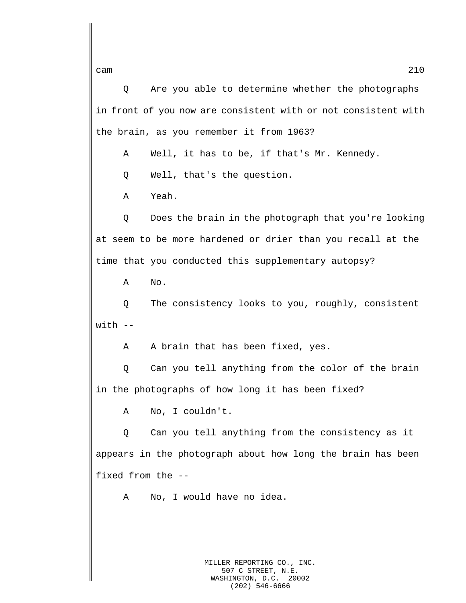Q Are you able to determine whether the photographs in front of you now are consistent with or not consistent with the brain, as you remember it from 1963?

A Well, it has to be, if that's Mr. Kennedy.

Q Well, that's the question.

A Yeah.

Q Does the brain in the photograph that you're looking at seem to be more hardened or drier than you recall at the time that you conducted this supplementary autopsy?

A No.

Q The consistency looks to you, roughly, consistent  $with$   $-$ 

A A brain that has been fixed, yes.

Q Can you tell anything from the color of the brain in the photographs of how long it has been fixed?

A No, I couldn't.

Q Can you tell anything from the consistency as it appears in the photograph about how long the brain has been fixed from the --

A No, I would have no idea.

MILLER REPORTING CO., INC. 507 C STREET, N.E. WASHINGTON, D.C. 20002 (202) 546-6666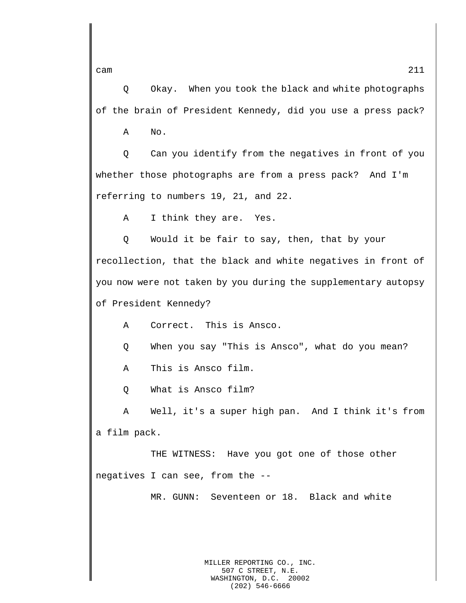Q Okay. When you took the black and white photographs of the brain of President Kennedy, did you use a press pack?

A No.

Q Can you identify from the negatives in front of you whether those photographs are from a press pack? And I'm referring to numbers 19, 21, and 22.

A I think they are. Yes.

Q Would it be fair to say, then, that by your recollection, that the black and white negatives in front of you now were not taken by you during the supplementary autopsy of President Kennedy?

A Correct. This is Ansco.

- Q When you say "This is Ansco", what do you mean?
- A This is Ansco film.

Q What is Ansco film?

A Well, it's a super high pan. And I think it's from a film pack.

THE WITNESS: Have you got one of those other negatives I can see, from the --

MR. GUNN: Seventeen or 18. Black and white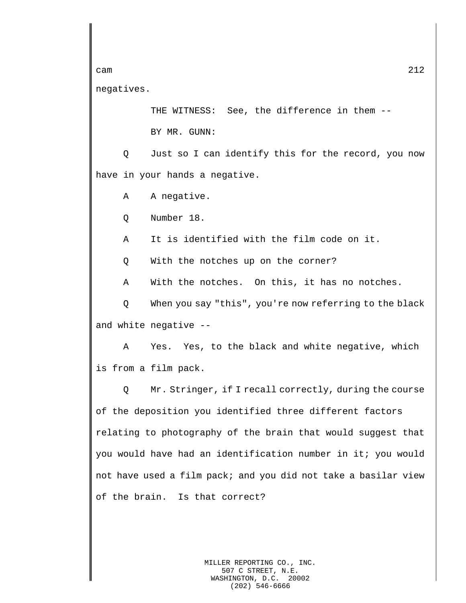cam  $212$ negatives.

THE WITNESS: See, the difference in them --

BY MR. GUNN:

Q Just so I can identify this for the record, you now have in your hands a negative.

A A negative.

Q Number 18.

A It is identified with the film code on it.

Q With the notches up on the corner?

A With the notches. On this, it has no notches.

Q When you say "this", you're now referring to the black and white negative --

A Yes. Yes, to the black and white negative, which is from a film pack.

Q Mr. Stringer, if I recall correctly, during the course of the deposition you identified three different factors relating to photography of the brain that would suggest that you would have had an identification number in it; you would not have used a film pack; and you did not take a basilar view of the brain. Is that correct?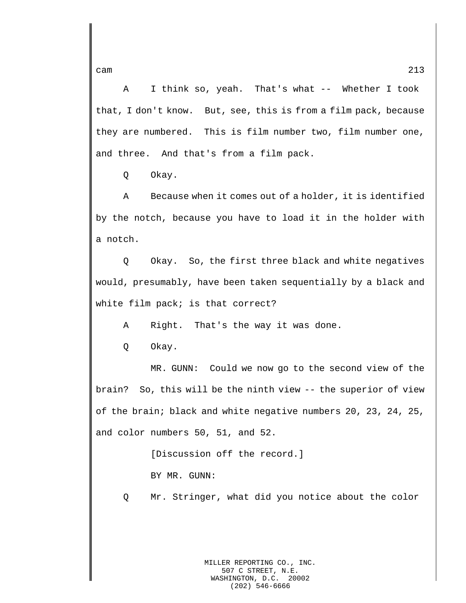A I think so, yeah. That's what -- Whether I took that, I don't know. But, see, this is from a film pack, because they are numbered. This is film number two, film number one, and three. And that's from a film pack.

Q Okay.

A Because when it comes out of a holder, it is identified by the notch, because you have to load it in the holder with a notch.

Q Okay. So, the first three black and white negatives would, presumably, have been taken sequentially by a black and white film pack; is that correct?

A Right. That's the way it was done.

Q Okay.

MR. GUNN: Could we now go to the second view of the brain? So, this will be the ninth view -- the superior of view of the brain; black and white negative numbers 20, 23, 24, 25, and color numbers 50, 51, and 52.

> [Discussion off the record.] BY MR. GUNN:

Q Mr. Stringer, what did you notice about the color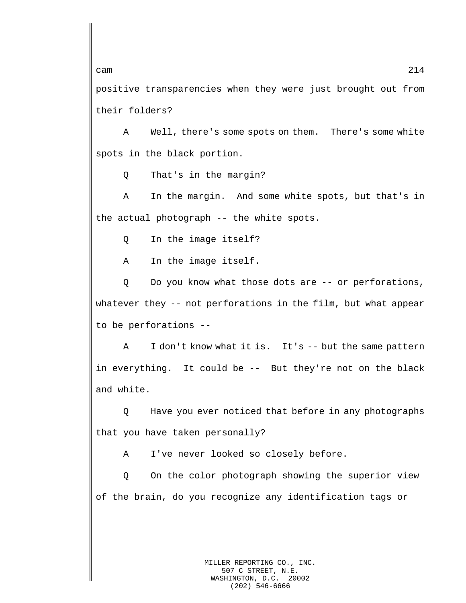positive transparencies when they were just brought out from their folders?

A Well, there's some spots on them. There's some white spots in the black portion.

Q That's in the margin?

A In the margin. And some white spots, but that's in the actual photograph -- the white spots.

Q In the image itself?

A In the image itself.

Q Do you know what those dots are -- or perforations, whatever they -- not perforations in the film, but what appear to be perforations --

A I don't know what it is. It's -- but the same pattern in everything. It could be -- But they're not on the black and white.

Q Have you ever noticed that before in any photographs that you have taken personally?

A I've never looked so closely before.

Q On the color photograph showing the superior view of the brain, do you recognize any identification tags or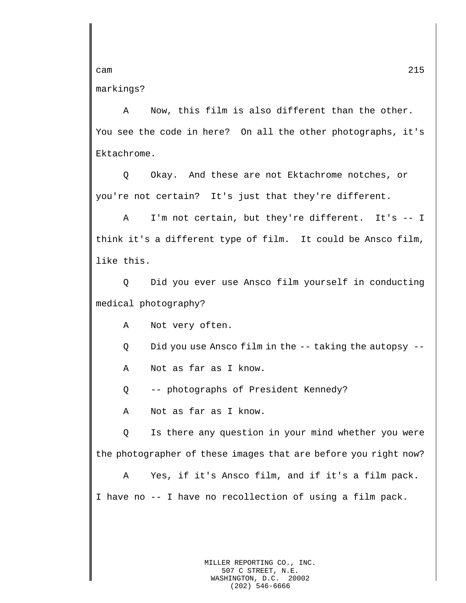markings?

A Now, this film is also different than the other. You see the code in here? On all the other photographs, it's Ektachrome.

Q Okay. And these are not Ektachrome notches, or you're not certain? It's just that they're different.

A I'm not certain, but they're different. It's -- I think it's a different type of film. It could be Ansco film, like this.

Q Did you ever use Ansco film yourself in conducting medical photography?

A Not very often.

Q Did you use Ansco film in the -- taking the autopsy --

A Not as far as I know.

Q -- photographs of President Kennedy?

A Not as far as I know.

Q Is there any question in your mind whether you were the photographer of these images that are before you right now?

A Yes, if it's Ansco film, and if it's a film pack. I have no -- I have no recollection of using a film pack.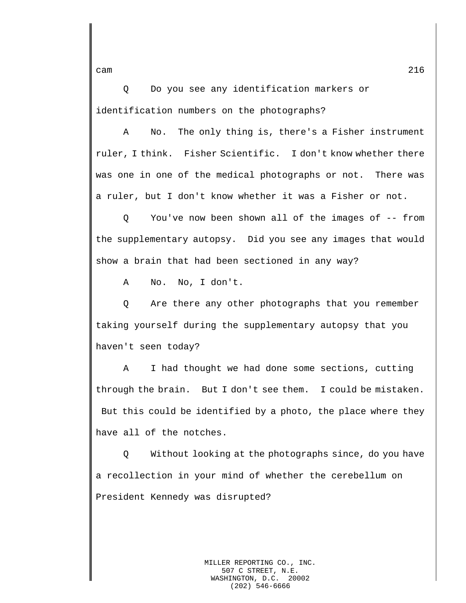Q Do you see any identification markers or identification numbers on the photographs?

A No. The only thing is, there's a Fisher instrument ruler, I think. Fisher Scientific. I don't know whether there was one in one of the medical photographs or not. There was a ruler, but I don't know whether it was a Fisher or not.

Q You've now been shown all of the images of -- from the supplementary autopsy. Did you see any images that would show a brain that had been sectioned in any way?

A No. No, I don't.

Q Are there any other photographs that you remember taking yourself during the supplementary autopsy that you haven't seen today?

A I had thought we had done some sections, cutting through the brain. But I don't see them. I could be mistaken. But this could be identified by a photo, the place where they have all of the notches.

Q Without looking at the photographs since, do you have a recollection in your mind of whether the cerebellum on President Kennedy was disrupted?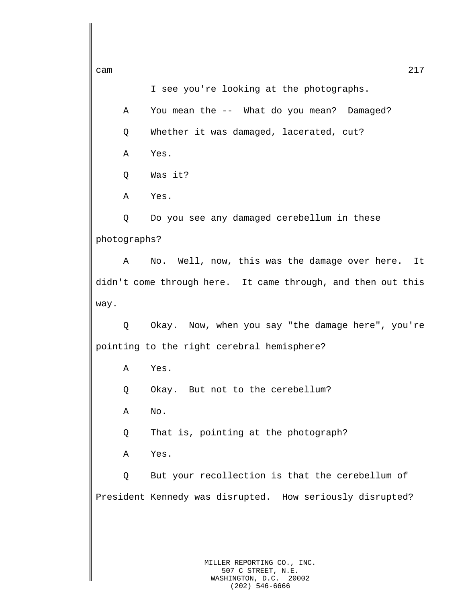I see you're looking at the photographs.

cam  $217$ 

A You mean the -- What do you mean? Damaged? Q Whether it was damaged, lacerated, cut? A Yes.

Q Was it?

A Yes.

Q Do you see any damaged cerebellum in these photographs?

A No. Well, now, this was the damage over here. It didn't come through here. It came through, and then out this way.

Q Okay. Now, when you say "the damage here", you're pointing to the right cerebral hemisphere?

A Yes.

Q Okay. But not to the cerebellum?

A No.

Q That is, pointing at the photograph?

A Yes.

Q But your recollection is that the cerebellum of President Kennedy was disrupted. How seriously disrupted?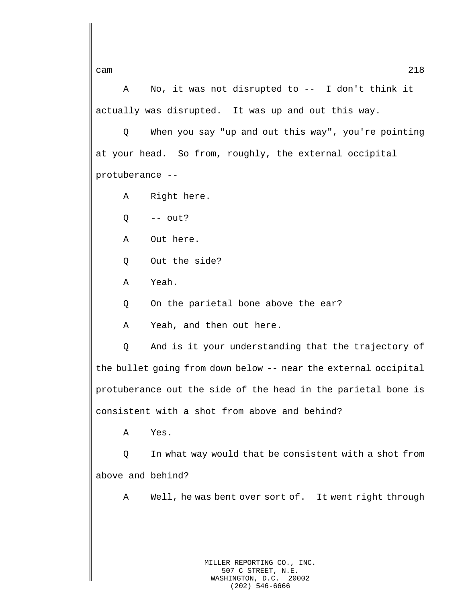A No, it was not disrupted to -- I don't think it actually was disrupted. It was up and out this way.

Q When you say "up and out this way", you're pointing at your head. So from, roughly, the external occipital protuberance --

A Right here.

 $Q \leftarrow -\text{out?}$ 

A Out here.

- Q Out the side?
- A Yeah.

Q On the parietal bone above the ear?

A Yeah, and then out here.

Q And is it your understanding that the trajectory of the bullet going from down below -- near the external occipital protuberance out the side of the head in the parietal bone is consistent with a shot from above and behind?

A Yes.

Q In what way would that be consistent with a shot from above and behind?

A Well, he was bent over sort of. It went right through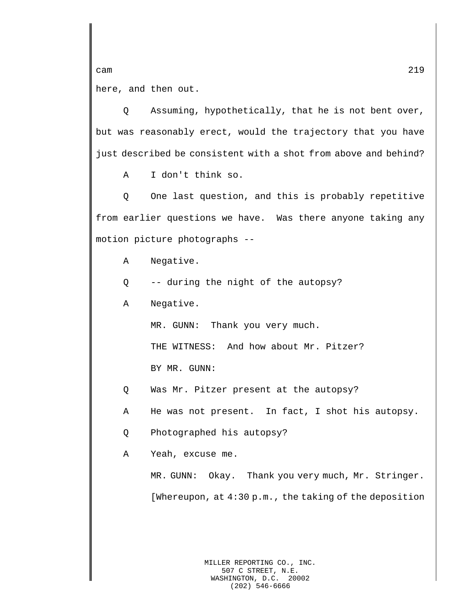cam 219 here, and then out.

Q Assuming, hypothetically, that he is not bent over, but was reasonably erect, would the trajectory that you have just described be consistent with a shot from above and behind?

A I don't think so.

Q One last question, and this is probably repetitive from earlier questions we have. Was there anyone taking any motion picture photographs --

- A Negative.
- Q -- during the night of the autopsy?
- A Negative.

MR. GUNN: Thank you very much.

THE WITNESS: And how about Mr. Pitzer?

BY MR. GUNN:

- Q Was Mr. Pitzer present at the autopsy?
- A He was not present. In fact, I shot his autopsy.
- Q Photographed his autopsy?
- A Yeah, excuse me.

MR. GUNN: Okay. Thank you very much, Mr. Stringer. [Whereupon, at 4:30 p.m., the taking of the deposition